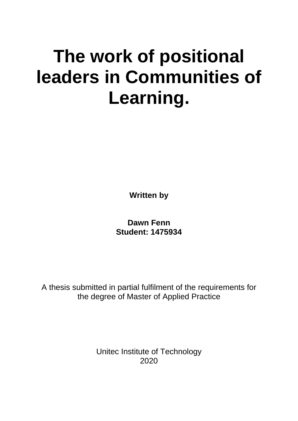# **The work of positional leaders in Communities of Learning.**

**Written by** 

**Dawn Fenn Student: 1475934**

A thesis submitted in partial fulfilment of the requirements for the degree of Master of Applied Practice

> Unitec Institute of Technology 2020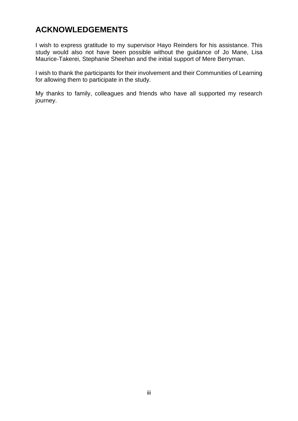# **ACKNOWLEDGEMENTS**

I wish to express gratitude to my supervisor Hayo Reinders for his assistance. This study would also not have been possible without the guidance of Jo Mane, Lisa Maurice-Takerei, Stephanie Sheehan and the initial support of Mere Berryman.

I wish to thank the participants for their involvement and their Communities of Learning for allowing them to participate in the study.

My thanks to family, colleagues and friends who have all supported my research journey.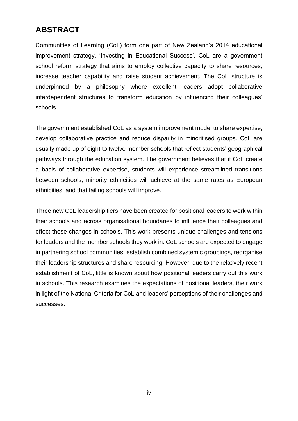# **ABSTRACT**

Communities of Learning (CoL) form one part of New Zealand's 2014 educational improvement strategy, 'Investing in Educational Success'. CoL are a government school reform strategy that aims to employ collective capacity to share resources, increase teacher capability and raise student achievement. The CoL structure is underpinned by a philosophy where excellent leaders adopt collaborative interdependent structures to transform education by influencing their colleagues' schools.

The government established CoL as a system improvement model to share expertise, develop collaborative practice and reduce disparity in minoritised groups. CoL are usually made up of eight to twelve member schools that reflect students' geographical pathways through the education system. The government believes that if CoL create a basis of collaborative expertise, students will experience streamlined transitions between schools, minority ethnicities will achieve at the same rates as European ethnicities, and that failing schools will improve.

Three new CoL leadership tiers have been created for positional leaders to work within their schools and across organisational boundaries to influence their colleagues and effect these changes in schools. This work presents unique challenges and tensions for leaders and the member schools they work in. CoL schools are expected to engage in partnering school communities, establish combined systemic groupings, reorganise their leadership structures and share resourcing. However, due to the relatively recent establishment of CoL, little is known about how positional leaders carry out this work in schools. This research examines the expectations of positional leaders, their work in light of the National Criteria for CoL and leaders' perceptions of their challenges and successes.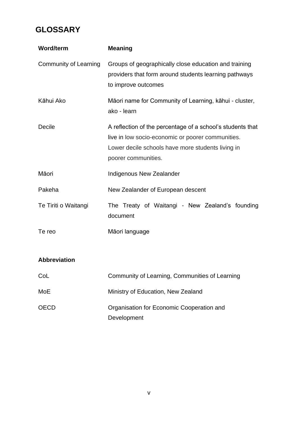# **GLOSSARY**

| <b>Word/term</b>      | <b>Meaning</b>                                                                                                                                                                              |
|-----------------------|---------------------------------------------------------------------------------------------------------------------------------------------------------------------------------------------|
| Community of Learning | Groups of geographically close education and training<br>providers that form around students learning pathways<br>to improve outcomes                                                       |
| Kāhui Ako             | Māori name for Community of Learning, kāhui - cluster,<br>ako - learn                                                                                                                       |
| Decile                | A reflection of the percentage of a school's students that<br>live in low socio-economic or poorer communities.<br>Lower decile schools have more students living in<br>poorer communities. |
| Māori                 | <b>Indigenous New Zealander</b>                                                                                                                                                             |
| Pakeha                | New Zealander of European descent                                                                                                                                                           |
| Te Tiriti o Waitangi  | The Treaty of Waitangi - New Zealand's founding<br>document                                                                                                                                 |
| Te reo                | Māori language                                                                                                                                                                              |
| <b>Abbreviation</b>   |                                                                                                                                                                                             |
| CoL                   | Community of Learning, Communities of Learning                                                                                                                                              |
| MoE                   | Ministry of Education, New Zealand                                                                                                                                                          |
| <b>OECD</b>           | Organisation for Economic Cooperation and<br>Development                                                                                                                                    |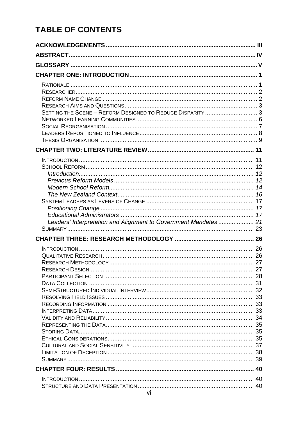# **TABLE OF CONTENTS**

| SETTING THE SCENE - REFORM DESIGNED TO REDUCE DISPARITY  3       |  |
|------------------------------------------------------------------|--|
|                                                                  |  |
|                                                                  |  |
|                                                                  |  |
|                                                                  |  |
|                                                                  |  |
|                                                                  |  |
|                                                                  |  |
|                                                                  |  |
|                                                                  |  |
|                                                                  |  |
|                                                                  |  |
|                                                                  |  |
|                                                                  |  |
| Leaders' Interpretation and Alignment to Government Mandates  21 |  |
|                                                                  |  |
|                                                                  |  |
|                                                                  |  |
|                                                                  |  |
|                                                                  |  |
|                                                                  |  |
|                                                                  |  |
|                                                                  |  |
|                                                                  |  |
|                                                                  |  |
|                                                                  |  |
|                                                                  |  |
|                                                                  |  |
|                                                                  |  |
|                                                                  |  |
|                                                                  |  |
|                                                                  |  |
|                                                                  |  |
|                                                                  |  |
|                                                                  |  |
|                                                                  |  |
|                                                                  |  |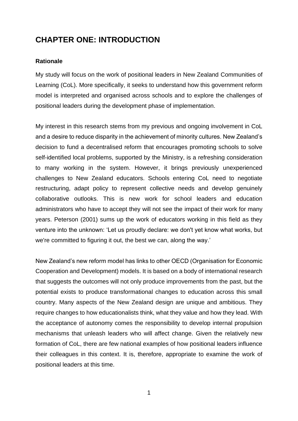# **CHAPTER ONE: INTRODUCTION**

### **Rationale**

My study will focus on the work of positional leaders in New Zealand Communities of Learning (CoL). More specifically, it seeks to understand how this government reform model is interpreted and organised across schools and to explore the challenges of positional leaders during the development phase of implementation.

My interest in this research stems from my previous and ongoing involvement in CoL and a desire to reduce disparity in the achievement of minority cultures. New Zealand's decision to fund a decentralised reform that encourages promoting schools to solve self-identified local problems, supported by the Ministry, is a refreshing consideration to many working in the system. However, it brings previously unexperienced challenges to New Zealand educators. Schools entering CoL need to negotiate restructuring, adapt policy to represent collective needs and develop genuinely collaborative outlooks. This is new work for school leaders and education administrators who have to accept they will not see the impact of their work for many years. Peterson (2001) sums up the work of educators working in this field as they venture into the unknown: 'Let us proudly declare: we don't yet know what works, but we're committed to figuring it out, the best we can, along the way.'

New Zealand's new reform model has links to other OECD (Organisation for Economic Cooperation and Development) models. It is based on a body of international research that suggests the outcomes will not only produce improvements from the past, but the potential exists to produce transformational changes to education across this small country. Many aspects of the New Zealand design are unique and ambitious. They require changes to how educationalists think, what they value and how they lead. With the acceptance of autonomy comes the responsibility to develop internal propulsion mechanisms that unleash leaders who will affect change. Given the relatively new formation of CoL, there are few national examples of how positional leaders influence their colleagues in this context. It is, therefore, appropriate to examine the work of positional leaders at this time.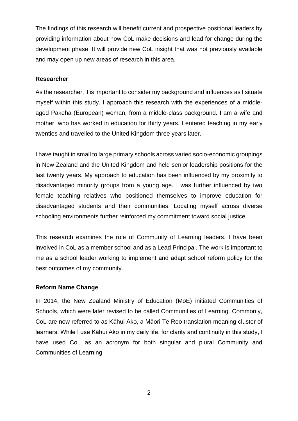The findings of this research will benefit current and prospective positional leaders by providing information about how CoL make decisions and lead for change during the development phase. It will provide new CoL insight that was not previously available and may open up new areas of research in this area.

# **Researcher**

As the researcher, it is important to consider my background and influences as I situate myself within this study. I approach this research with the experiences of a middleaged Pakeha (European) woman, from a middle-class background. I am a wife and mother, who has worked in education for thirty years. I entered teaching in my early twenties and travelled to the United Kingdom three years later.

I have taught in small to large primary schools across varied socio-economic groupings in New Zealand and the United Kingdom and held senior leadership positions for the last twenty years. My approach to education has been influenced by my proximity to disadvantaged minority groups from a young age. I was further influenced by two female teaching relatives who positioned themselves to improve education for disadvantaged students and their communities. Locating myself across diverse schooling environments further reinforced my commitment toward social justice.

This research examines the role of Community of Learning leaders. I have been involved in CoL as a member school and as a Lead Principal. The work is important to me as a school leader working to implement and adapt school reform policy for the best outcomes of my community.

### **Reform Name Change**

In 2014, the New Zealand Ministry of Education (MoE) initiated Communities of Schools, which were later revised to be called Communities of Learning. Commonly, CoL are now referred to as Kāhui Ako, a Māori Te Reo translation meaning cluster of learners. While I use Kāhui Ako in my daily life, for clarity and continuity in this study, I have used CoL as an acronym for both singular and plural Community and Communities of Learning.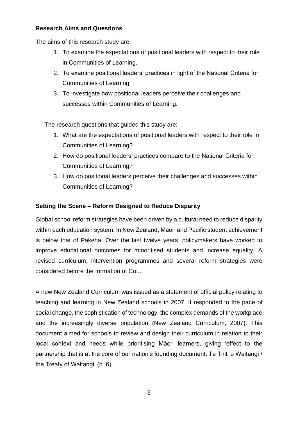### **Research Aims and Questions**

The aims of this research study are:

- 1. To examine the expectations of positional leaders with respect to their role in Communities of Learning.
- 2. To examine positional leaders' practices in light of the National Criteria for Communities of Learning.
- 3. To investigate how positional leaders perceive their challenges and successes within Communities of Learning.

The research questions that guided this study are:

- 1. What are the expectations of positional leaders with respect to their role in Communities of Learning?
- 2. How do positional leaders' practices compare to the National Criteria for Communities of Learning?
- 3. How do positional leaders perceive their challenges and successes within Communities of Learning?

# **Setting the Scene – Reform Designed to Reduce Disparity**

Global school reform strategies have been driven by a cultural need to reduce disparity within each education system. In New Zealand, Māori and Pacific student achievement is below that of Pakeha. Over the last twelve years, policymakers have worked to improve educational outcomes for minoritised students and increase equality. A revised curriculum, intervention programmes and several reform strategies were considered before the formation of CoL.

A new New Zealand Curriculum was issued as a statement of official policy relating to teaching and learning in New Zealand schools in 2007. It responded to the pace of social change, the sophistication of technology, the complex demands of the workplace and the increasingly diverse population (New Zealand Curriculum, 2007). This document aimed for schools to review and design their curriculum in relation to their local context and needs while prioritising Māori learners, giving 'effect to the partnership that is at the core of our nation's founding document, Te Tiriti o Waitangi / the Treaty of Waitangi' (p. 6).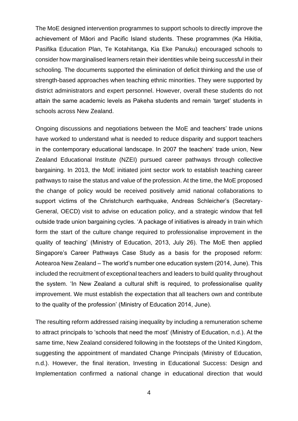The MoE designed intervention programmes to support schools to directly improve the achievement of Māori and Pacific Island students. These programmes (Ka Hikitia, Pasifika Education Plan, Te Kotahitanga, Kia Eke Panuku) encouraged schools to consider how marginalised learners retain their identities while being successful in their schooling. The documents supported the elimination of deficit thinking and the use of strength-based approaches when teaching ethnic minorities. They were supported by district administrators and expert personnel. However, overall these students do not attain the same academic levels as Pakeha students and remain 'target' students in schools across New Zealand.

Ongoing discussions and negotiations between the MoE and teachers' trade unions have worked to understand what is needed to reduce disparity and support teachers in the contemporary educational landscape. In 2007 the teachers' trade union, New Zealand Educational Institute (NZEI) pursued career pathways through collective bargaining. In 2013, the MoE initiated joint sector work to establish teaching career pathways to raise the status and value of the profession. At the time, the MoE proposed the change of policy would be received positively amid national collaborations to support victims of the Christchurch earthquake, Andreas Schleicher's (Secretary-General, OECD) visit to advise on education policy, and a strategic window that fell outside trade union bargaining cycles. 'A package of initiatives is already in train which form the start of the culture change required to professionalise improvement in the quality of teaching' (Ministry of Education, 2013, July 26). The MoE then applied Singapore's Career Pathways Case Study as a basis for the proposed reform: Aotearoa New Zealand – The world's number one education system (2014, June). This included the recruitment of exceptional teachers and leaders to build quality throughout the system. 'In New Zealand a cultural shift is required, to professionalise quality improvement. We must establish the expectation that all teachers own and contribute to the quality of the profession' (Ministry of Education 2014, June).

The resulting reform addressed raising inequality by including a remuneration scheme to attract principals to 'schools that need the most' (Ministry of Education, n.d.). At the same time, New Zealand considered following in the footsteps of the United Kingdom, suggesting the appointment of mandated Change Principals (Ministry of Education, n.d.). However, the final iteration, Investing in Educational Success: Design and Implementation confirmed a national change in educational direction that would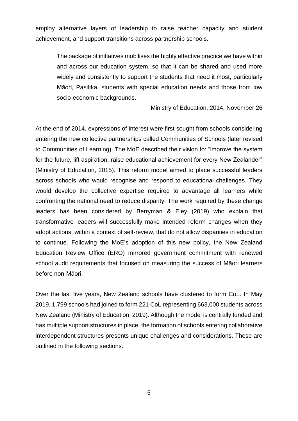employ alternative layers of leadership to raise teacher capacity and student achievement, and support transitions across partnership schools.

The package of initiatives mobilises the highly effective practice we have within and across our education system, so that it can be shared and used more widely and consistently to support the students that need it most, particularly Māori, Pasifika, students with special education needs and those from low socio-economic backgrounds.

Ministry of Education, 2014, November 26

At the end of 2014, expressions of interest were first sought from schools considering entering the new collective partnerships called Communities of Schools (later revised to Communities of Learning). The MoE described their vision to: "improve the system for the future, lift aspiration, raise educational achievement for every New Zealander" (Ministry of Education, 2015). This reform model aimed to place successful leaders across schools who would recognise and respond to educational challenges. They would develop the collective expertise required to advantage all learners while confronting the national need to reduce disparity. The work required by these change leaders has been considered by Berryman & Eley (2019) who explain that transformative leaders will successfully make intended reform changes when they adopt actions, within a context of self-review, that do not allow disparities in education to continue. Following the MoE's adoption of this new policy, the New Zealand Education Review Office (ERO) mirrored government commitment with renewed school audit requirements that focused on measuring the success of Māori learners before non-Māori.

Over the last five years, New Zealand schools have clustered to form CoL. In May 2019, 1,799 schools had joined to form 221 CoL representing 663,000 students across New Zealand (Ministry of Education, 2019). Although the model is centrally funded and has multiple support structures in place, the formation of schools entering collaborative interdependent structures presents unique challenges and considerations. These are outlined in the following sections.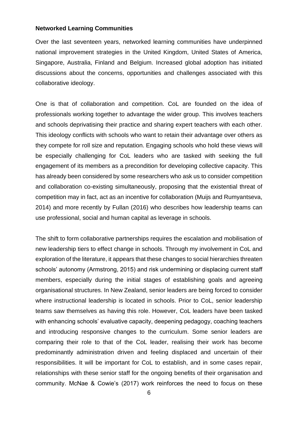#### **Networked Learning Communities**

Over the last seventeen years, networked learning communities have underpinned national improvement strategies in the United Kingdom, United States of America, Singapore, Australia, Finland and Belgium. Increased global adoption has initiated discussions about the concerns, opportunities and challenges associated with this collaborative ideology.

One is that of collaboration and competition. CoL are founded on the idea of professionals working together to advantage the wider group. This involves teachers and schools deprivatising their practice and sharing expert teachers with each other. This ideology conflicts with schools who want to retain their advantage over others as they compete for roll size and reputation. Engaging schools who hold these views will be especially challenging for CoL leaders who are tasked with seeking the full engagement of its members as a precondition for developing collective capacity. This has already been considered by some researchers who ask us to consider competition and collaboration co-existing simultaneously, proposing that the existential threat of competition may in fact, act as an incentive for collaboration (Muijs and Rumyantseva, 2014) and more recently by Fullan (2016) who describes how leadership teams can use professional, social and human capital as leverage in schools.

The shift to form collaborative partnerships requires the escalation and mobilisation of new leadership tiers to effect change in schools. Through my involvement in CoL and exploration of the literature, it appears that these changes to social hierarchies threaten schools' autonomy (Armstrong, 2015) and risk undermining or displacing current staff members, especially during the initial stages of establishing goals and agreeing organisational structures. In New Zealand, senior leaders are being forced to consider where instructional leadership is located in schools. Prior to CoL, senior leadership teams saw themselves as having this role. However, CoL leaders have been tasked with enhancing schools' evaluative capacity, deepening pedagogy, coaching teachers and introducing responsive changes to the curriculum. Some senior leaders are comparing their role to that of the CoL leader, realising their work has become predominantly administration driven and feeling displaced and uncertain of their responsibilities. It will be important for CoL to establish, and in some cases repair, relationships with these senior staff for the ongoing benefits of their organisation and community. McNae & Cowie's (2017) work reinforces the need to focus on these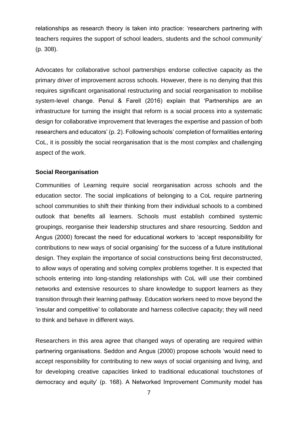relationships as research theory is taken into practice: 'researchers partnering with teachers requires the support of school leaders, students and the school community' (p. 308).

Advocates for collaborative school partnerships endorse collective capacity as the primary driver of improvement across schools. However, there is no denying that this requires significant organisational restructuring and social reorganisation to mobilise system-level change. Penul & Farell (2016) explain that 'Partnerships are an infrastructure for turning the insight that reform is a social process into a systematic design for collaborative improvement that leverages the expertise and passion of both researchers and educators' (p. 2). Following schools' completion of formalities entering CoL, it is possibly the social reorganisation that is the most complex and challenging aspect of the work.

#### **Social Reorganisation**

Communities of Learning require social reorganisation across schools and the education sector. The social implications of belonging to a CoL require partnering school communities to shift their thinking from their individual schools to a combined outlook that benefits all learners. Schools must establish combined systemic groupings, reorganise their leadership structures and share resourcing. Seddon and Angus (2000) forecast the need for educational workers to 'accept responsibility for contributions to new ways of social organising' for the success of a future institutional design. They explain the importance of social constructions being first deconstructed, to allow ways of operating and solving complex problems together. It is expected that schools entering into long-standing relationships with CoL will use their combined networks and extensive resources to share knowledge to support learners as they transition through their learning pathway. Education workers need to move beyond the 'insular and competitive' to collaborate and harness collective capacity; they will need to think and behave in different ways.

Researchers in this area agree that changed ways of operating are required within partnering organisations. Seddon and Angus (2000) propose schools 'would need to accept responsibility for contributing to new ways of social organising and living, and for developing creative capacities linked to traditional educational touchstones of democracy and equity' (p. 168). A Networked Improvement Community model has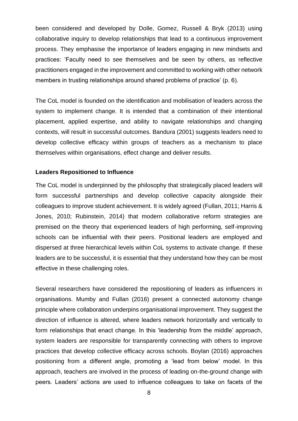been considered and developed by Dolle, Gomez, Russell & Bryk (2013) using collaborative inquiry to develop relationships that lead to a continuous improvement process. They emphasise the importance of leaders engaging in new mindsets and practices: 'Faculty need to see themselves and be seen by others, as reflective practitioners engaged in the improvement and committed to working with other network members in trusting relationships around shared problems of practice' (p. 6).

The CoL model is founded on the identification and mobilisation of leaders across the system to implement change. It is intended that a combination of their intentional placement, applied expertise, and ability to navigate relationships and changing contexts, will result in successful outcomes. Bandura (2001) suggests leaders need to develop collective efficacy within groups of teachers as a mechanism to place themselves within organisations, effect change and deliver results.

### **Leaders Repositioned to Influence**

The CoL model is underpinned by the philosophy that strategically placed leaders will form successful partnerships and develop collective capacity alongside their colleagues to improve student achievement. It is widely agreed (Fullan, 2011; Harris & Jones, 2010; Rubinstein, 2014) that modern collaborative reform strategies are premised on the theory that experienced leaders of high performing, self-improving schools can be influential with their peers. Positional leaders are employed and dispersed at three hierarchical levels within CoL systems to activate change. If these leaders are to be successful, it is essential that they understand how they can be most effective in these challenging roles.

Several researchers have considered the repositioning of leaders as influencers in organisations. Mumby and Fullan (2016) present a connected autonomy change principle where collaboration underpins organisational improvement. They suggest the direction of influence is altered, where leaders network horizontally and vertically to form relationships that enact change. In this 'leadership from the middle' approach, system leaders are responsible for transparently connecting with others to improve practices that develop collective efficacy across schools. Boylan (2016) approaches positioning from a different angle, promoting a 'lead from below' model. In this approach, teachers are involved in the process of leading on-the-ground change with peers. Leaders' actions are used to influence colleagues to take on facets of the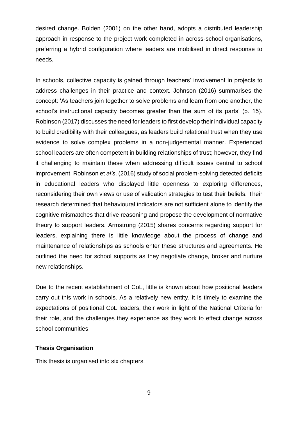desired change. Bolden (2001) on the other hand, adopts a distributed leadership approach in response to the project work completed in across-school organisations, preferring a hybrid configuration where leaders are mobilised in direct response to needs.

In schools, collective capacity is gained through teachers' involvement in projects to address challenges in their practice and context. Johnson (2016) summarises the concept: 'As teachers join together to solve problems and learn from one another, the school's instructional capacity becomes greater than the sum of its parts' (p. 15). Robinson (2017) discusses the need for leaders to first develop their individual capacity to build credibility with their colleagues, as leaders build relational trust when they use evidence to solve complex problems in a non-judgemental manner. Experienced school leaders are often competent in building relationships of trust; however, they find it challenging to maintain these when addressing difficult issues central to school improvement. Robinson et *al's*. (2016) study of social problem-solving detected deficits in educational leaders who displayed little openness to exploring differences, reconsidering their own views or use of validation strategies to test their beliefs. Their research determined that behavioural indicators are not sufficient alone to identify the cognitive mismatches that drive reasoning and propose the development of normative theory to support leaders. Armstrong (2015) shares concerns regarding support for leaders, explaining there is little knowledge about the process of change and maintenance of relationships as schools enter these structures and agreements. He outlined the need for school supports as they negotiate change, broker and nurture new relationships.

Due to the recent establishment of CoL, little is known about how positional leaders carry out this work in schools. As a relatively new entity, it is timely to examine the expectations of positional CoL leaders, their work in light of the National Criteria for their role, and the challenges they experience as they work to effect change across school communities.

#### **Thesis Organisation**

This thesis is organised into six chapters.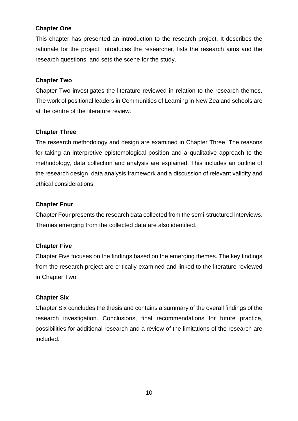# **Chapter One**

This chapter has presented an introduction to the research project. It describes the rationale for the project, introduces the researcher, lists the research aims and the research questions, and sets the scene for the study.

# **Chapter Two**

Chapter Two investigates the literature reviewed in relation to the research themes. The work of positional leaders in Communities of Learning in New Zealand schools are at the centre of the literature review.

# **Chapter Three**

The research methodology and design are examined in Chapter Three. The reasons for taking an interpretive epistemological position and a qualitative approach to the methodology, data collection and analysis are explained. This includes an outline of the research design, data analysis framework and a discussion of relevant validity and ethical considerations.

# **Chapter Four**

Chapter Four presents the research data collected from the semi-structured interviews. Themes emerging from the collected data are also identified.

# **Chapter Five**

Chapter Five focuses on the findings based on the emerging themes. The key findings from the research project are critically examined and linked to the literature reviewed in Chapter Two.

# **Chapter Six**

Chapter Six concludes the thesis and contains a summary of the overall findings of the research investigation. Conclusions, final recommendations for future practice, possibilities for additional research and a review of the limitations of the research are included.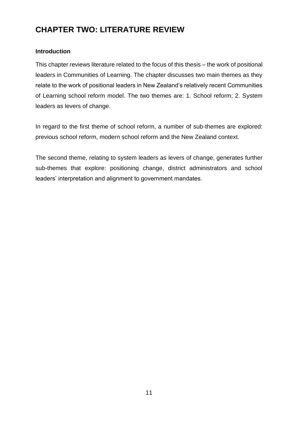# **CHAPTER TWO: LITERATURE REVIEW**

# **Introduction**

This chapter reviews literature related to the focus of this thesis – the work of positional leaders in Communities of Learning. The chapter discusses two main themes as they relate to the work of positional leaders in New Zealand's relatively recent Communities of Learning school reform model. The two themes are: 1. School reform; 2. System leaders as levers of change.

In regard to the first theme of school reform, a number of sub-themes are explored: previous school reform, modern school reform and the New Zealand context.

The second theme, relating to system leaders as levers of change, generates further sub-themes that explore: positioning change, district administrators and school leaders' interpretation and alignment to government mandates.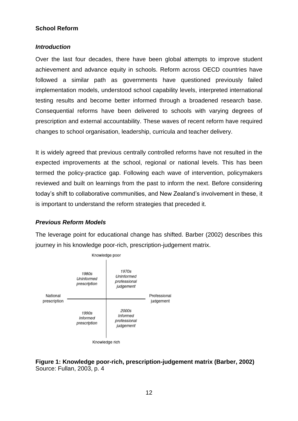# **School Reform**

### *Introduction*

Over the last four decades, there have been global attempts to improve student achievement and advance equity in schools. Reform across OECD countries have followed a similar path as governments have questioned previously failed implementation models, understood school capability levels, interpreted international testing results and become better informed through a broadened research base. Consequential reforms have been delivered to schools with varying degrees of prescription and external accountability. These waves of recent reform have required changes to school organisation, leadership, curricula and teacher delivery.

It is widely agreed that previous centrally controlled reforms have not resulted in the expected improvements at the school, regional or national levels. This has been termed the policy-practice gap. Following each wave of intervention, policymakers reviewed and built on learnings from the past to inform the next. Before considering today's shift to collaborative communities, and New Zealand's involvement in these, it is important to understand the reform strategies that preceded it.

# *Previous Reform Models*

The leverage point for educational change has shifted. Barber (2002) describes this journey in his knowledge poor-rich, prescription-judgement matrix.



**Figure 1: Knowledge poor-rich, prescription-judgement matrix (Barber, 2002)** Source: Fullan, 2003, p. 4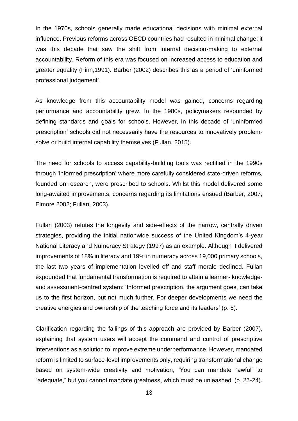In the 1970s, schools generally made educational decisions with minimal external influence. Previous reforms across OECD countries had resulted in minimal change; it was this decade that saw the shift from internal decision-making to external accountability. Reform of this era was focused on increased access to education and greater equality (Finn,1991). Barber (2002) describes this as a period of 'uninformed professional judgement'.

As knowledge from this accountability model was gained, concerns regarding performance and accountability grew. In the 1980s, policymakers responded by defining standards and goals for schools. However, in this decade of 'uninformed prescription' schools did not necessarily have the resources to innovatively problemsolve or build internal capability themselves (Fullan, 2015).

The need for schools to access capability-building tools was rectified in the 1990s through 'informed prescription' where more carefully considered state-driven reforms, founded on research, were prescribed to schools. Whilst this model delivered some long-awaited improvements, concerns regarding its limitations ensued (Barber, 2007; Elmore 2002; Fullan, 2003).

Fullan (2003) refutes the longevity and side-effects of the narrow, centrally driven strategies, providing the initial nationwide success of the United Kingdom's 4-year National Literacy and Numeracy Strategy (1997) as an example. Although it delivered improvements of 18% in literacy and 19% in numeracy across 19,000 primary schools, the last two years of implementation levelled off and staff morale declined. Fullan expounded that fundamental transformation is required to attain a learner- knowledgeand assessment-centred system: 'Informed prescription, the argument goes, can take us to the first horizon, but not much further. For deeper developments we need the creative energies and ownership of the teaching force and its leaders' (p. 5).

Clarification regarding the failings of this approach are provided by Barber (2007), explaining that system users will accept the command and control of prescriptive interventions as a solution to improve extreme underperformance. However, mandated reform is limited to surface-level improvements only, requiring transformational change based on system-wide creativity and motivation, 'You can mandate "awful" to "adequate," but you cannot mandate greatness, which must be unleashed' (p. 23-24).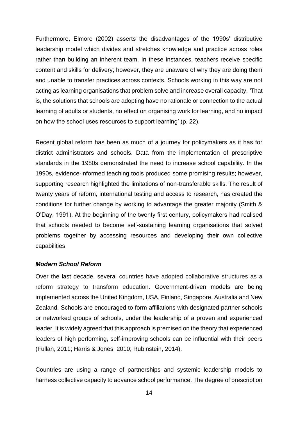Furthermore, Elmore (2002) asserts the disadvantages of the 1990s' distributive leadership model which divides and stretches knowledge and practice across roles rather than building an inherent team. In these instances, teachers receive specific content and skills for delivery; however, they are unaware of why they are doing them and unable to transfer practices across contexts. Schools working in this way are not acting as learning organisations that problem solve and increase overall capacity, *'*That is, the solutions that schools are adopting have no rationale or connection to the actual learning of adults or students, no effect on organising work for learning, and no impact on how the school uses resources to support learning' (p. 22).

Recent global reform has been as much of a journey for policymakers as it has for district administrators and schools. Data from the implementation of prescriptive standards in the 1980s demonstrated the need to increase school capability. In the 1990s, evidence-informed teaching tools produced some promising results; however, supporting research highlighted the limitations of non-transferable skills. The result of twenty years of reform, international testing and access to research, has created the conditions for further change by working to advantage the greater majority (Smith & O'Day, 1991). At the beginning of the twenty first century, policymakers had realised that schools needed to become self-sustaining learning organisations that solved problems together by accessing resources and developing their own collective capabilities.

### *Modern School Reform*

Over the last decade, several countries have adopted collaborative structures as a reform strategy to transform education. Government-driven models are being implemented across the United Kingdom, USA, Finland, Singapore, Australia and New Zealand. Schools are encouraged to form affiliations with designated partner schools or networked groups of schools, under the leadership of a proven and experienced leader. It is widely agreed that this approach is premised on the theory that experienced leaders of high performing, self-improving schools can be influential with their peers (Fullan, 2011; Harris & Jones, 2010; Rubinstein, 2014).

Countries are using a range of partnerships and systemic leadership models to harness collective capacity to advance school performance. The degree of prescription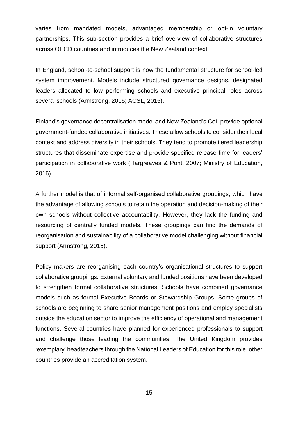varies from mandated models, advantaged membership or opt-in voluntary partnerships. This sub-section provides a brief overview of collaborative structures across OECD countries and introduces the New Zealand context.

In England, school-to-school support is now the fundamental structure for school-led system improvement. Models include structured governance designs, designated leaders allocated to low performing schools and executive principal roles across several schools (Armstrong, 2015; ACSL, 2015).

Finland's governance decentralisation model and New Zealand's CoL provide optional government-funded collaborative initiatives. These allow schools to consider their local context and address diversity in their schools. They tend to promote tiered leadership structures that disseminate expertise and provide specified release time for leaders' participation in collaborative work (Hargreaves & Pont, 2007; Ministry of Education, 2016).

A further model is that of informal self-organised collaborative groupings, which have the advantage of allowing schools to retain the operation and decision-making of their own schools without collective accountability. However, they lack the funding and resourcing of centrally funded models. These groupings can find the demands of reorganisation and sustainability of a collaborative model challenging without financial support (Armstrong, 2015).

Policy makers are reorganising each country's organisational structures to support collaborative groupings. External voluntary and funded positions have been developed to strengthen formal collaborative structures. Schools have combined governance models such as formal Executive Boards or Stewardship Groups. Some groups of schools are beginning to share senior management positions and employ specialists outside the education sector to improve the efficiency of operational and management functions. Several countries have planned for experienced professionals to support and challenge those leading the communities. The United Kingdom provides 'exemplary' headteachers through the National Leaders of Education for this role, other countries provide an accreditation system.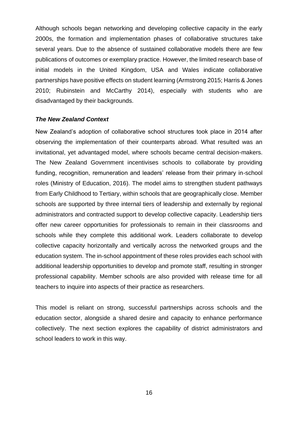Although schools began networking and developing collective capacity in the early 2000s, the formation and implementation phases of collaborative structures take several years. Due to the absence of sustained collaborative models there are few publications of outcomes or exemplary practice. However, the limited research base of initial models in the United Kingdom, USA and Wales indicate collaborative partnerships have positive effects on student learning (Armstrong 2015; Harris & Jones 2010; Rubinstein and McCarthy 2014), especially with students who are disadvantaged by their backgrounds.

### *The New Zealand Context*

New Zealand's adoption of collaborative school structures took place in 2014 after observing the implementation of their counterparts abroad. What resulted was an invitational, yet advantaged model, where schools became central decision-makers. The New Zealand Government incentivises schools to collaborate by providing funding, recognition, remuneration and leaders' release from their primary in-school roles (Ministry of Education, 2016). The model aims to strengthen student pathways from Early Childhood to Tertiary, within schools that are geographically close. Member schools are supported by three internal tiers of leadership and externally by regional administrators and contracted support to develop collective capacity. Leadership tiers offer new career opportunities for professionals to remain in their classrooms and schools while they complete this additional work. Leaders collaborate to develop collective capacity horizontally and vertically across the networked groups and the education system. The in-school appointment of these roles provides each school with additional leadership opportunities to develop and promote staff, resulting in stronger professional capability. Member schools are also provided with release time for all teachers to inquire into aspects of their practice as researchers.

This model is reliant on strong, successful partnerships across schools and the education sector, alongside a shared desire and capacity to enhance performance collectively. The next section explores the capability of district administrators and school leaders to work in this way.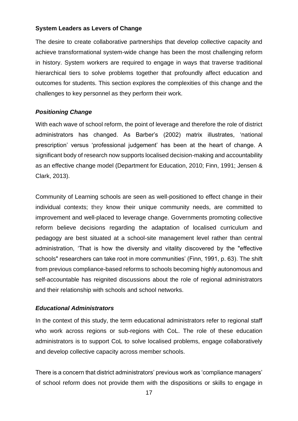### **System Leaders as Levers of Change**

The desire to create collaborative partnerships that develop collective capacity and achieve transformational system-wide change has been the most challenging reform in history. System workers are required to engage in ways that traverse traditional hierarchical tiers to solve problems together that profoundly affect education and outcomes for students. This section explores the complexities of this change and the challenges to key personnel as they perform their work.

# *Positioning Change*

With each wave of school reform, the point of leverage and therefore the role of district administrators has changed. As Barber's (2002) matrix illustrates, 'national prescription' versus 'professional judgement' has been at the heart of change. A significant body of research now supports localised decision-making and accountability as an effective change model (Department for Education, 2010; Finn, 1991; Jensen & Clark, 2013).

Community of Learning schools are seen as well-positioned to effect change in their individual contexts; they know their unique community needs, are committed to improvement and well-placed to leverage change. Governments promoting collective reform believe decisions regarding the adaptation of localised curriculum and pedagogy are best situated at a school-site management level rather than central administration, 'That is how the diversity and vitality discovered by the "effective schools" researchers can take root in more communities' (Finn, 1991, p. 63). The shift from previous compliance-based reforms to schools becoming highly autonomous and self-accountable has reignited discussions about the role of regional administrators and their relationship with schools and school networks.

# *Educational Administrators*

In the context of this study, the term educational administrators refer to regional staff who work across regions or sub-regions with CoL. The role of these education administrators is to support CoL to solve localised problems, engage collaboratively and develop collective capacity across member schools.

There is a concern that district administrators' previous work as 'compliance managers' of school reform does not provide them with the dispositions or skills to engage in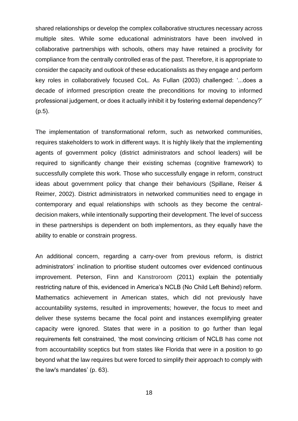shared relationships or develop the complex collaborative structures necessary across multiple sites. While some educational administrators have been involved in collaborative partnerships with schools, others may have retained a proclivity for compliance from the centrally controlled eras of the past. Therefore, it is appropriate to consider the capacity and outlook of these educationalists as they engage and perform key roles in collaboratively focused CoL. As Fullan (2003) challenged: '...does a decade of informed prescription create the preconditions for moving to informed professional judgement, or does it actually inhibit it by fostering external dependency?' (p.5).

The implementation of transformational reform, such as networked communities, requires stakeholders to work in different ways. It is highly likely that the implementing agents of government policy (district administrators and school leaders) will be required to significantly change their existing schemas (cognitive framework) to successfully complete this work. Those who successfully engage in reform, construct ideas about government policy that change their behaviours (Spillane, Reiser & Reimer, 2002). District administrators in networked communities need to engage in contemporary and equal relationships with schools as they become the centraldecision makers, while intentionally supporting their development. The level of success in these partnerships is dependent on both implementors, as they equally have the ability to enable or constrain progress.

An additional concern, regarding a carry-over from previous reform, is district administrators' inclination to prioritise student outcomes over evidenced continuous improvement. Peterson, Finn and Kanstroroom (2011) explain the potentially restricting nature of this, evidenced in America's NCLB (No Child Left Behind) reform. Mathematics achievement in American states, which did not previously have accountability systems, resulted in improvements; however, the focus to meet and deliver these systems became the focal point and instances exemplifying greater capacity were ignored. States that were in a position to go further than legal requirements felt constrained, 'the most convincing criticism of NCLB has come not from accountability sceptics but from states like Florida that were in a position to go beyond what the law requires but were forced to simplify their approach to comply with the law's mandates' (p. 63).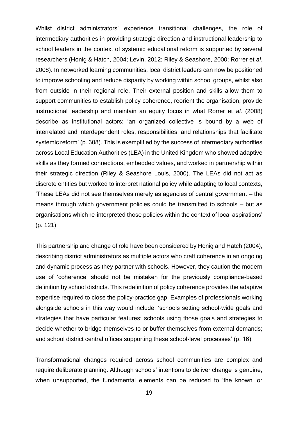Whilst district administrators' experience transitional challenges, the role of intermediary authorities in providing strategic direction and instructional leadership to school leaders in the context of systemic educational reform is supported by several researchers (Honig & Hatch, 2004; Levin, 2012; Riley & Seashore, 2000; Rorrer et *al*. 2008). In networked learning communities, local district leaders can now be positioned to improve schooling and reduce disparity by working within school groups, whilst also from outside in their regional role. Their external position and skills allow them to support communities to establish policy coherence, reorient the organisation, provide instructional leadership and maintain an equity focus in what Rorrer et *al.* (2008) describe as institutional actors: 'an organized collective is bound by a web of interrelated and interdependent roles, responsibilities, and relationships that facilitate systemic reform' (p. 308). This is exemplified by the success of intermediary authorities across Local Education Authorities (LEA) in the United Kingdom who showed adaptive skills as they formed connections, embedded values, and worked in partnership within their strategic direction (Riley & Seashore Louis, 2000). The LEAs did not act as discrete entities but worked to interpret national policy while adapting to local contexts, 'These LEAs did not see themselves merely as agencies of central government – the means through which government policies could be transmitted to schools – but as organisations which re-interpreted those policies within the context of local aspirations' (p. 121).

This partnership and change of role have been considered by Honig and Hatch (2004), describing district administrators as multiple actors who craft coherence in an ongoing and dynamic process as they partner with schools. However, they caution the modern use of 'coherence' should not be mistaken for the previously compliance-based definition by school districts. This redefinition of policy coherence provides the adaptive expertise required to close the policy-practice gap. Examples of professionals working alongside schools in this way would include: 'schools setting school-wide goals and strategies that have particular features; schools using those goals and strategies to decide whether to bridge themselves to or buffer themselves from external demands; and school district central offices supporting these school-level processes' (p. 16).

Transformational changes required across school communities are complex and require deliberate planning. Although schools' intentions to deliver change is genuine, when unsupported, the fundamental elements can be reduced to 'the known' or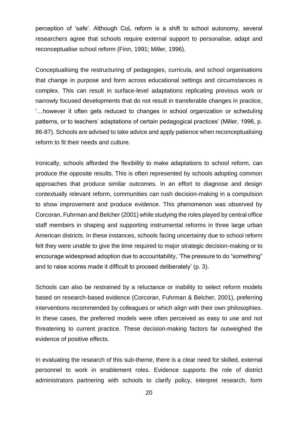perception of 'safe'. Although CoL reform is a shift to school autonomy, several researchers agree that schools require external support to personalise, adapt and reconceptualise school reform (Finn, 1991; Miller, 1996).

Conceptualising the restructuring of pedagogies, curricula, and school organisations that change in purpose and form across educational settings and circumstances is complex. This can result in surface-level adaptations replicating previous work or narrowly focused developments that do not result in transferable changes in practice, '…however it often gets reduced to changes in school organization or scheduling patterns, or to teachers' adaptations of certain pedagogical practices' (Miller, 1996, p. 86-87). Schools are advised to take advice and apply patience when reconceptualising reform to fit their needs and culture.

Ironically, schools afforded the flexibility to make adaptations to school reform, can produce the opposite results. This is often represented by schools adopting common approaches that produce similar outcomes. In an effort to diagnose and design contextually relevant reform, communities can rush decision-making in a compulsion to show improvement and produce evidence. This phenomenon was observed by Corcoran, Fuhrman and Belcher (2001) while studying the roles played by central office staff members in shaping and supporting instrumental reforms in three large urban American districts. In these instances, schools facing uncertainty due to school reform felt they were unable to give the time required to major strategic decision-making or to encourage widespread adoption due to accountability, 'The pressure to do "something" and to raise scores made it difficult to proceed deliberately' (p. 3).

Schools can also be restrained by a reluctance or inability to select reform models based on research-based evidence (Corcoran, Fuhrman & Belcher, 2001), preferring interventions recommended by colleagues or which align with their own philosophies. In these cases, the preferred models were often perceived as easy to use and not threatening to current practice. These decision-making factors far outweighed the evidence of positive effects.

In evaluating the research of this sub-theme, there is a clear need for skilled, external personnel to work in enablement roles. Evidence supports the role of district administrators partnering with schools to clarify policy, interpret research, form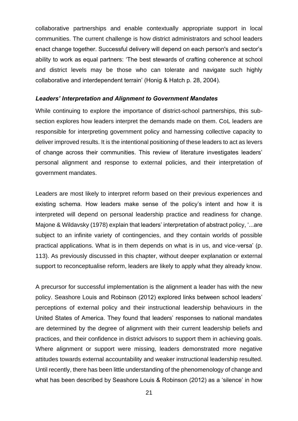collaborative partnerships and enable contextually appropriate support in local communities. The current challenge is how district administrators and school leaders enact change together. Successful delivery will depend on each person's and sector's ability to work as equal partners: 'The best stewards of crafting coherence at school and district levels may be those who can tolerate and navigate such highly collaborative and interdependent terrain' (Honig & Hatch p. 28, 2004).

#### *Leaders' Interpretation and Alignment to Government Mandates*

While continuing to explore the importance of district-school partnerships, this subsection explores how leaders interpret the demands made on them. CoL leaders are responsible for interpreting government policy and harnessing collective capacity to deliver improved results. It is the intentional positioning of these leaders to act as levers of change across their communities. This review of literature investigates leaders' personal alignment and response to external policies, and their interpretation of government mandates.

Leaders are most likely to interpret reform based on their previous experiences and existing schema. How leaders make sense of the policy's intent and how it is interpreted will depend on personal leadership practice and readiness for change. Majone & Wildavsky (1978) explain that leaders' interpretation of abstract policy, '...are subject to an infinite variety of contingencies, and they contain worlds of possible practical applications. What is in them depends on what is in us, and vice-versa' (p. 113). As previously discussed in this chapter, without deeper explanation or external support to reconceptualise reform, leaders are likely to apply what they already know.

A precursor for successful implementation is the alignment a leader has with the new policy. Seashore Louis and Robinson (2012) explored links between school leaders' perceptions of external policy and their instructional leadership behaviours in the United States of America. They found that leaders' responses to national mandates are determined by the degree of alignment with their current leadership beliefs and practices, and their confidence in district advisors to support them in achieving goals. Where alignment or support were missing, leaders demonstrated more negative attitudes towards external accountability and weaker instructional leadership resulted. Until recently, there has been little understanding of the phenomenology of change and what has been described by Seashore Louis & Robinson (2012) as a 'silence' in how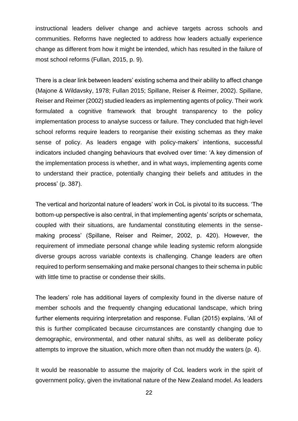instructional leaders deliver change and achieve targets across schools and communities. Reforms have neglected to address how leaders actually experience change as different from how it might be intended, which has resulted in the failure of most school reforms (Fullan, 2015, p. 9).

There is a clear link between leaders' existing schema and their ability to affect change (Majone & Wildavsky, 1978; Fullan 2015; Spillane, Reiser & Reimer, 2002). Spillane, Reiser and Reimer (2002) studied leaders as implementing agents of policy. Their work formulated a cognitive framework that brought transparency to the policy implementation process to analyse success or failure. They concluded that high-level school reforms require leaders to reorganise their existing schemas as they make sense of policy. As leaders engage with policy-makers' intentions, successful indicators included changing behaviours that evolved over time: 'A key dimension of the implementation process is whether, and in what ways, implementing agents come to understand their practice, potentially changing their beliefs and attitudes in the process' (p. 387).

The vertical and horizontal nature of leaders' work in CoL is pivotal to its success. 'The bottom-up perspective is also central, in that implementing agents' scripts or schemata, coupled with their situations, are fundamental constituting elements in the sensemaking process' (Spillane, Reiser and Reimer, 2002, p. 420). However, the requirement of immediate personal change while leading systemic reform alongside diverse groups across variable contexts is challenging. Change leaders are often required to perform sensemaking and make personal changes to their schema in public with little time to practise or condense their skills.

The leaders' role has additional layers of complexity found in the diverse nature of member schools and the frequently changing educational landscape, which bring further elements requiring interpretation and response. Fullan (2015) explains, 'All of this is further complicated because circumstances are constantly changing due to demographic, environmental, and other natural shifts, as well as deliberate policy attempts to improve the situation, which more often than not muddy the waters (p. 4).

It would be reasonable to assume the majority of CoL leaders work in the spirit of government policy, given the invitational nature of the New Zealand model. As leaders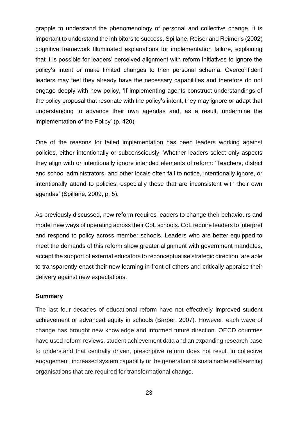grapple to understand the phenomenology of personal and collective change, it is important to understand the inhibitors to success. Spillane, Reiser and Reimer's (2002) cognitive framework Illuminated explanations for implementation failure, explaining that it is possible for leaders' perceived alignment with reform initiatives to ignore the policy's intent or make limited changes to their personal schema. Overconfident leaders may feel they already have the necessary capabilities and therefore do not engage deeply with new policy, 'If implementing agents construct understandings of the policy proposal that resonate with the policy's intent, they may ignore or adapt that understanding to advance their own agendas and, as a result, undermine the implementation of the Policy' (p. 420).

One of the reasons for failed implementation has been leaders working against policies, either intentionally or subconsciously. Whether leaders select only aspects they align with or intentionally ignore intended elements of reform: 'Teachers, district and school administrators, and other locals often fail to notice, intentionally ignore, or intentionally attend to policies, especially those that are inconsistent with their own agendas' (Spillane, 2009, p. 5).

As previously discussed, new reform requires leaders to change their behaviours and model new ways of operating across their CoL schools. CoL require leaders to interpret and respond to policy across member schools. Leaders who are better equipped to meet the demands of this reform show greater alignment with government mandates, accept the support of external educators to reconceptualise strategic direction, are able to transparently enact their new learning in front of others and critically appraise their delivery against new expectations.

#### **Summary**

The last four decades of educational reform have not effectively improved student achievement or advanced equity in schools (Barber, 2007). However, each wave of change has brought new knowledge and informed future direction. OECD countries have used reform reviews, student achievement data and an expanding research base to understand that centrally driven, prescriptive reform does not result in collective engagement, increased system capability or the generation of sustainable self-learning organisations that are required for transformational change.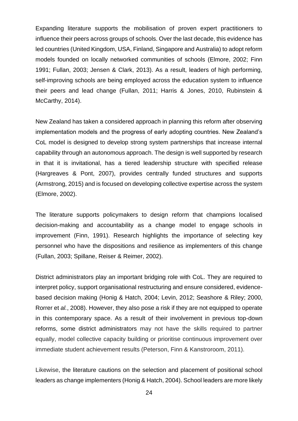Expanding literature supports the mobilisation of proven expert practitioners to influence their peers across groups of schools. Over the last decade, this evidence has led countries (United Kingdom, USA, Finland, Singapore and Australia) to adopt reform models founded on locally networked communities of schools (Elmore, 2002; Finn 1991; Fullan, 2003; Jensen & Clark, 2013). As a result, leaders of high performing, self-improving schools are being employed across the education system to influence their peers and lead change (Fullan, 2011; Harris & Jones, 2010, Rubinstein & McCarthy, 2014).

New Zealand has taken a considered approach in planning this reform after observing implementation models and the progress of early adopting countries. New Zealand's CoL model is designed to develop strong system partnerships that increase internal capability through an autonomous approach. The design is well supported by research in that it is invitational, has a tiered leadership structure with specified release (Hargreaves & Pont, 2007), provides centrally funded structures and supports (Armstrong, 2015) and is focused on developing collective expertise across the system (Elmore, 2002).

The literature supports policymakers to design reform that champions localised decision-making and accountability as a change model to engage schools in improvement (Finn, 1991). Research highlights the importance of selecting key personnel who have the dispositions and resilience as implementers of this change (Fullan, 2003; Spillane, Reiser & Reimer, 2002).

District administrators play an important bridging role with CoL. They are required to interpret policy, support organisational restructuring and ensure considered, evidencebased decision making (Honig & Hatch, 2004; Levin, 2012; Seashore & Riley; 2000, Rorrer et *al.*, 2008). However, they also pose a risk if they are not equipped to operate in this contemporary space. As a result of their involvement in previous top-down reforms, some district administrators may not have the skills required to partner equally, model collective capacity building or prioritise continuous improvement over immediate student achievement results (Peterson, Finn & Kanstroroom, 2011).

Likewise, the literature cautions on the selection and placement of positional school leaders as change implementers (Honig & Hatch, 2004). School leaders are more likely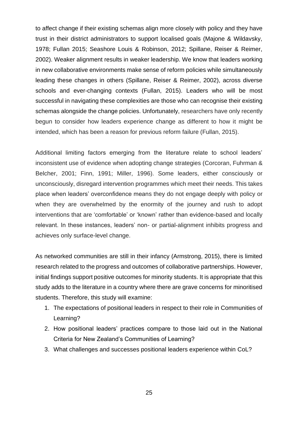to affect change if their existing schemas align more closely with policy and they have trust in their district administrators to support localised goals (Majone & Wildavsky, 1978; Fullan 2015; Seashore Louis & Robinson, 2012; Spillane, Reiser & Reimer, 2002). Weaker alignment results in weaker leadership. We know that leaders working in new collaborative environments make sense of reform policies while simultaneously leading these changes in others (Spillane, Reiser & Reimer, 2002), across diverse schools and ever-changing contexts (Fullan, 2015). Leaders who will be most successful in navigating these complexities are those who can recognise their existing schemas alongside the change policies. Unfortunately, researchers have only recently begun to consider how leaders experience change as different to how it might be intended, which has been a reason for previous reform failure (Fullan, 2015).

Additional limiting factors emerging from the literature relate to school leaders' inconsistent use of evidence when adopting change strategies (Corcoran, Fuhrman & Belcher, 2001; Finn, 1991; Miller, 1996). Some leaders, either consciously or unconsciously, disregard intervention programmes which meet their needs. This takes place when leaders' overconfidence means they do not engage deeply with policy or when they are overwhelmed by the enormity of the journey and rush to adopt interventions that are 'comfortable' or 'known' rather than evidence-based and locally relevant. In these instances, leaders' non- or partial-alignment inhibits progress and achieves only surface-level change.

As networked communities are still in their infancy (Armstrong, 2015), there is limited research related to the progress and outcomes of collaborative partnerships. However, initial findings support positive outcomes for minority students. It is appropriate that this study adds to the literature in a country where there are grave concerns for minoritised students. Therefore, this study will examine:

- 1. The expectations of positional leaders in respect to their role in Communities of Learning?
- 2. How positional leaders' practices compare to those laid out in the National Criteria for New Zealand's Communities of Learning?
- 3. What challenges and successes positional leaders experience within CoL?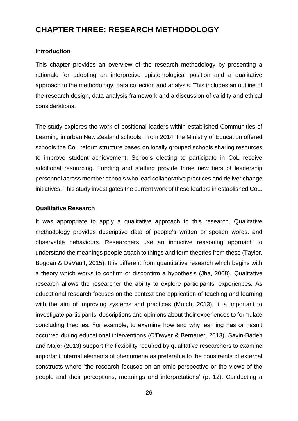# **CHAPTER THREE: RESEARCH METHODOLOGY**

### **Introduction**

This chapter provides an overview of the research methodology by presenting a rationale for adopting an interpretive epistemological position and a qualitative approach to the methodology, data collection and analysis. This includes an outline of the research design, data analysis framework and a discussion of validity and ethical considerations.

The study explores the work of positional leaders within established Communities of Learning in urban New Zealand schools. From 2014, the Ministry of Education offered schools the CoL reform structure based on locally grouped schools sharing resources to improve student achievement. Schools electing to participate in CoL receive additional resourcing. Funding and staffing provide three new tiers of leadership personnel across member schools who lead collaborative practices and deliver change initiatives. This study investigates the current work of these leaders in established CoL.

### **Qualitative Research**

It was appropriate to apply a qualitative approach to this research. Qualitative methodology provides descriptive data of people's written or spoken words, and observable behaviours. Researchers use an inductive reasoning approach to understand the meanings people attach to things and form theories from these (Taylor, Bogdan & DeVault, 2015). It is different from quantitative research which begins with a theory which works to confirm or disconfirm a hypothesis (Jha, 2008). Qualitative research allows the researcher the ability to explore participants' experiences. As educational research focuses on the context and application of teaching and learning with the aim of improving systems and practices (Mutch, 2013), it is important to investigate participants' descriptions and opinions about their experiences to formulate concluding theories. For example, to examine how and why learning has or hasn't occurred during educational interventions (O'Dwyer & Bernauer, 2013). Savin-Baden and Major (2013) support the flexibility required by qualitative researchers to examine important internal elements of phenomena as preferable to the constraints of external constructs where 'the research focuses on an emic perspective or the views of the people and their perceptions, meanings and interpretations' (p. 12). Conducting a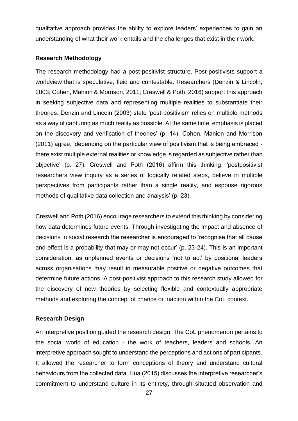qualitative approach provides the ability to explore leaders' experiences to gain an understanding of what their work entails and the challenges that exist in their work.

#### **Research Methodology**

The research methodology had a post-positivist structure. Post-positivists support a worldview that is speculative, fluid and contestable. Researchers (Denzin & Lincoln, 2003; Cohen, Manion & Morrison, 2011; Creswell & Poth, 2016) support this approach in seeking subjective data and representing multiple realities to substantiate their theories. Denzin and Lincoln (2003) state 'post-positivism relies on multiple methods as a way of capturing as much reality as possible. At the same time, emphasis is placed on the discovery and verification of theories' (p. 14). Cohen, Manion and Morrison (2011) agree, 'depending on the particular view of positivism that is being embraced there exist multiple external realities or knowledge is regarded as subjective rather than objective' (p. 27). Creswell and Poth (2016) affirm this thinking: 'postpositivist researchers view inquiry as a series of logically related steps, believe in multiple perspectives from participants rather than a single reality, and espouse rigorous methods of qualitative data collection and analysis' (p. 23).

Creswell and Poth (2016) encourage researchers to extend this thinking by considering how data determines future events. Through investigating the impact and absence of decisions in social research the researcher is encouraged to 'recognise that all cause and effect is a probability that may or may not occur' (p. 23-24). This is an important consideration, as unplanned events or decisions 'not to act' by positional leaders across organisations may result in measurable positive or negative outcomes that determine future actions. A post-positivist approach to this research study allowed for the discovery of new theories by selecting flexible and contextually appropriate methods and exploring the concept of chance or inaction within the CoL context.

### **Research Design**

An interpretive position guided the research design. The CoL phenomenon pertains to the social world of education - the work of teachers, leaders and schools. An interpretive approach sought to understand the perceptions and actions of participants. It allowed the researcher to form conceptions of theory and understand cultural behaviours from the collected data. Hua (2015) discusses the interpretive researcher's commitment to understand culture in its entirety, through situated observation and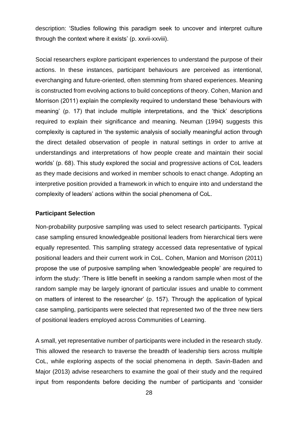description: 'Studies following this paradigm seek to uncover and interpret culture through the context where it exists' (p. xxvii-xxviii).

Social researchers explore participant experiences to understand the purpose of their actions. In these instances, participant behaviours are perceived as intentional, everchanging and future-oriented, often stemming from shared experiences. Meaning is constructed from evolving actions to build conceptions of theory. Cohen, Manion and Morrison (2011) explain the complexity required to understand these 'behaviours with meaning' (p. 17) that include multiple interpretations, and the 'thick' descriptions required to explain their significance and meaning. Neuman (1994) suggests this complexity is captured in 'the systemic analysis of socially meaningful action through the direct detailed observation of people in natural settings in order to arrive at understandings and interpretations of how people create and maintain their social worlds' (p. 68). This study explored the social and progressive actions of CoL leaders as they made decisions and worked in member schools to enact change. Adopting an interpretive position provided a framework in which to enquire into and understand the complexity of leaders' actions within the social phenomena of CoL.

#### **Participant Selection**

Non-probability purposive sampling was used to select research participants. Typical case sampling ensured knowledgeable positional leaders from hierarchical tiers were equally represented. This sampling strategy accessed data representative of typical positional leaders and their current work in CoL. Cohen, Manion and Morrison (2011) propose the use of purposive sampling when 'knowledgeable people' are required to inform the study: 'There is little benefit in seeking a random sample when most of the random sample may be largely ignorant of particular issues and unable to comment on matters of interest to the researcher' (p. 157). Through the application of typical case sampling, participants were selected that represented two of the three new tiers of positional leaders employed across Communities of Learning.

A small, yet representative number of participants were included in the research study. This allowed the research to traverse the breadth of leadership tiers across multiple CoL, while exploring aspects of the social phenomena in depth. Savin-Baden and Major (2013) advise researchers to examine the goal of their study and the required input from respondents before deciding the number of participants and 'consider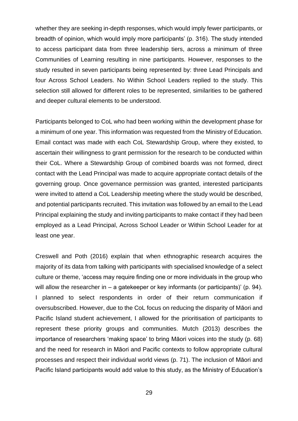whether they are seeking in-depth responses, which would imply fewer participants, or breadth of opinion, which would imply more participants' (p. 316). The study intended to access participant data from three leadership tiers, across a minimum of three Communities of Learning resulting in nine participants. However, responses to the study resulted in seven participants being represented by: three Lead Principals and four Across School Leaders. No Within School Leaders replied to the study. This selection still allowed for different roles to be represented, similarities to be gathered and deeper cultural elements to be understood.

Participants belonged to CoL who had been working within the development phase for a minimum of one year. This information was requested from the Ministry of Education. Email contact was made with each CoL Stewardship Group, where they existed, to ascertain their willingness to grant permission for the research to be conducted within their CoL. Where a Stewardship Group of combined boards was not formed, direct contact with the Lead Principal was made to acquire appropriate contact details of the governing group. Once governance permission was granted, interested participants were invited to attend a CoL Leadership meeting where the study would be described, and potential participants recruited. This invitation was followed by an email to the Lead Principal explaining the study and inviting participants to make contact if they had been employed as a Lead Principal, Across School Leader or Within School Leader for at least one year.

Creswell and Poth (2016) explain that when ethnographic research acquires the majority of its data from talking with participants with specialised knowledge of a select culture or theme, 'access may require finding one or more individuals in the group who will allow the researcher in – a gatekeeper or key informants (or participants)' (p. 94). I planned to select respondents in order of their return communication if oversubscribed. However, due to the CoL focus on reducing the disparity of Māori and Pacific Island student achievement, I allowed for the prioritisation of participants to represent these priority groups and communities. Mutch (2013) describes the importance of researchers 'making space' to bring Māori voices into the study (p. 68) and the need for research in Māori and Pacific contexts to follow appropriate cultural processes and respect their individual world views (p. 71). The inclusion of Māori and Pacific Island participants would add value to this study, as the Ministry of Education's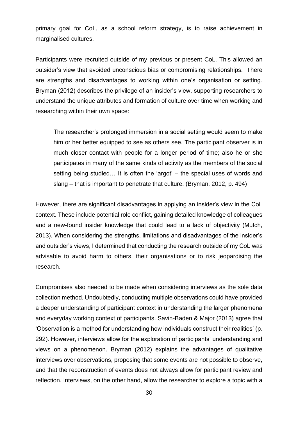primary goal for CoL, as a school reform strategy, is to raise achievement in marginalised cultures.

Participants were recruited outside of my previous or present CoL. This allowed an outsider's view that avoided unconscious bias or compromising relationships. There are strengths and disadvantages to working within one's organisation or setting. Bryman (2012) describes the privilege of an insider's view, supporting researchers to understand the unique attributes and formation of culture over time when working and researching within their own space:

The researcher's prolonged immersion in a social setting would seem to make him or her better equipped to see as others see. The participant observer is in much closer contact with people for a longer period of time; also he or she participates in many of the same kinds of activity as the members of the social setting being studied… It is often the 'argot' – the special uses of words and slang – that is important to penetrate that culture. (Bryman, 2012, p. 494)

However, there are significant disadvantages in applying an insider's view in the CoL context. These include potential role conflict, gaining detailed knowledge of colleagues and a new-found insider knowledge that could lead to a lack of objectivity (Mutch, 2013). When considering the strengths, limitations and disadvantages of the insider's and outsider's views, I determined that conducting the research outside of my CoL was advisable to avoid harm to others, their organisations or to risk jeopardising the research.

Compromises also needed to be made when considering interviews as the sole data collection method. Undoubtedly, conducting multiple observations could have provided a deeper understanding of participant context in understanding the larger phenomena and everyday working context of participants. Savin-Baden & Major (2013) agree that 'Observation is a method for understanding how individuals construct their realities' (p. 292). However, interviews allow for the exploration of participants' understanding and views on a phenomenon. Bryman (2012) explains the advantages of qualitative interviews over observations, proposing that some events are not possible to observe, and that the reconstruction of events does not always allow for participant review and reflection. Interviews, on the other hand, allow the researcher to explore a topic with a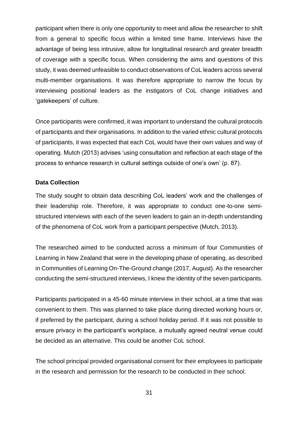participant when there is only one opportunity to meet and allow the researcher to shift from a general to specific focus within a limited time frame. Interviews have the advantage of being less intrusive, allow for longitudinal research and greater breadth of coverage with a specific focus. When considering the aims and questions of this study, it was deemed unfeasible to conduct observations of CoL leaders across several multi-member organisations. It was therefore appropriate to narrow the focus by interviewing positional leaders as the instigators of CoL change initiatives and 'gatekeepers' of culture.

Once participants were confirmed, it was important to understand the cultural protocols of participants and their organisations. In addition to the varied ethnic cultural protocols of participants, it was expected that each CoL would have their own values and way of operating. Mutch (2013) advises 'using consultation and reflection at each stage of the process to enhance research in cultural settings outside of one's own' (p. 87).

## **Data Collection**

The study sought to obtain data describing CoL leaders' work and the challenges of their leadership role. Therefore, it was appropriate to conduct one-to-one semistructured interviews with each of the seven leaders to gain an in-depth understanding of the phenomena of CoL work from a participant perspective (Mutch, 2013).

The researched aimed to be conducted across a minimum of four Communities of Learning in New Zealand that were in the developing phase of operating, as described in Communities of Learning On-The-Ground change (2017, August). As the researcher conducting the semi-structured interviews, I knew the identity of the seven participants.

Participants participated in a 45-60 minute interview in their school, at a time that was convenient to them. This was planned to take place during directed working hours or, if preferred by the participant, during a school holiday period. If it was not possible to ensure privacy in the participant's workplace, a mutually agreed neutral venue could be decided as an alternative. This could be another CoL school.

The school principal provided organisational consent for their employees to participate in the research and permission for the research to be conducted in their school.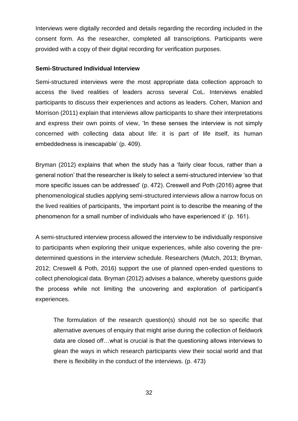Interviews were digitally recorded and details regarding the recording included in the consent form. As the researcher, completed all transcriptions. Participants were provided with a copy of their digital recording for verification purposes.

#### **Semi-Structured Individual Interview**

Semi-structured interviews were the most appropriate data collection approach to access the lived realities of leaders across several CoL. Interviews enabled participants to discuss their experiences and actions as leaders. Cohen, Manion and Morrison (2011) explain that interviews allow participants to share their interpretations and express their own points of view, 'In these senses the interview is not simply concerned with collecting data about life: it is part of life itself, its human embeddedness is inescapable' (p. 409).

Bryman (2012) explains that when the study has a 'fairly clear focus, rather than a general notion' that the researcher is likely to select a semi-structured interview 'so that more specific issues can be addressed' (p. 472). Creswell and Poth (2016) agree that phenomenological studies applying semi-structured interviews allow a narrow focus on the lived realities of participants, 'the important point is to describe the meaning of the phenomenon for a small number of individuals who have experienced it' (p. 161).

A semi-structured interview process allowed the interview to be individually responsive to participants when exploring their unique experiences, while also covering the predetermined questions in the interview schedule. Researchers (Mutch, 2013; Bryman, 2012; Creswell & Poth, 2016) support the use of planned open-ended questions to collect phenological data. Bryman (2012) advises a balance, whereby questions guide the process while not limiting the uncovering and exploration of participant's experiences.

The formulation of the research question(s) should not be so specific that alternative avenues of enquiry that might arise during the collection of fieldwork data are closed off…what is crucial is that the questioning allows interviews to glean the ways in which research participants view their social world and that there is flexibility in the conduct of the interviews. (p. 473)

32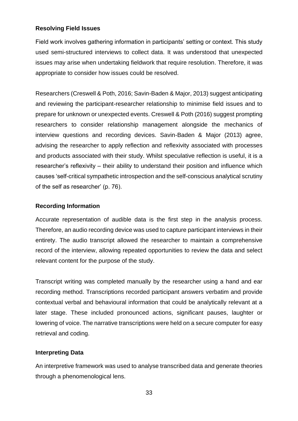## **Resolving Field Issues**

Field work involves gathering information in participants' setting or context. This study used semi-structured interviews to collect data. It was understood that unexpected issues may arise when undertaking fieldwork that require resolution. Therefore, it was appropriate to consider how issues could be resolved.

Researchers (Creswell & Poth, 2016; Savin-Baden & Major, 2013) suggest anticipating and reviewing the participant-researcher relationship to minimise field issues and to prepare for unknown or unexpected events. Creswell & Poth (2016) suggest prompting researchers to consider relationship management alongside the mechanics of interview questions and recording devices. Savin-Baden & Major (2013) agree, advising the researcher to apply reflection and reflexivity associated with processes and products associated with their study. Whilst speculative reflection is useful, it is a researcher's reflexivity – their ability to understand their position and influence which causes 'self-critical sympathetic introspection and the self-conscious analytical scrutiny of the self as researcher' (p. 76).

## **Recording Information**

Accurate representation of audible data is the first step in the analysis process. Therefore, an audio recording device was used to capture participant interviews in their entirety. The audio transcript allowed the researcher to maintain a comprehensive record of the interview, allowing repeated opportunities to review the data and select relevant content for the purpose of the study.

Transcript writing was completed manually by the researcher using a hand and ear recording method. Transcriptions recorded participant answers verbatim and provide contextual verbal and behavioural information that could be analytically relevant at a later stage. These included pronounced actions, significant pauses, laughter or lowering of voice. The narrative transcriptions were held on a secure computer for easy retrieval and coding.

## **Interpreting Data**

An interpretive framework was used to analyse transcribed data and generate theories through a phenomenological lens.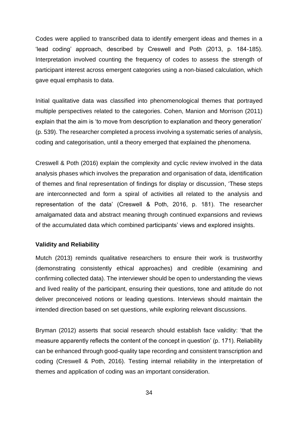Codes were applied to transcribed data to identify emergent ideas and themes in a 'lead coding' approach, described by Creswell and Poth (2013, p. 184-185). Interpretation involved counting the frequency of codes to assess the strength of participant interest across emergent categories using a non-biased calculation, which gave equal emphasis to data.

Initial qualitative data was classified into phenomenological themes that portrayed multiple perspectives related to the categories. Cohen, Manion and Morrison (2011) explain that the aim is 'to move from description to explanation and theory generation' (p. 539). The researcher completed a process involving a systematic series of analysis, coding and categorisation, until a theory emerged that explained the phenomena.

Creswell & Poth (2016) explain the complexity and cyclic review involved in the data analysis phases which involves the preparation and organisation of data, identification of themes and final representation of findings for display or discussion, 'These steps are interconnected and form a spiral of activities all related to the analysis and representation of the data' (Creswell & Poth, 2016, p. 181). The researcher amalgamated data and abstract meaning through continued expansions and reviews of the accumulated data which combined participants' views and explored insights.

## **Validity and Reliability**

Mutch (2013) reminds qualitative researchers to ensure their work is trustworthy (demonstrating consistently ethical approaches) and credible (examining and confirming collected data). The interviewer should be open to understanding the views and lived reality of the participant, ensuring their questions, tone and attitude do not deliver preconceived notions or leading questions. Interviews should maintain the intended direction based on set questions, while exploring relevant discussions.

Bryman (2012) asserts that social research should establish face validity: 'that the measure apparently reflects the content of the concept in question' (p. 171). Reliability can be enhanced through good-quality tape recording and consistent transcription and coding (Creswell & Poth, 2016). Testing internal reliability in the interpretation of themes and application of coding was an important consideration.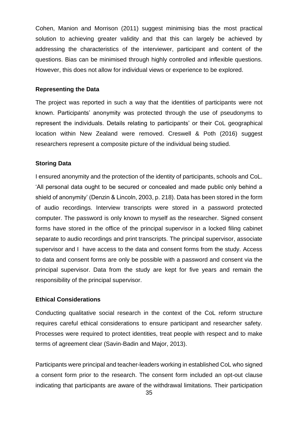Cohen, Manion and Morrison (2011) suggest minimising bias the most practical solution to achieving greater validity and that this can largely be achieved by addressing the characteristics of the interviewer, participant and content of the questions. Bias can be minimised through highly controlled and inflexible questions. However, this does not allow for individual views or experience to be explored.

#### **Representing the Data**

The project was reported in such a way that the identities of participants were not known. Participants' anonymity was protected through the use of pseudonyms to represent the individuals. Details relating to participants' or their CoL geographical location within New Zealand were removed. Creswell & Poth (2016) suggest researchers represent a composite picture of the individual being studied.

### **Storing Data**

I ensured anonymity and the protection of the identity of participants, schools and CoL. 'All personal data ought to be secured or concealed and made public only behind a shield of anonymity' (Denzin & Lincoln, 2003, p. 218). Data has been stored in the form of audio recordings. Interview transcripts were stored in a password protected computer. The password is only known to myself as the researcher. Signed consent forms have stored in the office of the principal supervisor in a locked filing cabinet separate to audio recordings and print transcripts. The principal supervisor, associate supervisor and I have access to the data and consent forms from the study. Access to data and consent forms are only be possible with a password and consent via the principal supervisor. Data from the study are kept for five years and remain the responsibility of the principal supervisor.

### **Ethical Considerations**

Conducting qualitative social research in the context of the CoL reform structure requires careful ethical considerations to ensure participant and researcher safety. Processes were required to protect identities, treat people with respect and to make terms of agreement clear (Savin-Badin and Major, 2013).

Participants were principal and teacher-leaders working in established CoL who signed a consent form prior to the research. The consent form included an opt-out clause indicating that participants are aware of the withdrawal limitations. Their participation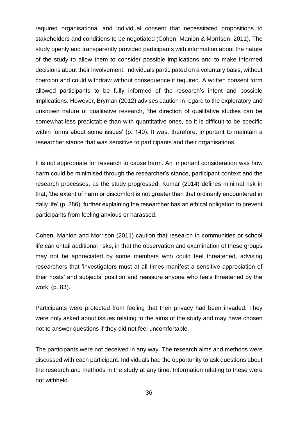required organisational and individual consent that necessitated propositions to stakeholders and conditions to be negotiated (Cohen, Manion & Morrison, 2011). The study openly and transparently provided participants with information about the nature of the study to allow them to consider possible implications and to make informed decisions about their involvement. Individuals participated on a voluntary basis, without coercion and could withdraw without consequence if required. A written consent form allowed participants to be fully informed of the research's intent and possible implications. However, Bryman (2012) advises caution in regard to the exploratory and unknown nature of qualitative research, 'the direction of qualitative studies can be somewhat less predictable than with quantitative ones, so it is difficult to be specific within forms about some issues' (p. 140). It was, therefore, important to maintain a researcher stance that was sensitive to participants and their organisations.

It is not appropriate for research to cause harm. An important consideration was how harm could be minimised through the researcher's stance, participant context and the research processes, as the study progressed. Kumar (2014) defines minimal risk in that, 'the extent of harm or discomfort is not greater than that ordinarily encountered in daily life' (p. 286), further explaining the researcher has an ethical obligation to prevent participants from feeling anxious or harassed.

Cohen, Manion and Morrison (2011) caution that research in communities or school life can entail additional risks, in that the observation and examination of these groups may not be appreciated by some members who could feel threatened, advising researchers that 'investigators must at all times manifest a sensitive appreciation of their hosts' and subjects' position and reassure anyone who feels threatened by the work' (p. 83).

Participants were protected from feeling that their privacy had been invaded. They were only asked about issues relating to the aims of the study and may have chosen not to answer questions if they did not feel uncomfortable.

The participants were not deceived in any way. The research aims and methods were discussed with each participant. Individuals had the opportunity to ask questions about the research and methods in the study at any time. Information relating to these were not withheld.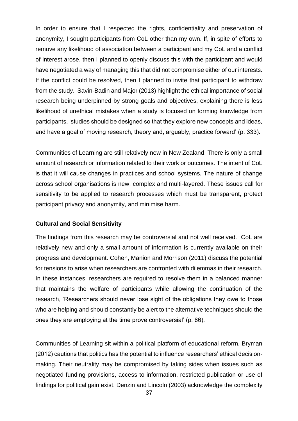In order to ensure that I respected the rights, confidentiality and preservation of anonymity, I sought participants from CoL other than my own. If, in spite of efforts to remove any likelihood of association between a participant and my CoL and a conflict of interest arose, then I planned to openly discuss this with the participant and would have negotiated a way of managing this that did not compromise either of our interests. If the conflict could be resolved, then I planned to invite that participant to withdraw from the study. Savin-Badin and Major (2013) highlight the ethical importance of social research being underpinned by strong goals and objectives, explaining there is less likelihood of unethical mistakes when a study is focused on forming knowledge from participants, 'studies should be designed so that they explore new concepts and ideas, and have a goal of moving research, theory and, arguably, practice forward' (p. 333).

Communities of Learning are still relatively new in New Zealand. There is only a small amount of research or information related to their work or outcomes. The intent of CoL is that it will cause changes in practices and school systems. The nature of change across school organisations is new, complex and multi-layered. These issues call for sensitivity to be applied to research processes which must be transparent, protect participant privacy and anonymity, and minimise harm.

### **Cultural and Social Sensitivity**

The findings from this research may be controversial and not well received. CoL are relatively new and only a small amount of information is currently available on their progress and development. Cohen, Manion and Morrison (2011) discuss the potential for tensions to arise when researchers are confronted with dilemmas in their research. In these instances, researchers are required to resolve them in a balanced manner that maintains the welfare of participants while allowing the continuation of the research, 'Researchers should never lose sight of the obligations they owe to those who are helping and should constantly be alert to the alternative techniques should the ones they are employing at the time prove controversial' (p. 86).

Communities of Learning sit within a political platform of educational reform. Bryman (2012) cautions that politics has the potential to influence researchers' ethical decisionmaking. Their neutrality may be compromised by taking sides when issues such as negotiated funding provisions, access to information, restricted publication or use of findings for political gain exist. Denzin and Lincoln (2003) acknowledge the complexity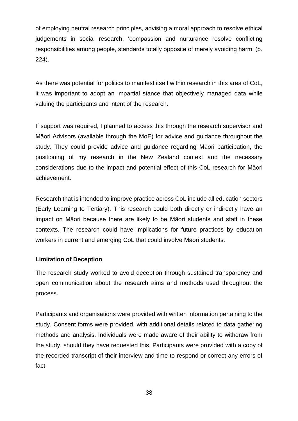of employing neutral research principles, advising a moral approach to resolve ethical judgements in social research, 'compassion and nurturance resolve conflicting responsibilities among people, standards totally opposite of merely avoiding harm' (p. 224).

As there was potential for politics to manifest itself within research in this area of CoL, it was important to adopt an impartial stance that objectively managed data while valuing the participants and intent of the research.

If support was required, I planned to access this through the research supervisor and Māori Advisors (available through the MoE) for advice and guidance throughout the study. They could provide advice and guidance regarding Māori participation, the positioning of my research in the New Zealand context and the necessary considerations due to the impact and potential effect of this CoL research for Māori achievement.

Research that is intended to improve practice across CoL include all education sectors (Early Learning to Tertiary). This research could both directly or indirectly have an impact on Māori because there are likely to be Māori students and staff in these contexts. The research could have implications for future practices by education workers in current and emerging CoL that could involve Māori students.

## **Limitation of Deception**

The research study worked to avoid deception through sustained transparency and open communication about the research aims and methods used throughout the process.

Participants and organisations were provided with written information pertaining to the study. Consent forms were provided, with additional details related to data gathering methods and analysis. Individuals were made aware of their ability to withdraw from the study, should they have requested this. Participants were provided with a copy of the recorded transcript of their interview and time to respond or correct any errors of fact.

38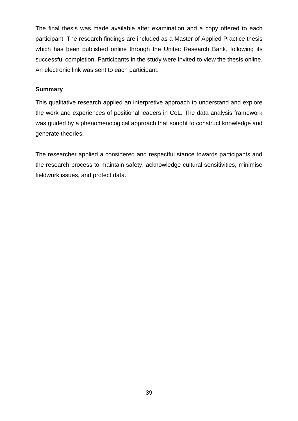The final thesis was made available after examination and a copy offered to each participant. The research findings are included as a Master of Applied Practice thesis which has been published online through the Unitec Research Bank, following its successful completion. Participants in the study were invited to view the thesis online. An electronic link was sent to each participant.

## **Summary**

This qualitative research applied an interpretive approach to understand and explore the work and experiences of positional leaders in CoL. The data analysis framework was guided by a phenomenological approach that sought to construct knowledge and generate theories.

The researcher applied a considered and respectful stance towards participants and the research process to maintain safety, acknowledge cultural sensitivities, minimise fieldwork issues, and protect data.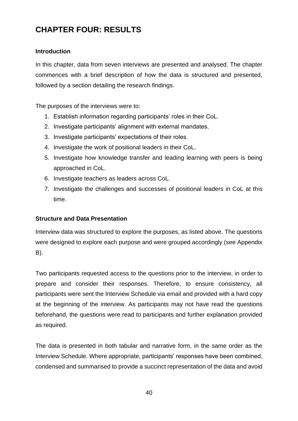# **CHAPTER FOUR: RESULTS**

## **Introduction**

In this chapter, data from seven interviews are presented and analysed. The chapter commences with a brief description of how the data is structured and presented, followed by a section detailing the research findings.

The purposes of the interviews were to:

- 1. Establish information regarding participants' roles in their CoL.
- 2. Investigate participants' alignment with external mandates.
- 3. Investigate participants' expectations of their roles.
- 4. Investigate the work of positional leaders in their CoL.
- 5. Investigate how knowledge transfer and leading learning with peers is being approached in CoL.
- 6. Investigate teachers as leaders across CoL.
- 7. Investigate the challenges and successes of positional leaders in CoL at this time.

### **Structure and Data Presentation**

Interview data was structured to explore the purposes, as listed above. The questions were designed to explore each purpose and were grouped accordingly (see Appendix B).

Two participants requested access to the questions prior to the interview, in order to prepare and consider their responses. Therefore, to ensure consistency, all participants were sent the Interview Schedule via email and provided with a hard copy at the beginning of the interview. As participants may not have read the questions beforehand, the questions were read to participants and further explanation provided as required.

The data is presented in both tabular and narrative form, in the same order as the Interview Schedule. Where appropriate, participants' responses have been combined, condensed and summarised to provide a succinct representation of the data and avoid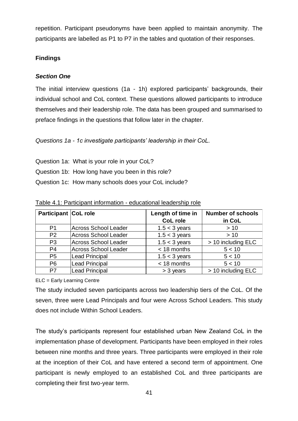repetition. Participant pseudonyms have been applied to maintain anonymity. The participants are labelled as P1 to P7 in the tables and quotation of their responses.

## **Findings**

## *Section One*

The initial interview questions (1a - 1h) explored participants' backgrounds, their individual school and CoL context. These questions allowed participants to introduce themselves and their leadership role. The data has been grouped and summarised to preface findings in the questions that follow later in the chapter.

*Questions 1a - 1c investigate participants' leadership in their CoL.*

- Question 1a: What is your role in your CoL?
- Question 1b: How long have you been in this role?
- Question 1c: How many schools does your CoL include?

| <b>Participant CoL role</b> |                             | Length of time in | <b>Number of schools</b> |
|-----------------------------|-----------------------------|-------------------|--------------------------|
|                             |                             | <b>CoL role</b>   | in CoL                   |
| P <sub>1</sub>              | <b>Across School Leader</b> | $1.5 < 3$ years   | >10                      |
| P <sub>2</sub>              | <b>Across School Leader</b> | $1.5 < 3$ years   | >10                      |
| P <sub>3</sub>              | <b>Across School Leader</b> | $1.5 < 3$ years   | > 10 including ELC       |
| P <sub>4</sub>              | <b>Across School Leader</b> | < 18 months       | 5 < 10                   |
| P <sub>5</sub>              | <b>Lead Principal</b>       | $1.5 < 3$ years   | 5 < 10                   |
| P <sub>6</sub>              | <b>Lead Principal</b>       | < 18 months       | 5 < 10                   |
| P7                          | <b>Lead Principal</b>       | $>$ 3 years       | > 10 including ELC       |

Table 4.1: Participant information - educational leadership role

ELC = Early Learning Centre

The study included seven participants across two leadership tiers of the CoL. Of the seven, three were Lead Principals and four were Across School Leaders. This study does not include Within School Leaders.

The study's participants represent four established urban New Zealand CoL in the implementation phase of development. Participants have been employed in their roles between nine months and three years. Three participants were employed in their role at the inception of their CoL and have entered a second term of appointment. One participant is newly employed to an established CoL and three participants are completing their first two-year term.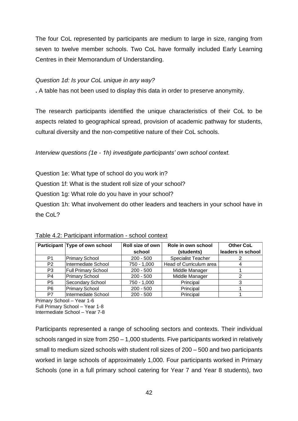The four CoL represented by participants are medium to large in size, ranging from seven to twelve member schools. Two CoL have formally included Early Learning Centres in their Memorandum of Understanding.

## *Question 1d: Is your CoL unique in any way?*

**.** A table has not been used to display this data in order to preserve anonymity.

The research participants identified the unique characteristics of their CoL to be aspects related to geographical spread, provision of academic pathway for students, cultural diversity and the non-competitive nature of their CoL schools.

## *Interview questions (1e - 1h) investigate participants' own school context.*

Question 1e: What type of school do you work in?

Question 1f: What is the student roll size of your school?

Question 1g: What role do you have in your school?

Question 1h: What involvement do other leaders and teachers in your school have in the CoL?

|                | Participant Type of own school | Roll size of own | Role in own school        | <b>Other CoL</b>  |
|----------------|--------------------------------|------------------|---------------------------|-------------------|
|                |                                | school           | (students)                | leaders in school |
| P <sub>1</sub> | <b>Primary School</b>          | $200 - 500$      | <b>Specialist Teacher</b> |                   |
| P <sub>2</sub> | Intermediate School            | 750 - 1,000      | Head of Curriculum area   |                   |
| P <sub>3</sub> | <b>Full Primary School</b>     | $200 - 500$      | Middle Manager            |                   |
| P <sub>4</sub> | <b>Primary School</b>          | $200 - 500$      | Middle Manager            |                   |
| P <sub>5</sub> | Secondary School               | 750 - 1,000      | Principal                 |                   |
| P <sub>6</sub> | <b>Primary School</b>          | $200 - 500$      | Principal                 |                   |
| P7             | Intermediate School            | $200 - 500$      | Principal                 |                   |

Table 4.2: Participant information - school context

Primary School – Year 1-6 Full Primary School – Year 1-8 Intermediate School – Year 7-8

Participants represented a range of schooling sectors and contexts. Their individual schools ranged in size from 250 – 1,000 students. Five participants worked in relatively small to medium sized schools with student roll sizes of 200 – 500 and two participants worked in large schools of approximately 1,000. Four participants worked in Primary Schools (one in a full primary school catering for Year 7 and Year 8 students), two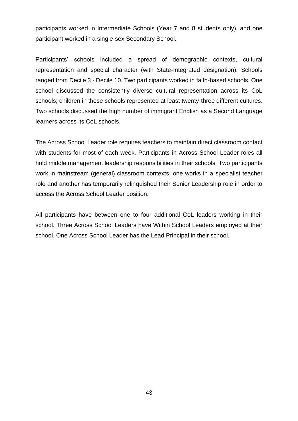participants worked in Intermediate Schools (Year 7 and 8 students only), and one participant worked in a single-sex Secondary School.

Participants' schools included a spread of demographic contexts, cultural representation and special character (with State-Integrated designation). Schools ranged from Decile 3 - Decile 10. Two participants worked in faith-based schools. One school discussed the consistently diverse cultural representation across its CoL schools; children in these schools represented at least twenty-three different cultures. Two schools discussed the high number of immigrant English as a Second Language learners across its CoL schools.

The Across School Leader role requires teachers to maintain direct classroom contact with students for most of each week. Participants in Across School Leader roles all hold middle management leadership responsibilities in their schools. Two participants work in mainstream (general) classroom contexts, one works in a specialist teacher role and another has temporarily relinquished their Senior Leadership role in order to access the Across School Leader position.

All participants have between one to four additional CoL leaders working in their school. Three Across School Leaders have Within School Leaders employed at their school. One Across School Leader has the Lead Principal in their school.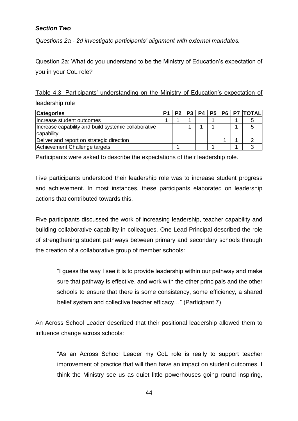## *Section Two*

*Questions 2a - 2d investigate participants' alignment with external mandates.*

Question 2a: What do you understand to be the Ministry of Education's expectation of you in your CoL role?

Table 4.3: Participants' understanding on the Ministry of Education's expectation of leadership role

| <b>Categories</b>                                                  | P1 |  |  |  | P2   P3   P4   P5   P6   P7   TOTAL |
|--------------------------------------------------------------------|----|--|--|--|-------------------------------------|
| Increase student outcomes                                          |    |  |  |  |                                     |
| Increase capability and build systemic collaborative<br>capability |    |  |  |  |                                     |
| Deliver and report on strategic direction                          |    |  |  |  |                                     |
| Achievement Challenge targets                                      |    |  |  |  |                                     |

Participants were asked to describe the expectations of their leadership role.

Five participants understood their leadership role was to increase student progress and achievement. In most instances, these participants elaborated on leadership actions that contributed towards this.

Five participants discussed the work of increasing leadership, teacher capability and building collaborative capability in colleagues. One Lead Principal described the role of strengthening student pathways between primary and secondary schools through the creation of a collaborative group of member schools:

"I guess the way I see it is to provide leadership within our pathway and make sure that pathway is effective, and work with the other principals and the other schools to ensure that there is some consistency, some efficiency, a shared belief system and collective teacher efficacy…" (Participant 7)

An Across School Leader described that their positional leadership allowed them to influence change across schools:

"As an Across School Leader my CoL role is really to support teacher improvement of practice that will then have an impact on student outcomes. I think the Ministry see us as quiet little powerhouses going round inspiring,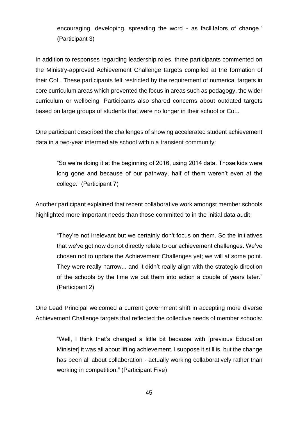encouraging, developing, spreading the word - as facilitators of change." (Participant 3)

In addition to responses regarding leadership roles, three participants commented on the Ministry-approved Achievement Challenge targets compiled at the formation of their CoL. These participants felt restricted by the requirement of numerical targets in core curriculum areas which prevented the focus in areas such as pedagogy, the wider curriculum or wellbeing. Participants also shared concerns about outdated targets based on large groups of students that were no longer in their school or CoL.

One participant described the challenges of showing accelerated student achievement data in a two-year intermediate school within a transient community:

"So we're doing it at the beginning of 2016, using 2014 data. Those kids were long gone and because of our pathway, half of them weren't even at the college." (Participant 7)

Another participant explained that recent collaborative work amongst member schools highlighted more important needs than those committed to in the initial data audit:

"They're not irrelevant but we certainly don't focus on them. So the initiatives that we've got now do not directly relate to our achievement challenges. We've chosen not to update the Achievement Challenges yet; we will at some point. They were really narrow... and it didn't really align with the strategic direction of the schools by the time we put them into action a couple of years later." (Participant 2)

One Lead Principal welcomed a current government shift in accepting more diverse Achievement Challenge targets that reflected the collective needs of member schools:

"Well, I think that's changed a little bit because with [previous Education Minister] it was all about lifting achievement. I suppose it still is, but the change has been all about collaboration - actually working collaboratively rather than working in competition." (Participant Five)

45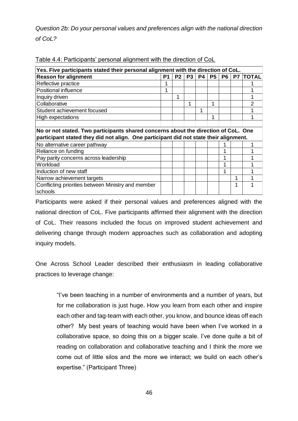*Question 2b: Do your personal values and preferences align with the national direction of CoL?* 

|                                                                                       | Yes. Five participants stated their personal alignment with the direction of CoL. |                |           |           |           |                |    |              |  |  |  |  |
|---------------------------------------------------------------------------------------|-----------------------------------------------------------------------------------|----------------|-----------|-----------|-----------|----------------|----|--------------|--|--|--|--|
| <b>Reason for alignment</b>                                                           | P1                                                                                | P <sub>2</sub> | <b>P3</b> | <b>P4</b> | <b>P5</b> | P <sub>6</sub> | P7 | <b>TOTAL</b> |  |  |  |  |
| Reflective practice                                                                   |                                                                                   |                |           |           |           |                |    |              |  |  |  |  |
| Positional influence                                                                  |                                                                                   |                |           |           |           |                |    |              |  |  |  |  |
| Inquiry driven                                                                        |                                                                                   |                |           |           |           |                |    |              |  |  |  |  |
| Collaborative                                                                         |                                                                                   |                | 1         |           | 1         |                |    |              |  |  |  |  |
| Student achievement focused                                                           |                                                                                   |                |           | 1         |           |                |    |              |  |  |  |  |
| High expectations                                                                     |                                                                                   |                |           |           | 1         |                |    |              |  |  |  |  |
|                                                                                       |                                                                                   |                |           |           |           |                |    |              |  |  |  |  |
| No or not stated. Two participants shared concerns about the direction of CoL. One    |                                                                                   |                |           |           |           |                |    |              |  |  |  |  |
| participant stated they did not align. One participant did not state their alignment. |                                                                                   |                |           |           |           |                |    |              |  |  |  |  |
| No alternative career pathway                                                         |                                                                                   |                |           |           |           |                |    |              |  |  |  |  |
| Reliance on funding                                                                   |                                                                                   |                |           |           |           |                |    |              |  |  |  |  |
| Pay parity concerns across leadership                                                 |                                                                                   |                |           |           |           | ◢              |    |              |  |  |  |  |
| Workload                                                                              |                                                                                   |                |           |           |           |                |    |              |  |  |  |  |
| Induction of new staff                                                                |                                                                                   |                |           |           |           |                |    |              |  |  |  |  |
| Narrow achievement targets                                                            |                                                                                   |                |           |           |           |                |    |              |  |  |  |  |
| Conflicting priorities between Ministry and member                                    |                                                                                   |                |           |           |           |                |    |              |  |  |  |  |
| schools                                                                               |                                                                                   |                |           |           |           |                |    |              |  |  |  |  |

| Table 4.4: Participants' personal alignment with the direction of CoL |
|-----------------------------------------------------------------------|
|                                                                       |

Participants were asked if their personal values and preferences aligned with the national direction of CoL. Five participants affirmed their alignment with the direction of CoL. Their reasons included the focus on improved student achievement and delivering change through modern approaches such as collaboration and adopting inquiry models.

One Across School Leader described their enthusiasm in leading collaborative practices to leverage change:

"I've been teaching in a number of environments and a number of years, but for me collaboration is just huge. How you learn from each other and inspire each other and tag-team with each other, you know, and bounce ideas off each other? My best years of teaching would have been when I've worked in a collaborative space, so doing this on a bigger scale. I've done quite a bit of reading on collaboration and collaborative teaching and I think the more we come out of little silos and the more we interact; we build on each other's expertise." (Participant Three)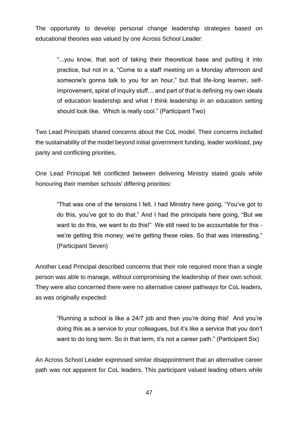The opportunity to develop personal change leadership strategies based on educational theories was valued by one Across School Leader:

"...you know, that sort of taking their theoretical base and putting it into practice, but not in a, "Come to a staff meeting on a Monday afternoon and someone's gonna talk to you for an hour," but that life-long learner, selfimprovement, spiral of inquiry stuff… and part of that is defining my own ideals of education leadership and what I think leadership in an education setting should look like. Which is really cool." (Participant Two)

Two Lead Principals shared concerns about the CoL model. Their concerns included the sustainability of the model beyond initial government funding, leader workload, pay parity and conflicting priorities.

One Lead Principal felt conflicted between delivering Ministry stated goals while honouring their member schools' differing priorities:

"That was one of the tensions I felt. I had Ministry here going, "You've got to do this, you've got to do that." And I had the principals here going, "But we want to do this, we want to do this!" We still need to be accountable for this we're getting this money; we're getting these roles. So that was interesting." (Participant Seven)

Another Lead Principal described concerns that their role required more than a single person was able to manage, without compromising the leadership of their own school. They were also concerned there were no alternative career pathways for CoL leaders, as was originally expected:

"Running a school is like a 24/7 job and then you're doing this! And you're doing this as a service to your colleagues, but it's like a service that you don't want to do long term. So in that term, it's not a career path." (Participant Six)

An Across School Leader expressed similar disappointment that an alternative career path was not apparent for CoL leaders. This participant valued leading others while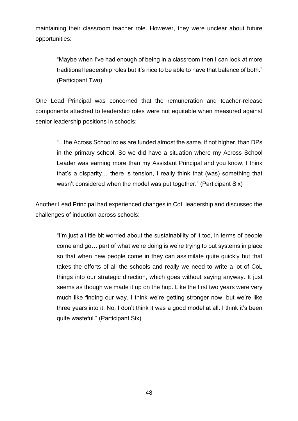maintaining their classroom teacher role. However, they were unclear about future opportunities:

"Maybe when I've had enough of being in a classroom then I can look at more traditional leadership roles but it's nice to be able to have that balance of both." (Participant Two)

One Lead Principal was concerned that the remuneration and teacher-release components attached to leadership roles were not equitable when measured against senior leadership positions in schools:

"...the Across School roles are funded almost the same, if not higher, than DPs in the primary school. So we did have a situation where my Across School Leader was earning more than my Assistant Principal and you know, I think that's a disparity… there is tension, I really think that (was) something that wasn't considered when the model was put together." (Participant Six)

Another Lead Principal had experienced changes in CoL leadership and discussed the challenges of induction across schools:

"I'm just a little bit worried about the sustainability of it too, in terms of people come and go… part of what we're doing is we're trying to put systems in place so that when new people come in they can assimilate quite quickly but that takes the efforts of all the schools and really we need to write a lot of CoL things into our strategic direction, which goes without saying anyway. It just seems as though we made it up on the hop. Like the first two years were very much like finding our way. I think we're getting stronger now, but we're like three years into it. No, I don't think it was a good model at all. I think it's been quite wasteful." (Participant Six)

48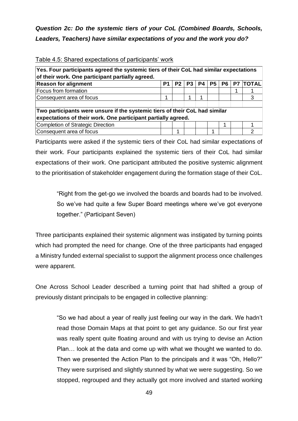## *Question 2c: Do the systemic tiers of your CoL (Combined Boards, Schools, Leaders, Teachers) have similar expectations of you and the work you do?*

| Yes. Four participants agreed the systemic tiers of their CoL had similar expectations                                                       |    |                |                |    |                |                |    |              |
|----------------------------------------------------------------------------------------------------------------------------------------------|----|----------------|----------------|----|----------------|----------------|----|--------------|
| of their work. One participant partially agreed.                                                                                             |    |                |                |    |                |                |    |              |
| <b>Reason for alignment</b>                                                                                                                  | P1 | P <sub>2</sub> | P <sub>3</sub> | P4 | P <sub>5</sub> | P <sub>6</sub> | P7 | <b>TOTAL</b> |
| Focus from formation                                                                                                                         |    |                |                |    |                |                | 1  |              |
| Consequent area of focus                                                                                                                     | 1  |                |                |    |                |                |    | 3            |
| Two participants were unsure if the systemic tiers of their CoL had similar<br>expectations of their work. One participant partially agreed. |    |                |                |    |                |                |    |              |
| Completion of Strategic Direction                                                                                                            |    |                |                |    |                | 1              |    |              |
| Consequent area of focus                                                                                                                     |    | л              |                |    |                |                |    | ⌒            |

#### Table 4.5: Shared expectations of participants' work

Participants were asked if the systemic tiers of their CoL had similar expectations of their work. Four participants explained the systemic tiers of their CoL had similar expectations of their work. One participant attributed the positive systemic alignment to the prioritisation of stakeholder engagement during the formation stage of their CoL.

"Right from the get-go we involved the boards and boards had to be involved. So we've had quite a few Super Board meetings where we've got everyone together." (Participant Seven)

Three participants explained their systemic alignment was instigated by turning points which had prompted the need for change. One of the three participants had engaged a Ministry funded external specialist to support the alignment process once challenges were apparent.

One Across School Leader described a turning point that had shifted a group of previously distant principals to be engaged in collective planning:

"So we had about a year of really just feeling our way in the dark. We hadn't read those Domain Maps at that point to get any guidance. So our first year was really spent quite floating around and with us trying to devise an Action Plan… look at the data and come up with what we thought we wanted to do. Then we presented the Action Plan to the principals and it was "Oh, Hello?" They were surprised and slightly stunned by what we were suggesting. So we stopped, regrouped and they actually got more involved and started working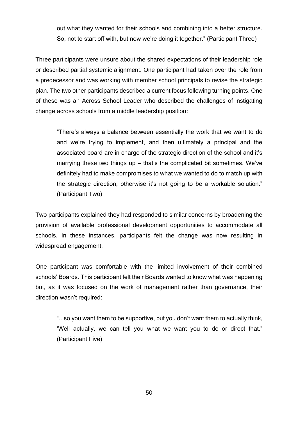out what they wanted for their schools and combining into a better structure. So, not to start off with, but now we're doing it together." (Participant Three)

Three participants were unsure about the shared expectations of their leadership role or described partial systemic alignment. One participant had taken over the role from a predecessor and was working with member school principals to revise the strategic plan. The two other participants described a current focus following turning points. One of these was an Across School Leader who described the challenges of instigating change across schools from a middle leadership position:

"There's always a balance between essentially the work that we want to do and we're trying to implement, and then ultimately a principal and the associated board are in charge of the strategic direction of the school and it's marrying these two things up – that's the complicated bit sometimes. We've definitely had to make compromises to what we wanted to do to match up with the strategic direction, otherwise it's not going to be a workable solution." (Participant Two)

Two participants explained they had responded to similar concerns by broadening the provision of available professional development opportunities to accommodate all schools. In these instances, participants felt the change was now resulting in widespread engagement.

One participant was comfortable with the limited involvement of their combined schools' Boards. This participant felt their Boards wanted to know what was happening but, as it was focused on the work of management rather than governance, their direction wasn't required:

"...so you want them to be supportive, but you don't want them to actually think, 'Well actually, we can tell you what we want you to do or direct that." (Participant Five)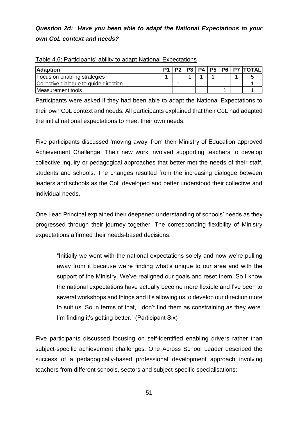## *Question 2d: Have you been able to adapt the National Expectations to your own CoL context and needs?*

| <b>Adaption</b>                        |  |  |  | P1   P2   P3   P4   P5   P6   P7   TOTAL |
|----------------------------------------|--|--|--|------------------------------------------|
| Focus on enabling strategies           |  |  |  |                                          |
| Collective dialogue to guide direction |  |  |  |                                          |
| Measurement tools                      |  |  |  |                                          |

| Table 4.6: Participants' ability to adapt National Expectations |  |  |
|-----------------------------------------------------------------|--|--|

Participants were asked if they had been able to adapt the National Expectations to their own CoL context and needs. All participants explained that their CoL had adapted the initial national expectations to meet their own needs.

Five participants discussed 'moving away' from their Ministry of Education-approved Achievement Challenge. Their new work involved supporting teachers to develop collective inquiry or pedagogical approaches that better met the needs of their staff, students and schools. The changes resulted from the increasing dialogue between leaders and schools as the CoL developed and better understood their collective and individual needs.

One Lead Principal explained their deepened understanding of schools' needs as they progressed through their journey together. The corresponding flexibility of Ministry expectations affirmed their needs-based decisions:

"Initially we went with the national expectations solely and now we're pulling away from it because we're finding what's unique to our area and with the support of the Ministry. We've realigned our goals and reset them. So I know the national expectations have actually become more flexible and I've been to several workshops and things and it's allowing us to develop our direction more to suit us. So in terms of that, I don't find them as constraining as they were. I'm finding it's getting better." (Participant Six)

Five participants discussed focusing on self-identified enabling drivers rather than subject-specific achievement challenges. One Across School Leader described the success of a pedagogically-based professional development approach involving teachers from different schools, sectors and subject-specific specialisations: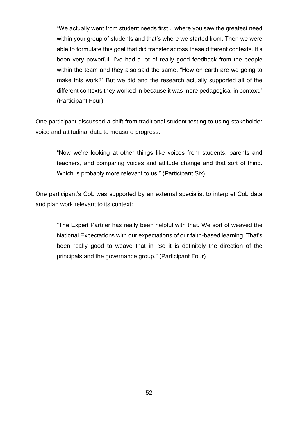"We actually went from student needs first... where you saw the greatest need within your group of students and that's where we started from. Then we were able to formulate this goal that did transfer across these different contexts. It's been very powerful. I've had a lot of really good feedback from the people within the team and they also said the same, "How on earth are we going to make this work?" But we did and the research actually supported all of the different contexts they worked in because it was more pedagogical in context." (Participant Four)

One participant discussed a shift from traditional student testing to using stakeholder voice and attitudinal data to measure progress:

"Now we're looking at other things like voices from students, parents and teachers, and comparing voices and attitude change and that sort of thing. Which is probably more relevant to us." (Participant Six)

One participant's CoL was supported by an external specialist to interpret CoL data and plan work relevant to its context:

"The Expert Partner has really been helpful with that. We sort of weaved the National Expectations with our expectations of our faith-based learning. That's been really good to weave that in. So it is definitely the direction of the principals and the governance group." (Participant Four)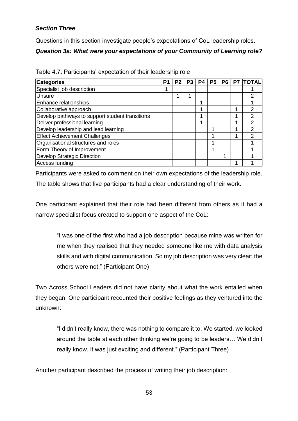## *Section Three*

Questions in this section investigate people's expectations of CoL leadership roles. *Question 3a: What were your expectations of your Community of Learning role?*

| <b>Categories</b>                               | P | P <sub>2</sub> | P <sub>3</sub> | P4 | P <sub>5</sub> | <b>P6</b> | <b>P7</b> | <b>TOTAL</b> |
|-------------------------------------------------|---|----------------|----------------|----|----------------|-----------|-----------|--------------|
| Specialist job description                      |   |                |                |    |                |           |           |              |
| Unsure                                          |   |                |                |    |                |           |           | 2            |
| Enhance relationships                           |   |                |                | и  |                |           |           |              |
| Collaborative approach                          |   |                |                |    |                |           |           | 2            |
| Develop pathways to support student transitions |   |                |                | 4  |                |           | 1         | 2            |
| Deliver professional learning                   |   |                |                | и  |                |           | 1         | 2            |
| Develop leadership and lead learning            |   |                |                |    |                |           | 4         | 2            |
| <b>Effect Achievement Challenges</b>            |   |                |                |    |                |           | 4         |              |
| Organisational structures and roles             |   |                |                |    |                |           |           |              |
| Form Theory of Improvement                      |   |                |                |    |                |           |           |              |
| <b>Develop Strategic Direction</b>              |   |                |                |    |                | 4         |           |              |
| Access funding                                  |   |                |                |    |                |           |           |              |

Table 4.7: Participants' expectation of their leadership role

Participants were asked to comment on their own expectations of the leadership role. The table shows that five participants had a clear understanding of their work.

One participant explained that their role had been different from others as it had a narrow specialist focus created to support one aspect of the CoL:

"I was one of the first who had a job description because mine was written for me when they realised that they needed someone like me with data analysis skills and with digital communication. So my job description was very clear; the others were not." (Participant One)

Two Across School Leaders did not have clarity about what the work entailed when they began. One participant recounted their positive feelings as they ventured into the unknown:

"I didn't really know, there was nothing to compare it to. We started, we looked around the table at each other thinking we're going to be leaders… We didn't really know, it was just exciting and different." (Participant Three)

Another participant described the process of writing their job description: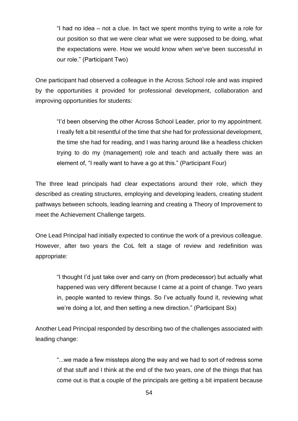"I had no idea – not a clue. In fact we spent months trying to write a role for our position so that we were clear what we were supposed to be doing, what the expectations were. How we would know when we've been successful in our role." (Participant Two)

One participant had observed a colleague in the Across School role and was inspired by the opportunities it provided for professional development, collaboration and improving opportunities for students:

"I'd been observing the other Across School Leader, prior to my appointment. I really felt a bit resentful of the time that she had for professional development, the time she had for reading, and I was haring around like a headless chicken trying to do my (management) role and teach and actually there was an element of, "I really want to have a go at this." (Participant Four)

The three lead principals had clear expectations around their role, which they described as creating structures, employing and developing leaders, creating student pathways between schools, leading learning and creating a Theory of Improvement to meet the Achievement Challenge targets.

One Lead Principal had initially expected to continue the work of a previous colleague. However, after two years the CoL felt a stage of review and redefinition was appropriate:

"I thought I'd just take over and carry on (from predecessor) but actually what happened was very different because I came at a point of change. Two years in, people wanted to review things. So I've actually found it, reviewing what we're doing a lot, and then setting a new direction." (Participant Six)

Another Lead Principal responded by describing two of the challenges associated with leading change:

"...we made a few missteps along the way and we had to sort of redress some of that stuff and I think at the end of the two years, one of the things that has come out is that a couple of the principals are getting a bit impatient because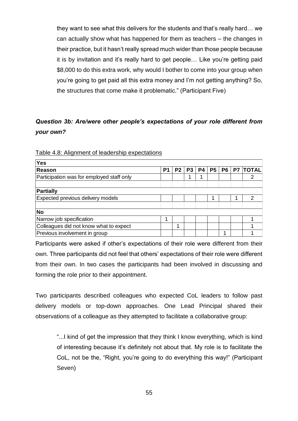they want to see what this delivers for the students and that's really hard… we can actually show what has happened for them as teachers – the changes in their practice, but it hasn't really spread much wider than those people because it is by invitation and it's really hard to get people… Like you're getting paid \$8,000 to do this extra work, why would I bother to come into your group when you're going to get paid all this extra money and I'm not getting anything? So, the structures that come make it problematic." (Participant Five)

## *Question 3b: Are/were other people's expectations of your role different from your own?*

| <b>Yes</b>                                |   |                |                |    |                |    |    |              |
|-------------------------------------------|---|----------------|----------------|----|----------------|----|----|--------------|
| Reason                                    | P | P <sub>2</sub> | P <sub>3</sub> | P4 | P <sub>5</sub> | P6 | P7 | <b>TOTAL</b> |
| Participation was for employed staff only |   |                |                |    |                |    |    |              |
|                                           |   |                |                |    |                |    |    |              |
| Partially                                 |   |                |                |    |                |    |    |              |
| Expected previous delivery models         |   |                |                |    |                |    |    | っ            |
|                                           |   |                |                |    |                |    |    |              |
| <b>No</b>                                 |   |                |                |    |                |    |    |              |
| Narrow job specification                  | 4 |                |                |    |                |    |    |              |
| Colleagues did not know what to expect    |   |                |                |    |                |    |    |              |
| Previous involvement in group             |   |                |                |    |                |    |    |              |

Table 4.8: Alignment of leadership expectations

Participants were asked if other's expectations of their role were different from their own. Three participants did not feel that others' expectations of their role were different from their own. In two cases the participants had been involved in discussing and forming the role prior to their appointment.

Two participants described colleagues who expected CoL leaders to follow past delivery models or top-down approaches. One Lead Principal shared their observations of a colleague as they attempted to facilitate a collaborative group:

"...I kind of get the impression that they think I know everything, which is kind of interesting because it's definitely not about that. My role is to facilitate the CoL, not be the, "Right, you're going to do everything this way!" (Participant Seven)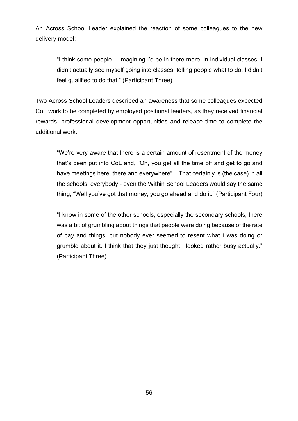An Across School Leader explained the reaction of some colleagues to the new delivery model:

"I think some people… imagining I'd be in there more, in individual classes. I didn't actually see myself going into classes, telling people what to do. I didn't feel qualified to do that." (Participant Three)

Two Across School Leaders described an awareness that some colleagues expected CoL work to be completed by employed positional leaders, as they received financial rewards, professional development opportunities and release time to complete the additional work:

"We're very aware that there is a certain amount of resentment of the money that's been put into CoL and, "Oh, you get all the time off and get to go and have meetings here, there and everywhere"... That certainly is (the case) in all the schools, everybody - even the Within School Leaders would say the same thing, "Well you've got that money, you go ahead and do it." (Participant Four)

"I know in some of the other schools, especially the secondary schools, there was a bit of grumbling about things that people were doing because of the rate of pay and things, but nobody ever seemed to resent what I was doing or grumble about it. I think that they just thought I looked rather busy actually." (Participant Three)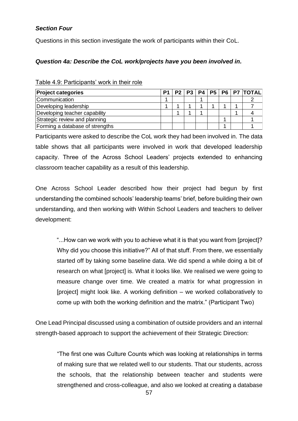## *Section Four*

Questions in this section investigate the work of participants within their CoL.

## *Question 4a: Describe the CoL work/projects have you been involved in.*

| <b>Project categories</b>       | P <sub>1</sub> |  |  |  | P2   P3   P4   P5   P6   P7   TOTAL |
|---------------------------------|----------------|--|--|--|-------------------------------------|
| Communication                   |                |  |  |  |                                     |
| Developing leadership           |                |  |  |  |                                     |
| Developing teacher capability   |                |  |  |  |                                     |
| Strategic review and planning   |                |  |  |  |                                     |
| Forming a database of strengths |                |  |  |  |                                     |

Table 4.9: Participants' work in their role

Participants were asked to describe the CoL work they had been involved in. The data table shows that all participants were involved in work that developed leadership capacity. Three of the Across School Leaders' projects extended to enhancing classroom teacher capability as a result of this leadership.

One Across School Leader described how their project had begun by first understanding the combined schools' leadership teams' brief, before building their own understanding, and then working with Within School Leaders and teachers to deliver development:

"...How can we work with you to achieve what it is that you want from [project]? Why did you choose this initiative?" All of that stuff. From there, we essentially started off by taking some baseline data. We did spend a while doing a bit of research on what [project] is. What it looks like. We realised we were going to measure change over time. We created a matrix for what progression in [project] might look like. A working definition – we worked collaboratively to come up with both the working definition and the matrix." (Participant Two) strengthened and cross-colleague, and also we looked at creating a database **Project categories P1 P2 P3 P4 P5 P6 P7 TOTAL**

One Lead Principal discussed using a combination of outside providers and an internal strength-based approach to support the achievement of their Strategic Direction:

"The first one was Culture Counts which was looking at relationships in terms of making sure that we related well to our students. That our students, across the schools, that the relationship between teacher and students were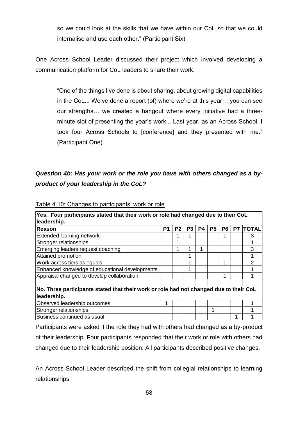so we could look at the skills that we have within our CoL so that we could internalise and use each other." (Participant Six)

One Across School Leader discussed their project which involved developing a communication platform for CoL leaders to share their work:

"One of the things I've done is about sharing, about growing digital capabilities in the CoL... We've done a report (of) where we're at this year… you can see our strengths… we created a hangout where every initiative had a threeminute slot of presenting the year's work... Last year, as an Across School, I took four Across Schools to [conference] and they presented with me." (Participant One)

## *Question 4b: Has your work or the role you have with others changed as a byproduct of your leadership in the CoL?*

| Yes. Four participants stated that their work or role had changed due to their CoL     |                |                |                |           |           |           |           |              |
|----------------------------------------------------------------------------------------|----------------|----------------|----------------|-----------|-----------|-----------|-----------|--------------|
| leadership.                                                                            |                |                |                |           |           |           |           |              |
| Reason                                                                                 | P <sub>1</sub> | P <sub>2</sub> | P <sub>3</sub> | <b>P4</b> | <b>P5</b> | <b>P6</b> | <b>P7</b> | <b>TOTAL</b> |
| Extended learning network                                                              |                |                |                |           |           |           |           | 3            |
| Stronger relationships                                                                 |                |                |                |           |           |           |           |              |
| Emerging leaders request coaching                                                      |                |                | 1              | 1         |           |           |           | 3            |
| Attained promotion                                                                     |                |                | ٠              |           |           |           |           |              |
| Work across tiers as equals                                                            |                |                |                |           |           | 4         |           | 2            |
| Enhanced knowledge of educational developments                                         |                |                | 1              |           |           |           |           |              |
| Appraisal changed to develop collaboration                                             |                |                |                |           |           | 1         |           |              |
|                                                                                        |                |                |                |           |           |           |           |              |
| No. Three participants stated that their work or role had not changed due to their CoL |                |                |                |           |           |           |           |              |
| leadership.                                                                            |                |                |                |           |           |           |           |              |
| Observed leadership outcomes                                                           |                |                |                |           |           |           |           |              |
| Stronger relationships                                                                 |                |                |                |           | ◢         |           |           |              |
| Business continued as usual                                                            |                |                |                |           |           |           | 1         |              |

### Table 4.10: Changes to participants' work or role

Participants were asked if the role they had with others had changed as a by-product of their leadership. Four participants responded that their work or role with others had changed due to their leadership position. All participants described positive changes.

An Across School Leader described the shift from collegial relationships to learning relationships: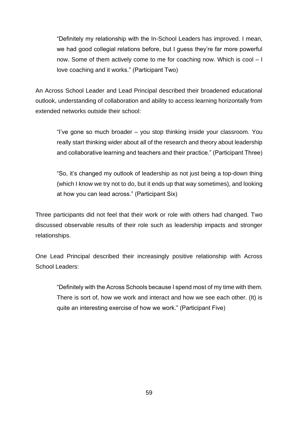"Definitely my relationship with the In-School Leaders has improved. I mean, we had good collegial relations before, but I guess they're far more powerful now. Some of them actively come to me for coaching now. Which is cool – I love coaching and it works." (Participant Two)

An Across School Leader and Lead Principal described their broadened educational outlook, understanding of collaboration and ability to access learning horizontally from extended networks outside their school:

"I've gone so much broader – you stop thinking inside your classroom. You really start thinking wider about all of the research and theory about leadership and collaborative learning and teachers and their practice." (Participant Three)

"So, it's changed my outlook of leadership as not just being a top-down thing (which I know we try not to do, but it ends up that way sometimes), and looking at how you can lead across." (Participant Six)

Three participants did not feel that their work or role with others had changed. Two discussed observable results of their role such as leadership impacts and stronger relationships.

One Lead Principal described their increasingly positive relationship with Across School Leaders:

"Definitely with the Across Schools because I spend most of my time with them. There is sort of, how we work and interact and how we see each other. (It) is quite an interesting exercise of how we work." (Participant Five)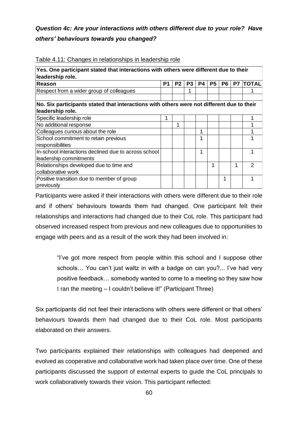## *Question 4c: Are your interactions with others different due to your role? Have others' behaviours towards you changed?*

| Yes. One participant stated that interactions with others were different due to their<br>leadership role.     |    |                |                |    |                |                |    |              |  |
|---------------------------------------------------------------------------------------------------------------|----|----------------|----------------|----|----------------|----------------|----|--------------|--|
| Reason                                                                                                        | P1 | P <sub>2</sub> | P <sub>3</sub> | P4 | P <sub>5</sub> | P <sub>6</sub> | P7 | <b>TOTAL</b> |  |
| Respect from a wider group of colleagues                                                                      |    |                |                |    |                |                |    |              |  |
| No. Six participants stated that interactions with others were not different due to their<br>leadership role. |    |                |                |    |                |                |    |              |  |
| Specific leadership role                                                                                      |    |                |                |    |                |                |    |              |  |
| No additional response                                                                                        |    |                |                |    |                |                |    |              |  |
| Colleagues curious about the role                                                                             |    |                |                | 1  |                |                |    |              |  |
| School commitment to retain previous<br>responsibilities                                                      |    |                |                | 1  |                |                |    |              |  |
| In-school interactions declined due to across school<br>leadership commitments                                |    |                |                | 1  |                |                |    |              |  |
| Relationships developed due to time and                                                                       |    |                |                |    |                |                | 1  | 2            |  |
| collaborative work                                                                                            |    |                |                |    |                |                |    |              |  |
| Positive transition due to member of group<br>previously                                                      |    |                |                |    |                | 1              |    |              |  |

#### Table 4.11: Changes in relationships in leadership role

Participants were asked if their interactions with others were different due to their role and if others' behaviours towards them had changed. One participant felt their relationships and interactions had changed due to their CoL role. This participant had observed increased respect from previous and new colleagues due to opportunities to engage with peers and as a result of the work they had been involved in:

"I've got more respect from people within this school and I suppose other schools… You can't just waltz in with a badge on can you?... I've had very positive feedback… somebody wanted to come to a meeting so they saw how I ran the meeting – I couldn't believe it!" (Participant Three)

Six participants did not feel their interactions with others were different or that others' behaviours towards them had changed due to their CoL role. Most participants elaborated on their answers.

Two participants explained their relationships with colleagues had deepened and evolved as cooperative and collaborative work had taken place over time. One of these participants discussed the support of external experts to guide the CoL principals to work collaboratively towards their vision. This participant reflected: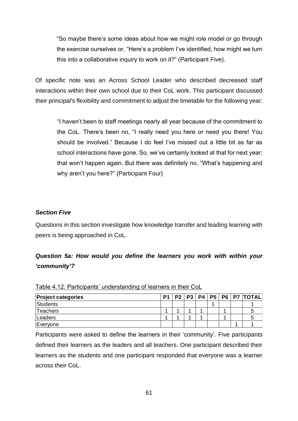"So maybe there's some ideas about how we might role model or go through the exercise ourselves or, "Here's a problem I've identified, how might we turn this into a collaborative inquiry to work on it?" (Participant Five).

Of specific note was an Across School Leader who described decreased staff interactions within their own school due to their CoL work. This participant discussed their principal's flexibility and commitment to adjust the timetable for the following year:

"I haven't been to staff meetings nearly all year because of the commitment to the CoL. There's been no, "I really need you here or need you there! You should be involved." Because I do feel I've missed out a little bit as far as school interactions have gone. So, we've certainly looked at that for next year; that won't happen again. But there was definitely no, "What's happening and why aren't you here?" (Participant Four)

### *Section Five*

Questions in this section investigate how knowledge transfer and leading learning with peers is being approached in CoL.

## *Question 5a: How would you define the learners you work with within your 'community'?*

| <b>Project categories</b> |  | P1   P2   P3   P4   P5 |  |  | P6   P7  TOTAL |
|---------------------------|--|------------------------|--|--|----------------|
| Students                  |  |                        |  |  |                |
| <b>Teachers</b>           |  |                        |  |  |                |
| Leaders                   |  |                        |  |  |                |
| Everyone                  |  |                        |  |  |                |

Table 4.12: Participants' understanding of learners in their CoL

Participants were asked to define the learners in their 'community'. Five participants defined their learners as the leaders and all teachers. One participant described their learners as the students and one participant responded that everyone was a learner across their CoL.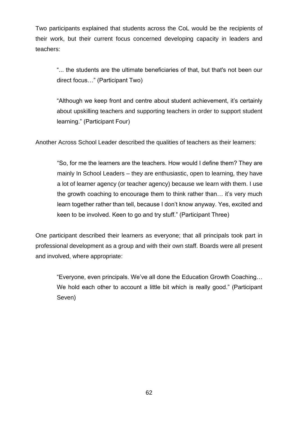Two participants explained that students across the CoL would be the recipients of their work, but their current focus concerned developing capacity in leaders and teachers:

"... the students are the ultimate beneficiaries of that, but that's not been our direct focus…" (Participant Two)

"Although we keep front and centre about student achievement, it's certainly about upskilling teachers and supporting teachers in order to support student learning." (Participant Four)

Another Across School Leader described the qualities of teachers as their learners:

"So, for me the learners are the teachers. How would I define them? They are mainly In School Leaders – they are enthusiastic, open to learning, they have a lot of learner agency (or teacher agency) because we learn with them. I use the growth coaching to encourage them to think rather than… it's very much learn together rather than tell, because I don't know anyway. Yes, excited and keen to be involved. Keen to go and try stuff." (Participant Three)

One participant described their learners as everyone; that all principals took part in professional development as a group and with their own staff. Boards were all present and involved, where appropriate:

"Everyone, even principals. We've all done the Education Growth Coaching… We hold each other to account a little bit which is really good." (Participant Seven)

62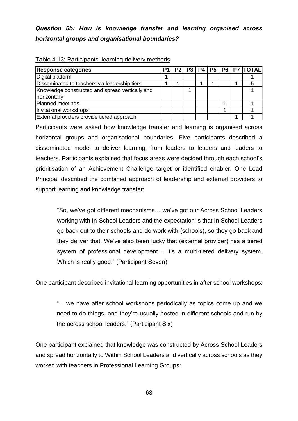## *Question 5b: How is knowledge transfer and learning organised across horizontal groups and organisational boundaries?*

| <b>Response categories</b>                      | P <sub>1</sub> |  |  |  | P2   P3   P4   P5   P6   P7   TOTAL |
|-------------------------------------------------|----------------|--|--|--|-------------------------------------|
| Digital platform                                |                |  |  |  |                                     |
| Disseminated to teachers via leadership tiers   |                |  |  |  |                                     |
| Knowledge constructed and spread vertically and |                |  |  |  |                                     |
| horizontally                                    |                |  |  |  |                                     |
| Planned meetings                                |                |  |  |  |                                     |
| Invitational workshops                          |                |  |  |  |                                     |
| External providers provide tiered approach      |                |  |  |  |                                     |

#### Table 4.13: Participants' learning delivery methods

Participants were asked how knowledge transfer and learning is organised across horizontal groups and organisational boundaries. Five participants described a disseminated model to deliver learning, from leaders to leaders and leaders to teachers. Participants explained that focus areas were decided through each school's prioritisation of an Achievement Challenge target or identified enabler. One Lead Principal described the combined approach of leadership and external providers to support learning and knowledge transfer:

"So, we've got different mechanisms… we've got our Across School Leaders working with In-School Leaders and the expectation is that In School Leaders go back out to their schools and do work with (schools), so they go back and they deliver that. We've also been lucky that (external provider) has a tiered system of professional development... It's a multi-tiered delivery system. Which is really good." (Participant Seven)

One participant described invitational learning opportunities in after school workshops:

"... we have after school workshops periodically as topics come up and we need to do things, and they're usually hosted in different schools and run by the across school leaders." (Participant Six)

One participant explained that knowledge was constructed by Across School Leaders and spread horizontally to Within School Leaders and vertically across schools as they worked with teachers in Professional Learning Groups: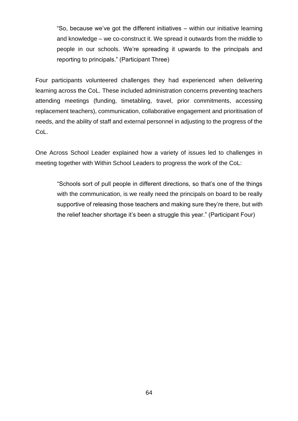"So, because we've got the different initiatives – within our initiative learning and knowledge – we co-construct it. We spread it outwards from the middle to people in our schools. We're spreading it upwards to the principals and reporting to principals." (Participant Three)

Four participants volunteered challenges they had experienced when delivering learning across the CoL. These included administration concerns preventing teachers attending meetings (funding, timetabling, travel, prior commitments, accessing replacement teachers), communication, collaborative engagement and prioritisation of needs, and the ability of staff and external personnel in adjusting to the progress of the CoL.

One Across School Leader explained how a variety of issues led to challenges in meeting together with Within School Leaders to progress the work of the CoL:

"Schools sort of pull people in different directions, so that's one of the things with the communication, is we really need the principals on board to be really supportive of releasing those teachers and making sure they're there, but with the relief teacher shortage it's been a struggle this year." (Participant Four)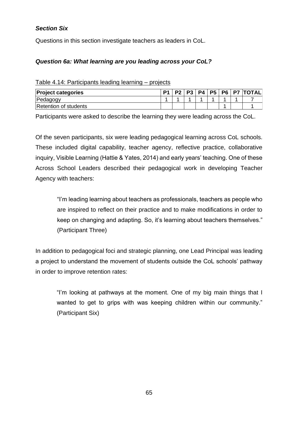## *Section Six*

Questions in this section investigate teachers as leaders in CoL.

## *Question 6a: What learning are you leading across your CoL?*

| Table 4.14: Participants leading learning - projects |  |  |  |
|------------------------------------------------------|--|--|--|
|                                                      |  |  |  |

| <b>Project categories</b> | P <sub>1</sub> | P? | 2 D | P4 | <b>P5</b> |  | P6   P7  TOTAL |
|---------------------------|----------------|----|-----|----|-----------|--|----------------|
| Pedagogy                  |                |    |     |    |           |  |                |
| Retention of students     |                |    |     |    |           |  |                |

Participants were asked to describe the learning they were leading across the CoL.

Of the seven participants, six were leading pedagogical learning across CoL schools. These included digital capability, teacher agency, reflective practice, collaborative inquiry, Visible Learning (Hattie & Yates, 2014) and early years' teaching. One of these Across School Leaders described their pedagogical work in developing Teacher Agency with teachers:

"I'm leading learning about teachers as professionals, teachers as people who are inspired to reflect on their practice and to make modifications in order to keep on changing and adapting. So, it's learning about teachers themselves." (Participant Three)

In addition to pedagogical foci and strategic planning, one Lead Principal was leading a project to understand the movement of students outside the CoL schools' pathway in order to improve retention rates:

"I'm looking at pathways at the moment. One of my big main things that I wanted to get to grips with was keeping children within our community." (Participant Six)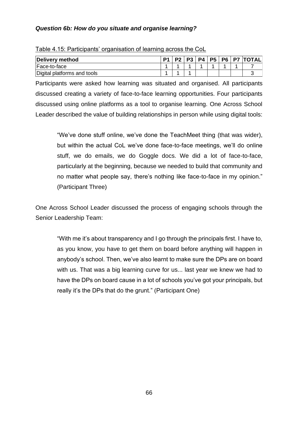## *Question 6b: How do you situate and organise learning?*

| Delivery method             | P1 | $\mathsf{P2}$ | <b>P3</b> | P4 | <b>P5</b> |  | P6   P7   TOTAL |
|-----------------------------|----|---------------|-----------|----|-----------|--|-----------------|
| Face-to-face                |    |               |           |    |           |  |                 |
| Digital platforms and tools |    |               |           |    |           |  |                 |

#### Table 4.15: Participants' organisation of learning across the CoL

Participants were asked how learning was situated and organised. All participants discussed creating a variety of face-to-face learning opportunities. Four participants discussed using online platforms as a tool to organise learning. One Across School Leader described the value of building relationships in person while using digital tools:

"We've done stuff online, we've done the TeachMeet thing (that was wider), but within the actual CoL we've done face-to-face meetings, we'll do online stuff, we do emails, we do Goggle docs. We did a lot of face-to-face, particularly at the beginning, because we needed to build that community and no matter what people say, there's nothing like face-to-face in my opinion." (Participant Three)

One Across School Leader discussed the process of engaging schools through the Senior Leadership Team:

"With me it's about transparency and I go through the principals first. I have to, as you know, you have to get them on board before anything will happen in anybody's school. Then, we've also learnt to make sure the DPs are on board with us. That was a big learning curve for us... last year we knew we had to have the DPs on board cause in a lot of schools you've got your principals, but really it's the DPs that do the grunt." (Participant One)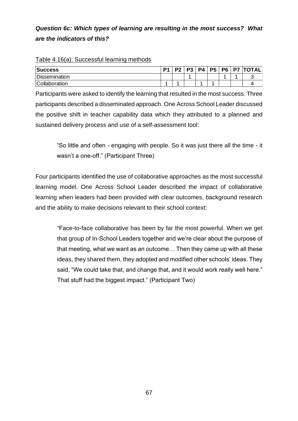## *Question 6c: Which types of learning are resulting in the most success? What are the indicators of this?*

| <b>Success</b>       | D <sub>1</sub> | <b>P</b> | 2 <sub>2</sub> | <b>P4</b> | P <sub>5</sub> | P <sub>6</sub> | <b>P7 TOTAL</b> |
|----------------------|----------------|----------|----------------|-----------|----------------|----------------|-----------------|
| <b>Dissemination</b> |                |          | ۰              |           |                |                |                 |
| Collaboration        |                |          |                |           |                |                |                 |

#### Table 4.16(a): Successful learning methods

Participants were asked to identify the learning that resulted in the most success. Three participants described a disseminated approach. One Across School Leader discussed the positive shift in teacher capability data which they attributed to a planned and sustained delivery process and use of a self-assessment tool:

"So little and often - engaging with people. So it was just there all the time - it wasn't a one-off." (Participant Three)

Four participants identified the use of collaborative approaches as the most successful learning model. One Across School Leader described the impact of collaborative learning when leaders had been provided with clear outcomes, background research and the ability to make decisions relevant to their school context:

"Face-to-face collaborative has been by far the most powerful. When we get that group of In-School Leaders together and we're clear about the purpose of that meeting, what we want as an outcome… Then they came up with all these ideas, they shared them, they adopted and modified other schools' ideas. They said, "We could take that, and change that, and it would work really well here." That stuff had the biggest impact." (Participant Two)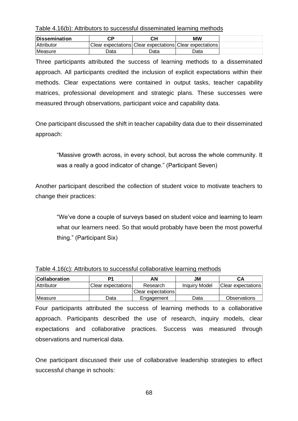Table 4.16(b): Attributors to successful disseminated learning methods

| Dissemination  |      | сн                                                       | МW                 |
|----------------|------|----------------------------------------------------------|--------------------|
| Attributor     |      | Clear expectations Clear expectations Clear expectations |                    |
| <b>Measure</b> | Data | Data                                                     | ว <sub>ิ</sub> ata |

Three participants attributed the success of learning methods to a disseminated approach. All participants credited the inclusion of explicit expectations within their methods. Clear expectations were contained in output tasks, teacher capability matrices, professional development and strategic plans. These successes were measured through observations, participant voice and capability data.

One participant discussed the shift in teacher capability data due to their disseminated approach:

"Massive growth across, in every school, but across the whole community. It was a really a good indicator of change." (Participant Seven)

Another participant described the collection of student voice to motivate teachers to change their practices:

"We've done a couple of surveys based on student voice and learning to learn what our learners need. So that would probably have been the most powerful thing." (Participant Six)

| <b>Collaboration</b> |                    | AΝ                 | JM                   | CА                  |
|----------------------|--------------------|--------------------|----------------------|---------------------|
| Attributor           | Clear expectations | Research           | <b>Inquiry Model</b> | Clear expectations  |
|                      |                    | Clear expectations |                      |                     |
| Measure              | Data               | Engagement         | Data                 | <b>Observations</b> |

### Table 4.16(c): Attributors to successful collaborative learning methods

Four participants attributed the success of learning methods to a collaborative approach. Participants described the use of research, inquiry models, clear expectations and collaborative practices. Success was measured through observations and numerical data.

One participant discussed their use of collaborative leadership strategies to effect successful change in schools: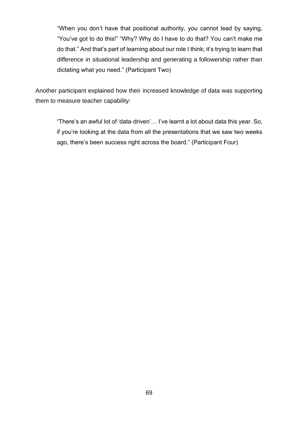"When you don't have that positional authority, you cannot lead by saying, "You've got to do this!" "Why? Why do I have to do that? You can't make me do that." And that's part of learning about our role I think; it's trying to learn that difference in situational leadership and generating a followership rather than dictating what you need." (Participant Two)

Another participant explained how their increased knowledge of data was supporting them to measure teacher capability:

"There's an awful lot of 'data-driven'… I've learnt a lot about data this year. So, if you're looking at the data from all the presentations that we saw two weeks ago, there's been success right across the board." (Participant Four)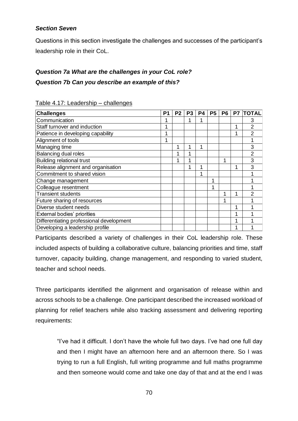## *Section Seven*

Questions in this section investigate the challenges and successes of the participant's leadership role in their CoL.

# *Question 7a What are the challenges in your CoL role? Question 7b Can you describe an example of this?*

| <b>Challenges</b>                        | P <sub>1</sub> | P <sub>2</sub> | P <sub>3</sub> | P4 | <b>P5</b> | P <sub>6</sub> | P7 | <b>TOTAL</b>   |
|------------------------------------------|----------------|----------------|----------------|----|-----------|----------------|----|----------------|
| Communication                            |                |                |                |    |           |                |    | 3              |
| Staff turnover and induction             |                |                |                |    |           |                | 1  | $\overline{2}$ |
| Patience in developing capability        |                |                |                |    |           |                | 1  | $\mathfrak{p}$ |
| Alignment of tools                       |                |                |                |    |           |                |    |                |
| Managing time                            |                |                | 1              | 1  |           |                |    | 3              |
| <b>Balancing dual roles</b>              |                |                |                |    |           |                |    | 2              |
| <b>Building relational trust</b>         |                |                |                |    |           | 1              |    | 3              |
| Release alignment and organisation       |                |                |                | ٩  |           |                | 1  | 3              |
| Commitment to shared vision              |                |                |                | 1  |           |                |    |                |
| Change management                        |                |                |                |    |           |                |    |                |
| Colleague resentment                     |                |                |                |    |           |                |    |                |
| <b>Transient students</b>                |                |                |                |    |           |                |    | 2              |
| Future sharing of resources              |                |                |                |    |           |                |    |                |
| Diverse student needs                    |                |                |                |    |           |                |    |                |
| External bodies' priorities              |                |                |                |    |           |                |    |                |
| Differentiating professional development |                |                |                |    |           |                |    |                |
| Developing a leadership profile          |                |                |                |    |           |                |    |                |

Table 4.17: Leadership – challenges

Participants described a variety of challenges in their CoL leadership role. These included aspects of building a collaborative culture, balancing priorities and time, staff turnover, capacity building, change management, and responding to varied student, teacher and school needs.

Three participants identified the alignment and organisation of release within and across schools to be a challenge. One participant described the increased workload of planning for relief teachers while also tracking assessment and delivering reporting requirements:

"I've had it difficult. I don't have the whole full two days. I've had one full day and then I might have an afternoon here and an afternoon there. So I was trying to run a full English, full writing programme and full maths programme and then someone would come and take one day of that and at the end I was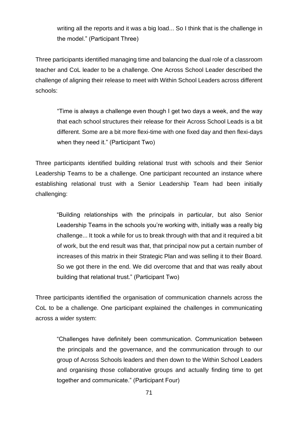writing all the reports and it was a big load... So I think that is the challenge in the model." (Participant Three)

Three participants identified managing time and balancing the dual role of a classroom teacher and CoL leader to be a challenge. One Across School Leader described the challenge of aligning their release to meet with Within School Leaders across different schools:

"Time is always a challenge even though I get two days a week, and the way that each school structures their release for their Across School Leads is a bit different. Some are a bit more flexi-time with one fixed day and then flexi-days when they need it." (Participant Two)

Three participants identified building relational trust with schools and their Senior Leadership Teams to be a challenge. One participant recounted an instance where establishing relational trust with a Senior Leadership Team had been initially challenging:

"Building relationships with the principals in particular, but also Senior Leadership Teams in the schools you're working with, initially was a really big challenge... It took a while for us to break through with that and it required a bit of work, but the end result was that, that principal now put a certain number of increases of this matrix in their Strategic Plan and was selling it to their Board. So we got there in the end. We did overcome that and that was really about building that relational trust." (Participant Two)

Three participants identified the organisation of communication channels across the CoL to be a challenge. One participant explained the challenges in communicating across a wider system:

"Challenges have definitely been communication. Communication between the principals and the governance, and the communication through to our group of Across Schools leaders and then down to the Within School Leaders and organising those collaborative groups and actually finding time to get together and communicate." (Participant Four)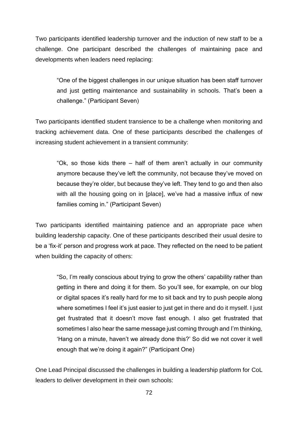Two participants identified leadership turnover and the induction of new staff to be a challenge. One participant described the challenges of maintaining pace and developments when leaders need replacing:

"One of the biggest challenges in our unique situation has been staff turnover and just getting maintenance and sustainability in schools. That's been a challenge." (Participant Seven)

Two participants identified student transience to be a challenge when monitoring and tracking achievement data. One of these participants described the challenges of increasing student achievement in a transient community:

"Ok, so those kids there – half of them aren't actually in our community anymore because they've left the community, not because they've moved on because they're older, but because they've left. They tend to go and then also with all the housing going on in [place], we've had a massive influx of new families coming in." (Participant Seven)

Two participants identified maintaining patience and an appropriate pace when building leadership capacity. One of these participants described their usual desire to be a 'fix-it' person and progress work at pace. They reflected on the need to be patient when building the capacity of others:

"So, I'm really conscious about trying to grow the others' capability rather than getting in there and doing it for them. So you'll see, for example, on our blog or digital spaces it's really hard for me to sit back and try to push people along where sometimes I feel it's just easier to just get in there and do it myself. I just get frustrated that it doesn't move fast enough. I also get frustrated that sometimes I also hear the same message just coming through and I'm thinking, 'Hang on a minute, haven't we already done this?' So did we not cover it well enough that we're doing it again?" (Participant One)

One Lead Principal discussed the challenges in building a leadership platform for CoL leaders to deliver development in their own schools: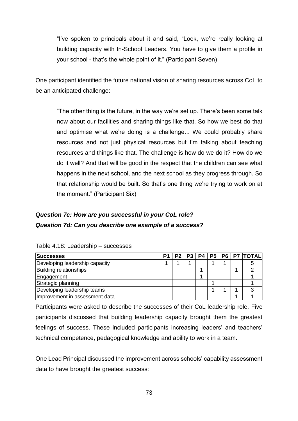"I've spoken to principals about it and said, "Look, we're really looking at building capacity with In-School Leaders. You have to give them a profile in your school - that's the whole point of it." (Participant Seven)

One participant identified the future national vision of sharing resources across CoL to be an anticipated challenge:

"The other thing is the future, in the way we're set up. There's been some talk now about our facilities and sharing things like that. So how we best do that and optimise what we're doing is a challenge... We could probably share resources and not just physical resources but I'm talking about teaching resources and things like that. The challenge is how do we do it? How do we do it well? And that will be good in the respect that the children can see what happens in the next school, and the next school as they progress through. So that relationship would be built. So that's one thing we're trying to work on at the moment." (Participant Six)

## *Question 7c: How are you successful in your CoL role? Question 7d: Can you describe one example of a success?*

| <b>Successes</b>               | P <sub>1</sub> |  |  |  | P2   P3   P4   P5   P6   P7   TOTAL |
|--------------------------------|----------------|--|--|--|-------------------------------------|
| Developing leadership capacity |                |  |  |  |                                     |
| <b>Building relationships</b>  |                |  |  |  |                                     |
| Engagement                     |                |  |  |  |                                     |
| Strategic planning             |                |  |  |  |                                     |
| Developing leadership teams    |                |  |  |  |                                     |
| Improvement in assessment data |                |  |  |  |                                     |

### Table 4.18: Leadership – successes

Participants were asked to describe the successes of their CoL leadership role. Five participants discussed that building leadership capacity brought them the greatest feelings of success. These included participants increasing leaders' and teachers' technical competence, pedagogical knowledge and ability to work in a team.

One Lead Principal discussed the improvement across schools' capability assessment data to have brought the greatest success: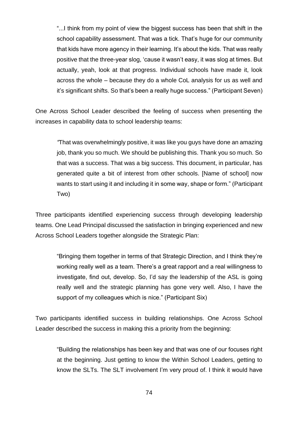"...I think from my point of view the biggest success has been that shift in the school capability assessment. That was a tick. That's huge for our community that kids have more agency in their learning. It's about the kids. That was really positive that the three-year slog, 'cause it wasn't easy, it was slog at times. But actually, yeah, look at that progress. Individual schools have made it, look across the whole – because they do a whole CoL analysis for us as well and it's significant shifts. So that's been a really huge success." (Participant Seven)

One Across School Leader described the feeling of success when presenting the increases in capability data to school leadership teams:

*"*That was overwhelmingly positive, it was like you guys have done an amazing job, thank you so much. We should be publishing this. Thank you so much. So that was a success. That was a big success. This document, in particular, has generated quite a bit of interest from other schools. [Name of school] now wants to start using it and including it in some way, shape or form." (Participant Two)

Three participants identified experiencing success through developing leadership teams. One Lead Principal discussed the satisfaction in bringing experienced and new Across School Leaders together alongside the Strategic Plan:

"Bringing them together in terms of that Strategic Direction, and I think they're working really well as a team. There's a great rapport and a real willingness to investigate, find out, develop. So, I'd say the leadership of the ASL is going really well and the strategic planning has gone very well. Also, I have the support of my colleagues which is nice." (Participant Six)

Two participants identified success in building relationships. One Across School Leader described the success in making this a priority from the beginning:

"Building the relationships has been key and that was one of our focuses right at the beginning. Just getting to know the Within School Leaders, getting to know the SLTs. The SLT involvement I'm very proud of. I think it would have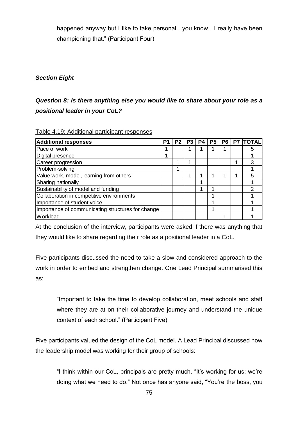happened anyway but I like to take personal...you know...I really have been championing that." (Participant Four)

## *Section Eight*

## *Question 8: Is there anything else you would like to share about your role as a positional leader in your CoL?*

| <b>Additional responses</b>                       | P | P <sub>2</sub> | P <sub>3</sub> | P4 | P <sub>5</sub> | P <sub>6</sub> | P7 | <b>TOTAL</b> |
|---------------------------------------------------|---|----------------|----------------|----|----------------|----------------|----|--------------|
| Pace of work                                      |   |                |                |    |                |                |    | 5            |
| Digital presence                                  | л |                |                |    |                |                |    |              |
| Career progression                                |   |                |                |    |                |                |    | 3            |
| Problem-solving                                   |   |                |                |    |                |                |    |              |
| Value work, model, learning from others           |   |                |                |    |                |                |    | 5            |
| Sharing nationally                                |   |                |                |    |                |                |    |              |
| Sustainability of model and funding               |   |                |                |    | ٠              |                |    |              |
| Collaboration in competitive environments         |   |                |                |    |                |                |    |              |
| Importance of student voice                       |   |                |                |    |                |                |    |              |
| Importance of communicating structures for change |   |                |                |    |                |                |    |              |
| Workload                                          |   |                |                |    |                |                |    |              |

#### Table 4.19: Additional participant responses

At the conclusion of the interview, participants were asked if there was anything that they would like to share regarding their role as a positional leader in a CoL.

Five participants discussed the need to take a slow and considered approach to the work in order to embed and strengthen change. One Lead Principal summarised this as:

"Important to take the time to develop collaboration, meet schools and staff where they are at on their collaborative journey and understand the unique context of each school." (Participant Five)

Five participants valued the design of the CoL model. A Lead Principal discussed how the leadership model was working for their group of schools:

"I think within our CoL, principals are pretty much, "It's working for us; we're doing what we need to do." Not once has anyone said, "You're the boss, you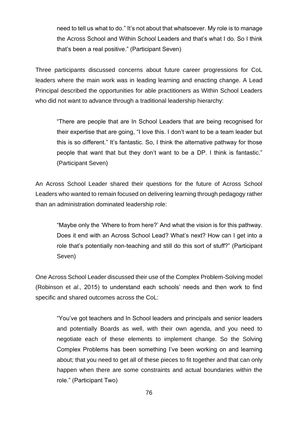need to tell us what to do." It's not about that whatsoever. My role is to manage the Across School and Within School Leaders and that's what I do. So I think that's been a real positive." (Participant Seven)

Three participants discussed concerns about future career progressions for CoL leaders where the main work was in leading learning and enacting change. A Lead Principal described the opportunities for able practitioners as Within School Leaders who did not want to advance through a traditional leadership hierarchy:

"There are people that are In School Leaders that are being recognised for their expertise that are going, "I love this. I don't want to be a team leader but this is so different." It's fantastic. So, I think the alternative pathway for those people that want that but they don't want to be a DP. I think is fantastic." (Participant Seven)

An Across School Leader shared their questions for the future of Across School Leaders who wanted to remain focused on delivering learning through pedagogy rather than an administration dominated leadership role:

"Maybe only the 'Where to from here?' And what the vision is for this pathway. Does it end with an Across School Lead? What's next? How can I get into a role that's potentially non-teaching and still do this sort of stuff?" (Participant Seven)

One Across School Leader discussed their use of the Complex Problem-Solving model (Robinson et *al*., 2015) to understand each schools' needs and then work to find specific and shared outcomes across the CoL:

"You've got teachers and In School leaders and principals and senior leaders and potentially Boards as well, with their own agenda, and you need to negotiate each of these elements to implement change. So the Solving Complex Problems has been something I've been working on and learning about; that you need to get all of these pieces to fit together and that can only happen when there are some constraints and actual boundaries within the role." (Participant Two)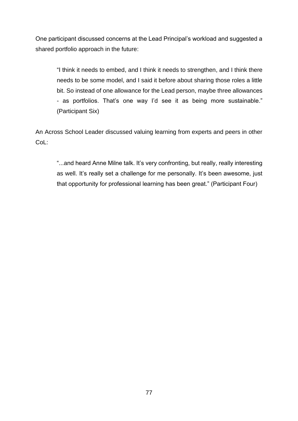One participant discussed concerns at the Lead Principal's workload and suggested a shared portfolio approach in the future:

"I think it needs to embed, and I think it needs to strengthen, and I think there needs to be some model, and I said it before about sharing those roles a little bit. So instead of one allowance for the Lead person, maybe three allowances - as portfolios. That's one way I'd see it as being more sustainable." (Participant Six)

An Across School Leader discussed valuing learning from experts and peers in other CoL:

"...and heard Anne Milne talk. It's very confronting, but really, really interesting as well. It's really set a challenge for me personally. It's been awesome, just that opportunity for professional learning has been great." (Participant Four)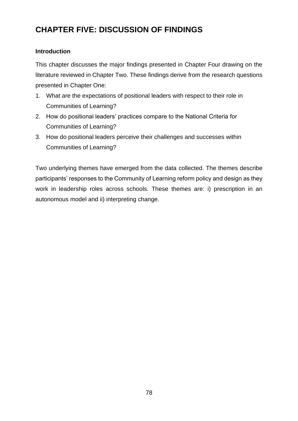# **CHAPTER FIVE: DISCUSSION OF FINDINGS**

## **Introduction**

This chapter discusses the major findings presented in Chapter Four drawing on the literature reviewed in Chapter Two. These findings derive from the research questions presented in Chapter One:

- 1. What are the expectations of positional leaders with respect to their role in Communities of Learning?
- 2. How do positional leaders' practices compare to the National Criteria for Communities of Learning?
- 3. How do positional leaders perceive their challenges and successes within Communities of Learning?

Two underlying themes have emerged from the data collected. The themes describe participants' responses to the Community of Learning reform policy and design as they work in leadership roles across schools. These themes are: i) prescription in an autonomous model and ii) interpreting change.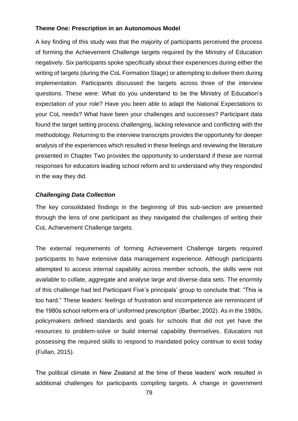## **Theme One: Prescription in an Autonomous Model**

A key finding of this study was that the majority of participants perceived the process of forming the Achievement Challenge targets required by the Ministry of Education negatively. Six participants spoke specifically about their experiences during either the writing of targets (during the CoL Formation Stage) or attempting to deliver them during implementation. Participants discussed the targets across three of the interview questions. These were: What do you understand to be the Ministry of Education's expectation of your role? Have you been able to adapt the National Expectations to your CoL needs? What have been your challenges and successes? Participant data found the target setting process challenging, lacking relevance and conflicting with the methodology. Returning to the interview transcripts provides the opportunity for deeper analysis of the experiences which resulted in these feelings and reviewing the literature presented in Chapter Two provides the opportunity to understand if these are normal responses for educators leading school reform and to understand why they responded in the way they did.

## *Challenging Data Collection*

The key consolidated findings in the beginning of this sub-section are presented through the lens of one participant as they navigated the challenges of writing their CoL Achievement Challenge targets.

The external requirements of forming Achievement Challenge targets required participants to have extensive data management experience. Although participants attempted to access internal capability across member schools, the skills were not available to collate, aggregate and analyse large and diverse data sets. The enormity of this challenge had led Participant Five's principals' group to conclude that: "This is too hard." These leaders' feelings of frustration and incompetence are reminiscent of the 1980s school reform era of 'uniformed prescription' (Barber, 2002). As in the 1980s, policymakers defined standards and goals for schools that did not yet have the resources to problem-solve or build internal capability themselves. Educators not possessing the required skills to respond to mandated policy continue to exist today (Fullan, 2015).

The political climate in New Zealand at the time of these leaders' work resulted in additional challenges for participants compiling targets. A change in government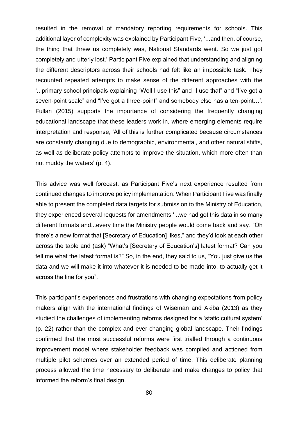resulted in the removal of mandatory reporting requirements for schools. This additional layer of complexity was explained by Participant Five, '...and then, of course, the thing that threw us completely was, National Standards went. So we just got completely and utterly lost.' Participant Five explained that understanding and aligning the different descriptors across their schools had felt like an impossible task. They recounted repeated attempts to make sense of the different approaches with the '...primary school principals explaining "Well I use this" and "I use that" and "I've got a seven-point scale" and "I've got a three-point" and somebody else has a ten-point…'. Fullan (2015) supports the importance of considering the frequently changing educational landscape that these leaders work in, where emerging elements require interpretation and response, 'All of this is further complicated because circumstances are constantly changing due to demographic, environmental, and other natural shifts, as well as deliberate policy attempts to improve the situation, which more often than not muddy the waters' (p. 4).

This advice was well forecast, as Participant Five's next experience resulted from continued changes to improve policy implementation. When Participant Five was finally able to present the completed data targets for submission to the Ministry of Education, they experienced several requests for amendments '...we had got this data in so many different formats and...every time the Ministry people would come back and say, "Oh there's a new format that [Secretary of Education] likes," and they'd look at each other across the table and (ask) "What's [Secretary of Education's] latest format? Can you tell me what the latest format is?" So, in the end, they said to us, "You just give us the data and we will make it into whatever it is needed to be made into, to actually get it across the line for you".

This participant's experiences and frustrations with changing expectations from policy makers align with the international findings of Wiseman and Akiba (2013) as they studied the challenges of implementing reforms designed for a 'static cultural system' (p. 22) rather than the complex and ever-changing global landscape. Their findings confirmed that the most successful reforms were first trialled through a continuous improvement model where stakeholder feedback was compiled and actioned from multiple pilot schemes over an extended period of time. This deliberate planning process allowed the time necessary to deliberate and make changes to policy that informed the reform's final design.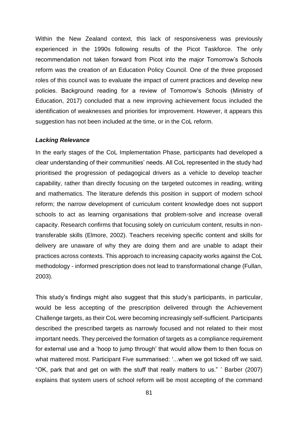Within the New Zealand context, this lack of responsiveness was previously experienced in the 1990s following results of the Picot Taskforce. The only recommendation not taken forward from Picot into the major Tomorrow's Schools reform was the creation of an Education Policy Council. One of the three proposed roles of this council was to evaluate the impact of current practices and develop new policies. Background reading for a review of Tomorrow's Schools (Ministry of Education, 2017) concluded that a new improving achievement focus included the identification of weaknesses and priorities for improvement. However, it appears this suggestion has not been included at the time, or in the CoL reform.

#### *Lacking Relevance*

In the early stages of the CoL Implementation Phase, participants had developed a clear understanding of their communities' needs. All CoL represented in the study had prioritised the progression of pedagogical drivers as a vehicle to develop teacher capability, rather than directly focusing on the targeted outcomes in reading, writing and mathematics. The literature defends this position in support of modern school reform; the narrow development of curriculum content knowledge does not support schools to act as learning organisations that problem-solve and increase overall capacity. Research confirms that focusing solely on curriculum content, results in nontransferable skills (Elmore, 2002). Teachers receiving specific content and skills for delivery are unaware of why they are doing them and are unable to adapt their practices across contexts. This approach to increasing capacity works against the CoL methodology - informed prescription does not lead to transformational change (Fullan, 2003).

This study's findings might also suggest that this study's participants, in particular, would be less accepting of the prescription delivered through the Achievement Challenge targets, as their CoL were becoming increasingly self-sufficient. Participants described the prescribed targets as narrowly focused and not related to their most important needs. They perceived the formation of targets as a compliance requirement for external use and a 'hoop to jump through' that would allow them to then focus on what mattered most. Participant Five summarised: '...when we got ticked off we said, "OK, park that and get on with the stuff that really matters to us." ' Barber (2007) explains that system users of school reform will be most accepting of the command

81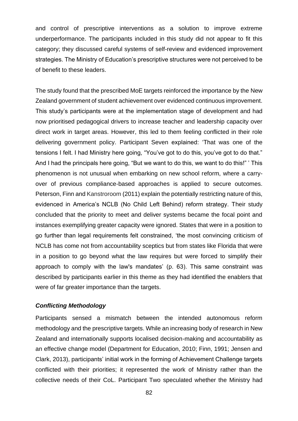and control of prescriptive interventions as a solution to improve extreme underperformance. The participants included in this study did not appear to fit this category; they discussed careful systems of self-review and evidenced improvement strategies. The Ministry of Education's prescriptive structures were not perceived to be of benefit to these leaders.

The study found that the prescribed MoE targets reinforced the importance by the New Zealand government of student achievement over evidenced continuous improvement. This study's participants were at the implementation stage of development and had now prioritised pedagogical drivers to increase teacher and leadership capacity over direct work in target areas. However, this led to them feeling conflicted in their role delivering government policy. Participant Seven explained: 'That was one of the tensions I felt. I had Ministry here going, "You've got to do this, you've got to do that." And I had the principals here going, "But we want to do this, we want to do this!" ' This phenomenon is not unusual when embarking on new school reform, where a carryover of previous compliance-based approaches is applied to secure outcomes. Peterson, Finn and Kanstroroom (2011) explain the potentially restricting nature of this, evidenced in America's NCLB (No Child Left Behind) reform strategy. Their study concluded that the priority to meet and deliver systems became the focal point and instances exemplifying greater capacity were ignored. States that were in a position to go further than legal requirements felt constrained, 'the most convincing criticism of NCLB has come not from accountability sceptics but from states like Florida that were in a position to go beyond what the law requires but were forced to simplify their approach to comply with the law's mandates' (p. 63). This same constraint was described by participants earlier in this theme as they had identified the enablers that were of far greater importance than the targets.

#### *Conflicting Methodology*

Participants sensed a mismatch between the intended autonomous reform methodology and the prescriptive targets. While an increasing body of research in New Zealand and internationally supports localised decision-making and accountability as an effective change model (Department for Education, 2010; Finn, 1991; Jensen and Clark, 2013), participants' initial work in the forming of Achievement Challenge targets conflicted with their priorities; it represented the work of Ministry rather than the collective needs of their CoL. Participant Two speculated whether the Ministry had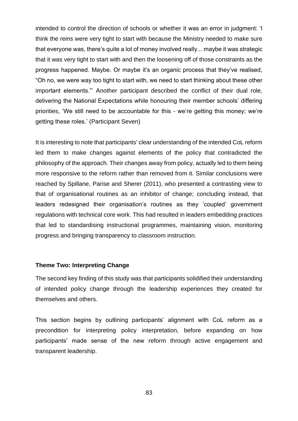intended to control the direction of schools or whether it was an error in judgment: 'I think the reins were very tight to start with because the Ministry needed to make sure that everyone was, there's quite a lot of money involved really... maybe it was strategic that it was very tight to start with and then the loosening off of those constraints as the progress happened. Maybe. Or maybe it's an organic process that they've realised, "Oh no, we were way too tight to start with, we need to start thinking about these other important elements."' Another participant described the conflict of their dual role, delivering the National Expectations while honouring their member schools' differing priorities, 'We still need to be accountable for this - we're getting this money; we're getting these roles.' (Participant Seven)

It is interesting to note that participants' clear understanding of the intended CoL reform led them to make changes against elements of the policy that contradicted the philosophy of the approach. Their changes away from policy, actually led to them being more responsive to the reform rather than removed from it. Similar conclusions were reached by Spillane, Parise and Sherer (2011), who presented a contrasting view to that of organisational routines as an inhibitor of change; concluding instead, that leaders redesigned their organisation's routines as they 'coupled' government regulations with technical core work. This had resulted in leaders embedding practices that led to standardising instructional programmes, maintaining vision, monitoring progress and bringing transparency to classroom instruction.

#### **Theme Two: Interpreting Change**

The second key finding of this study was that participants solidified their understanding of intended policy change through the leadership experiences they created for themselves and others.

This section begins by outlining participants' alignment with CoL reform as a precondition for interpreting policy interpretation, before expanding on how participants' made sense of the new reform through active engagement and transparent leadership.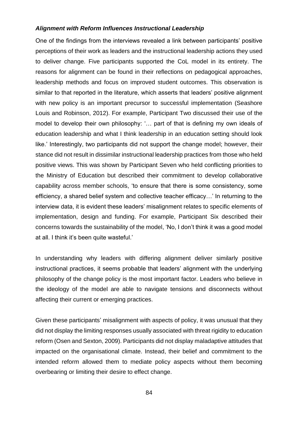#### *Alignment with Reform Influences Instructional Leadership*

One of the findings from the interviews revealed a link between participants' positive perceptions of their work as leaders and the instructional leadership actions they used to deliver change. Five participants supported the CoL model in its entirety. The reasons for alignment can be found in their reflections on pedagogical approaches, leadership methods and focus on improved student outcomes. This observation is similar to that reported in the literature, which asserts that leaders' positive alignment with new policy is an important precursor to successful implementation (Seashore Louis and Robinson, 2012). For example, Participant Two discussed their use of the model to develop their own philosophy: '… part of that is defining my own ideals of education leadership and what I think leadership in an education setting should look like.' Interestingly, two participants did not support the change model; however, their stance did not result in dissimilar instructional leadership practices from those who held positive views. This was shown by Participant Seven who held conflicting priorities to the Ministry of Education but described their commitment to develop collaborative capability across member schools, 'to ensure that there is some consistency, some efficiency, a shared belief system and collective teacher efficacy…' In returning to the interview data, it is evident these leaders' misalignment relates to specific elements of implementation, design and funding. For example, Participant Six described their concerns towards the sustainability of the model, 'No, I don't think it was a good model at all. I think it's been quite wasteful.'

In understanding why leaders with differing alignment deliver similarly positive instructional practices, it seems probable that leaders' alignment with the underlying philosophy of the change policy is the most important factor. Leaders who believe in the ideology of the model are able to navigate tensions and disconnects without affecting their current or emerging practices.

Given these participants' misalignment with aspects of policy, it was unusual that they did not display the limiting responses usually associated with threat rigidity to education reform (Osen and Sexton, 2009). Participants did not display maladaptive attitudes that impacted on the organisational climate. Instead, their belief and commitment to the intended reform allowed them to mediate policy aspects without them becoming overbearing or limiting their desire to effect change.

84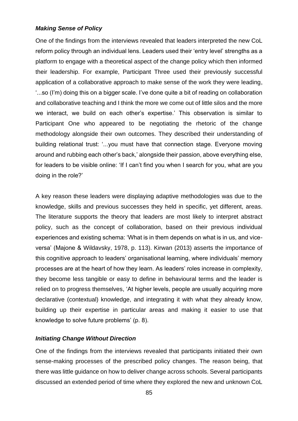### *Making Sense of Policy*

One of the findings from the interviews revealed that leaders interpreted the new CoL reform policy through an individual lens. Leaders used their 'entry level' strengths as a platform to engage with a theoretical aspect of the change policy which then informed their leadership. For example, Participant Three used their previously successful application of a collaborative approach to make sense of the work they were leading, '...so (I'm) doing this on a bigger scale. I've done quite a bit of reading on collaboration and collaborative teaching and I think the more we come out of little silos and the more we interact, we build on each other's expertise.' This observation is similar to Participant One who appeared to be negotiating the rhetoric of the change methodology alongside their own outcomes. They described their understanding of building relational trust: '...you must have that connection stage. Everyone moving around and rubbing each other's back,' alongside their passion, above everything else, for leaders to be visible online: 'If I can't find you when I search for you, what are you doing in the role?'

A key reason these leaders were displaying adaptive methodologies was due to the knowledge, skills and previous successes they held in specific, yet different, areas. The literature supports the theory that leaders are most likely to interpret abstract policy, such as the concept of collaboration, based on their previous individual experiences and existing schema: 'What is in them depends on what is in us, and viceversa' (Majone & Wildavsky, 1978, p. 113). Kirwan (2013) asserts the importance of this cognitive approach to leaders' organisational learning, where individuals' memory processes are at the heart of how they learn. As leaders' roles increase in complexity, they become less tangible or easy to define in behavioural terms and the leader is relied on to progress themselves, 'At higher levels, people are usually acquiring more declarative (contextual) knowledge, and integrating it with what they already know, building up their expertise in particular areas and making it easier to use that knowledge to solve future problems' (p. 8).

## *Initiating Change Without Direction*

One of the findings from the interviews revealed that participants initiated their own sense-making processes of the prescribed policy changes. The reason being, that there was little guidance on how to deliver change across schools. Several participants discussed an extended period of time where they explored the new and unknown CoL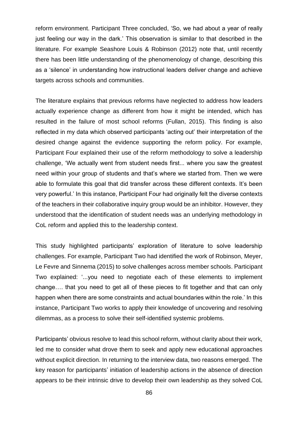reform environment. Participant Three concluded, 'So, we had about a year of really just feeling our way in the dark.' This observation is similar to that described in the literature. For example Seashore Louis & Robinson (2012) note that, until recently there has been little understanding of the phenomenology of change, describing this as a 'silence' in understanding how instructional leaders deliver change and achieve targets across schools and communities.

The literature explains that previous reforms have neglected to address how leaders actually experience change as different from how it might be intended, which has resulted in the failure of most school reforms (Fullan, 2015). This finding is also reflected in my data which observed participants 'acting out' their interpretation of the desired change against the evidence supporting the reform policy. For example, Participant Four explained their use of the reform methodology to solve a leadership challenge, 'We actually went from student needs first... where you saw the greatest need within your group of students and that's where we started from. Then we were able to formulate this goal that did transfer across these different contexts. It's been very powerful.' In this instance, Participant Four had originally felt the diverse contexts of the teachers in their collaborative inquiry group would be an inhibitor. However, they understood that the identification of student needs was an underlying methodology in CoL reform and applied this to the leadership context.

This study highlighted participants' exploration of literature to solve leadership challenges. For example, Participant Two had identified the work of Robinson, Meyer, Le Fevre and Sinnema (2015) to solve challenges across member schools. Participant Two explained: '...you need to negotiate each of these elements to implement change…. that you need to get all of these pieces to fit together and that can only happen when there are some constraints and actual boundaries within the role.' In this instance, Participant Two works to apply their knowledge of uncovering and resolving dilemmas, as a process to solve their self-identified systemic problems.

Participants' obvious resolve to lead this school reform, without clarity about their work, led me to consider what drove them to seek and apply new educational approaches without explicit direction. In returning to the interview data, two reasons emerged. The key reason for participants' initiation of leadership actions in the absence of direction appears to be their intrinsic drive to develop their own leadership as they solved CoL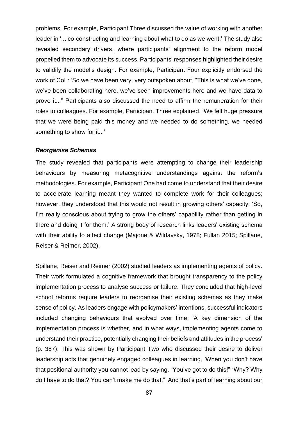problems. For example, Participant Three discussed the value of working with another leader in '... co-constructing and learning about what to do as we went.' The study also revealed secondary drivers, where participants' alignment to the reform model propelled them to advocate its success. Participants' responses highlighted their desire to validify the model's design. For example, Participant Four explicitly endorsed the work of CoL: 'So we have been very, very outspoken about, "This is what we've done, we've been collaborating here, we've seen improvements here and we have data to prove it..." Participants also discussed the need to affirm the remuneration for their roles to colleagues. For example, Participant Three explained, 'We felt huge pressure that we were being paid this money and we needed to do something, we needed something to show for it...'

#### *Reorganise Schemas*

The study revealed that participants were attempting to change their leadership behaviours by measuring metacognitive understandings against the reform's methodologies. For example, Participant One had come to understand that their desire to accelerate learning meant they wanted to complete work for their colleagues; however, they understood that this would not result in growing others' capacity: 'So, I'm really conscious about trying to grow the others' capability rather than getting in there and doing it for them.' A strong body of research links leaders' existing schema with their ability to affect change (Majone & Wildavsky, 1978; Fullan 2015; Spillane, Reiser & Reimer, 2002).

Spillane, Reiser and Reimer (2002) studied leaders as implementing agents of policy. Their work formulated a cognitive framework that brought transparency to the policy implementation process to analyse success or failure. They concluded that high-level school reforms require leaders to reorganise their existing schemas as they make sense of policy. As leaders engage with policymakers' intentions, successful indicators included changing behaviours that evolved over time: 'A key dimension of the implementation process is whether, and in what ways, implementing agents come to understand their practice, potentially changing their beliefs and attitudes in the process' (p. 387). This was shown by Participant Two who discussed their desire to deliver leadership acts that genuinely engaged colleagues in learning, *'*When you don't have that positional authority you cannot lead by saying, "You've got to do this!" "Why? Why do I have to do that? You can't make me do that." And that's part of learning about our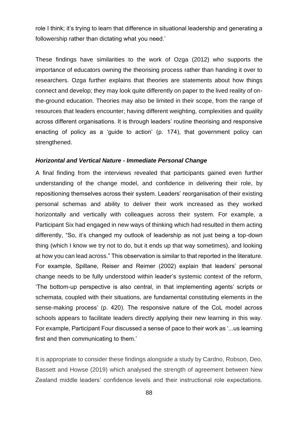role I think; it's trying to learn that difference in situational leadership and generating a followership rather than dictating what you need.'

These findings have similarities to the work of Ozga (2012) who supports the importance of educators owning the theorising process rather than handing it over to researchers. Ozga further explains that theories are statements about how things connect and develop; they may look quite differently on paper to the lived reality of onthe-ground education. Theories may also be limited in their scope, from the range of resources that leaders encounter; having different weighting, complexities and quality across different organisations. It is through leaders' routine theorising and responsive enacting of policy as a 'guide to action' (p. 174), that government policy can strengthened.

#### *Horizontal and Vertical Nature - Immediate Personal Change*

A final finding from the interviews revealed that participants gained even further understanding of the change model, and confidence in delivering their role, by repositioning themselves across their system. Leaders' reorganisation of their existing personal schemas and ability to deliver their work increased as they worked horizontally and vertically with colleagues across their system. For example, a Participant Six had engaged in new ways of thinking which had resulted in them acting differently, "So, it's changed my outlook of leadership as not just being a top-down thing (which I know we try not to do, but it ends up that way sometimes), and looking at how you can lead across." This observation is similar to that reported in the literature. For example, Spillane, Reiser and Reimer (2002) explain that leaders' personal change needs to be fully understood within leader's systemic context of the reform, 'The bottom-up perspective is also central, in that implementing agents' scripts or schemata, coupled with their situations, are fundamental constituting elements in the sense-making process' (p. 420). The responsive nature of the CoL model across schools appears to facilitate leaders directly applying their new learning in this way. For example, Participant Four discussed a sense of pace to their work as '...us learning first and then communicating to them.'

It is appropriate to consider these findings alongside a study by Cardno, Robson, Deo, Bassett and Howse (2019) which analysed the strength of agreement between New Zealand middle leaders' confidence levels and their instructional role expectations.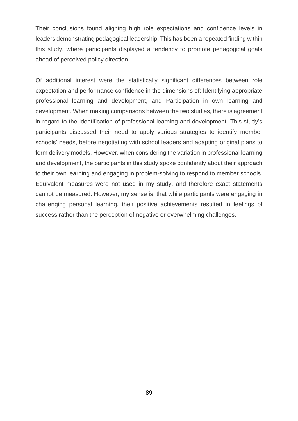Their conclusions found aligning high role expectations and confidence levels in leaders demonstrating pedagogical leadership. This has been a repeated finding within this study, where participants displayed a tendency to promote pedagogical goals ahead of perceived policy direction.

Of additional interest were the statistically significant differences between role expectation and performance confidence in the dimensions of: Identifying appropriate professional learning and development, and Participation in own learning and development. When making comparisons between the two studies, there is agreement in regard to the identification of professional learning and development. This study's participants discussed their need to apply various strategies to identify member schools' needs, before negotiating with school leaders and adapting original plans to form delivery models. However, when considering the variation in professional learning and development, the participants in this study spoke confidently about their approach to their own learning and engaging in problem-solving to respond to member schools. Equivalent measures were not used in my study, and therefore exact statements cannot be measured. However, my sense is, that while participants were engaging in challenging personal learning, their positive achievements resulted in feelings of success rather than the perception of negative or overwhelming challenges.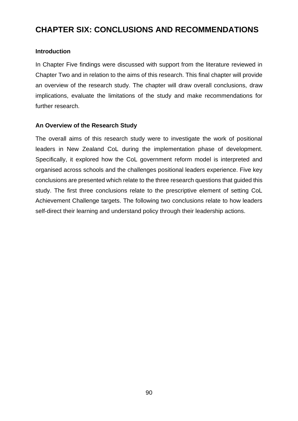# **CHAPTER SIX: CONCLUSIONS AND RECOMMENDATIONS**

## **Introduction**

In Chapter Five findings were discussed with support from the literature reviewed in Chapter Two and in relation to the aims of this research. This final chapter will provide an overview of the research study. The chapter will draw overall conclusions, draw implications, evaluate the limitations of the study and make recommendations for further research.

## **An Overview of the Research Study**

The overall aims of this research study were to investigate the work of positional leaders in New Zealand CoL during the implementation phase of development. Specifically, it explored how the CoL government reform model is interpreted and organised across schools and the challenges positional leaders experience. Five key conclusions are presented which relate to the three research questions that guided this study. The first three conclusions relate to the prescriptive element of setting CoL Achievement Challenge targets. The following two conclusions relate to how leaders self-direct their learning and understand policy through their leadership actions.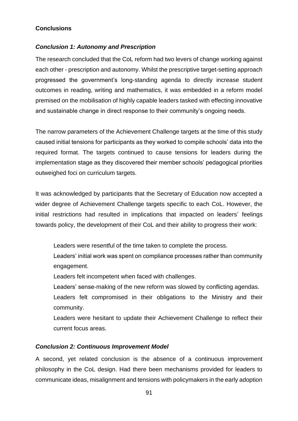## **Conclusions**

## *Conclusion 1: Autonomy and Prescription*

The research concluded that the CoL reform had two levers of change working against each other - prescription and autonomy. Whilst the prescriptive target-setting approach progressed the government's long-standing agenda to directly increase student outcomes in reading, writing and mathematics, it was embedded in a reform model premised on the mobilisation of highly capable leaders tasked with effecting innovative and sustainable change in direct response to their community's ongoing needs.

The narrow parameters of the Achievement Challenge targets at the time of this study caused initial tensions for participants as they worked to compile schools' data into the required format. The targets continued to cause tensions for leaders during the implementation stage as they discovered their member schools' pedagogical priorities outweighed foci on curriculum targets.

It was acknowledged by participants that the Secretary of Education now accepted a wider degree of Achievement Challenge targets specific to each CoL. However, the initial restrictions had resulted in implications that impacted on leaders' feelings towards policy, the development of their CoL and their ability to progress their work:

Leaders were resentful of the time taken to complete the process.

Leaders' initial work was spent on compliance processes rather than community engagement.

Leaders felt incompetent when faced with challenges.

Leaders' sense-making of the new reform was slowed by conflicting agendas.

Leaders felt compromised in their obligations to the Ministry and their community.

Leaders were hesitant to update their Achievement Challenge to reflect their current focus areas.

## *Conclusion 2: Continuous Improvement Model*

A second, yet related conclusion is the absence of a continuous improvement philosophy in the CoL design. Had there been mechanisms provided for leaders to communicate ideas, misalignment and tensions with policymakers in the early adoption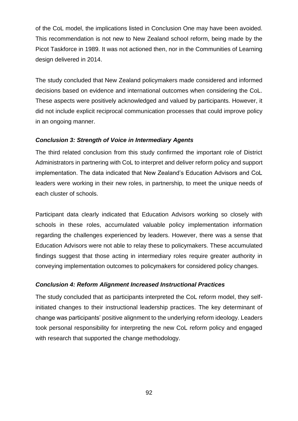of the CoL model, the implications listed in Conclusion One may have been avoided. This recommendation is not new to New Zealand school reform, being made by the Picot Taskforce in 1989. It was not actioned then, nor in the Communities of Learning design delivered in 2014.

The study concluded that New Zealand policymakers made considered and informed decisions based on evidence and international outcomes when considering the CoL. These aspects were positively acknowledged and valued by participants. However, it did not include explicit reciprocal communication processes that could improve policy in an ongoing manner.

## *Conclusion 3: Strength of Voice in Intermediary Agents*

The third related conclusion from this study confirmed the important role of District Administrators in partnering with CoL to interpret and deliver reform policy and support implementation. The data indicated that New Zealand's Education Advisors and CoL leaders were working in their new roles, in partnership, to meet the unique needs of each cluster of schools.

Participant data clearly indicated that Education Advisors working so closely with schools in these roles, accumulated valuable policy implementation information regarding the challenges experienced by leaders. However, there was a sense that Education Advisors were not able to relay these to policymakers. These accumulated findings suggest that those acting in intermediary roles require greater authority in conveying implementation outcomes to policymakers for considered policy changes.

## *Conclusion 4: Reform Alignment Increased Instructional Practices*

The study concluded that as participants interpreted the CoL reform model, they selfinitiated changes to their instructional leadership practices. The key determinant of change was participants' positive alignment to the underlying reform ideology. Leaders took personal responsibility for interpreting the new CoL reform policy and engaged with research that supported the change methodology.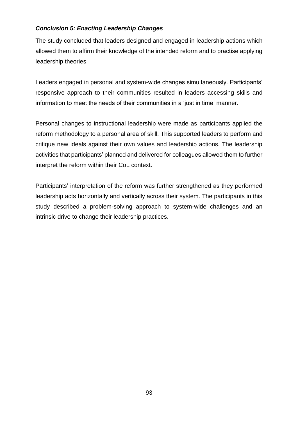## *Conclusion 5: Enacting Leadership Changes*

The study concluded that leaders designed and engaged in leadership actions which allowed them to affirm their knowledge of the intended reform and to practise applying leadership theories.

Leaders engaged in personal and system-wide changes simultaneously. Participants' responsive approach to their communities resulted in leaders accessing skills and information to meet the needs of their communities in a 'just in time' manner.

Personal changes to instructional leadership were made as participants applied the reform methodology to a personal area of skill. This supported leaders to perform and critique new ideals against their own values and leadership actions. The leadership activities that participants' planned and delivered for colleagues allowed them to further interpret the reform within their CoL context.

Participants' interpretation of the reform was further strengthened as they performed leadership acts horizontally and vertically across their system. The participants in this study described a problem-solving approach to system-wide challenges and an intrinsic drive to change their leadership practices.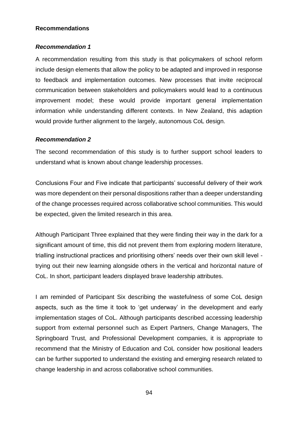### **Recommendations**

## *Recommendation 1*

A recommendation resulting from this study is that policymakers of school reform include design elements that allow the policy to be adapted and improved in response to feedback and implementation outcomes. New processes that invite reciprocal communication between stakeholders and policymakers would lead to a continuous improvement model; these would provide important general implementation information while understanding different contexts. In New Zealand, this adaption would provide further alignment to the largely, autonomous CoL design.

## *Recommendation 2*

The second recommendation of this study is to further support school leaders to understand what is known about change leadership processes.

Conclusions Four and Five indicate that participants' successful delivery of their work was more dependent on their personal dispositions rather than a deeper understanding of the change processes required across collaborative school communities. This would be expected, given the limited research in this area.

Although Participant Three explained that they were finding their way in the dark for a significant amount of time, this did not prevent them from exploring modern literature, trialling instructional practices and prioritising others' needs over their own skill level trying out their new learning alongside others in the vertical and horizontal nature of CoL. In short, participant leaders displayed brave leadership attributes.

I am reminded of Participant Six describing the wastefulness of some CoL design aspects, such as the time it took to 'get underway' in the development and early implementation stages of CoL. Although participants described accessing leadership support from external personnel such as Expert Partners, Change Managers, The Springboard Trust, and Professional Development companies, it is appropriate to recommend that the Ministry of Education and CoL consider how positional leaders can be further supported to understand the existing and emerging research related to change leadership in and across collaborative school communities.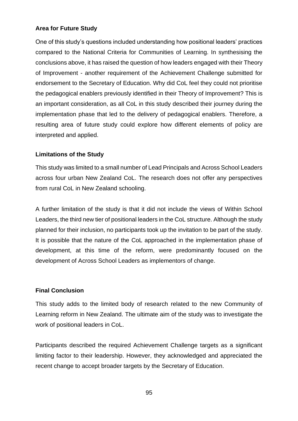## **Area for Future Study**

One of this study's questions included understanding how positional leaders' practices compared to the National Criteria for Communities of Learning. In synthesising the conclusions above, it has raised the question of how leaders engaged with their Theory of Improvement - another requirement of the Achievement Challenge submitted for endorsement to the Secretary of Education. Why did CoL feel they could not prioritise the pedagogical enablers previously identified in their Theory of Improvement? This is an important consideration, as all CoL in this study described their journey during the implementation phase that led to the delivery of pedagogical enablers. Therefore, a resulting area of future study could explore how different elements of policy are interpreted and applied.

### **Limitations of the Study**

This study was limited to a small number of Lead Principals and Across School Leaders across four urban New Zealand CoL. The research does not offer any perspectives from rural CoL in New Zealand schooling.

A further limitation of the study is that it did not include the views of Within School Leaders, the third new tier of positional leaders in the CoL structure. Although the study planned for their inclusion, no participants took up the invitation to be part of the study. It is possible that the nature of the CoL approached in the implementation phase of development, at this time of the reform, were predominantly focused on the development of Across School Leaders as implementors of change.

### **Final Conclusion**

This study adds to the limited body of research related to the new Community of Learning reform in New Zealand. The ultimate aim of the study was to investigate the work of positional leaders in CoL.

Participants described the required Achievement Challenge targets as a significant limiting factor to their leadership. However, they acknowledged and appreciated the recent change to accept broader targets by the Secretary of Education.

95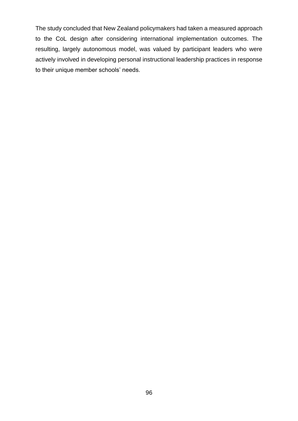The study concluded that New Zealand policymakers had taken a measured approach to the CoL design after considering international implementation outcomes. The resulting, largely autonomous model, was valued by participant leaders who were actively involved in developing personal instructional leadership practices in response to their unique member schools' needs.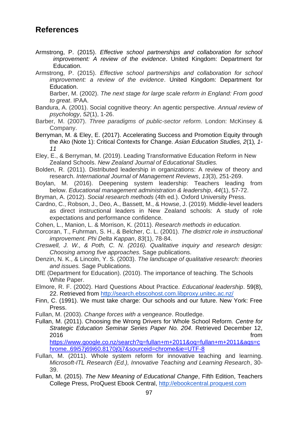## **References**

- Armstrong, P. (2015). *Effective school partnerships and collaboration for school improvement: A review of the evidence*. United Kingdom: Department for Education.
- Armstrong, P. (2015). *Effective school partnerships and collaboration for school improvement: a review of the evidence*. United Kingdom: Department for Education.

Barber, M. (2002). *The next stage for large scale reform in England: From good to great*. IPAA.

- Bandura, A. (2001). Social cognitive theory: An agentic perspective. *Annual review of psychology*, *52*(1), 1-26.
- Barber, M. (2007). *Three paradigms of public-sector reform*. London: McKinsey & Company.
- Berryman, M. & Eley, E. (2017). Accelerating Success and Promotion Equity through the Ako (Note 1): Critical Contexts for Change. *Asian Education Studies, 2*(1)*, 1- 11*

Eley, E., & Berryman, M. (2019). Leading Transformative Education Reform in New Zealand Schools. *New Zealand Journal of Educational Studies.*

Bolden, R. (2011). Distributed leadership in organizations: A review of theory and research. *International Journal of Management Reviews*, *13*(3), 251-269.

Boylan, M. (2016). Deepening system leadership: Teachers leading from below. *Educational management administration & leadership*, *44*(1), 57-72.

- Bryman, A. (2012). *Social research methods* (4th ed.). Oxford University Press.
- Cardno, C., Robson, J., Deo, A., Bassett, M., & Howse, J. (2019). Middle-level leaders as direct instructional leaders in New Zealand schools: A study of role expectations and performance confidence.
- Cohen, L., Manion, L. & Morrison, K. (2011). *Research methods in education.*
- Corcoran, T., Fuhrman, S. H., & Belcher, C. L. (2001). *The district role in instructional improvement. Phi Delta Kappan*, *83*(1), 78-84.
- *Creswell, J. W., & Poth, C. N. (2016). Qualitative inquiry and research design: Choosing among five approaches.* Sage publications.
- Denzin, N. K., & Lincoln, Y. S. (2003). *The landscape of qualitative research: theories and issues.* Sage Publications.
- DfE (Department for Education). (2010). The importance of teaching. The Schools White Paper.
- Elmore, R. F. (2002). Hard Questions About Practice. *Educational leadership*. 59(8), 22. Retrieved from<http://search.ebscohost.com.libproxy.unitec.ac.nz/>
- Finn, C. (1991). We must take charge: Our schools and our future. New York: Free Press.

Fullan, M. (2003). *Change forces with a vengeance*. Routledge.

Fullan, M. (2011). Choosing the Wrong Drivers for Whole School Reform. *Centre for Strategic Education Seminar Series Paper No. 204*. Retrieved December 12, 2016 from

[https://www.google.co.nz/search?q=fullan+m+2011&oq=fullan+m+2011&aqs=c](https://www.google.co.nz/search?q=fullan+m+2011&oq=fullan+m+2011&aqs=chrome..69i57j69i60.8170j0j7&sourceid=chrome&ie=UTF-8) [hrome..69i57j69i60.8170j0j7&sourceid=chrome&ie=UTF-8](https://www.google.co.nz/search?q=fullan+m+2011&oq=fullan+m+2011&aqs=chrome..69i57j69i60.8170j0j7&sourceid=chrome&ie=UTF-8)

- Fullan, M. (2011). Whole system reform for innovative teaching and learning. *Microsoft-ITL Research (Ed.), Innovative Teaching and Learning Research*, 30- 39.
- Fullan, M. (2015). *The New Meaning of Educational Change*, Fifth Edition, Teachers College Press, ProQuest Ebook Central, [http://ebookcentral.proquest.com](http://ebookcentral.proquest.com/lib/unitec/)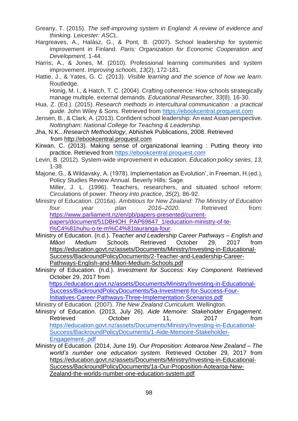- Greany, T. (2015). *The self-improving system in England: A review of evidence and thinking. Leicester: ASCL*.
- Hargreaves, A., Halász, G., & Pont, B. (2007). School leadership for systemic improvement in Finland. *Paris: Organization for Economic Cooperation and Development*, 1-44.
- Harris, A., & Jones, M. (2010). Professional learning communities and system improvement. *Improving schools*, *13*(2), 172-181.
- Hattie, J., & Yates, G. C. (2013). *Visible learning and the science of how we learn*. Routledge.

Honig, M. I., & Hatch, T. C. (2004). Crafting coherence: How schools strategically manage multiple, external demands. *Educational Researcher*, *33*(8), 16-30.

- Hua, Z. (Ed.). (2015). *Research methods in intercultural communication : a practical guide.* John Wiley & Sons. Retrieved from [https://ebookcentral.proquest.com](https://ebookcentral.proquest.com/)
- Jensen, B., & Clark, A. (2013). Confident school leadership: An east Asian perspective. *Nottingham: National College for Teaching & Leadership*.
- Jha, N.K.. *Research Methodology*, Abhishek Publications, 2008. Retrieved from [http://ebookcentral.proquest.com](http://ebookcentral.proquest.com/)
- Kirwan, C. (2013). Making sense of organizational learning : Putting theory into practice. Retrieved from [https://ebookcentral.proquest.com](https://ebookcentral.proquest.com/)
- Levin, B. (2012). System-wide improvement in education. *Education policy series*, *13*, 1-38.
- Majone, G., & Wildavsky, A. (1978). Implementation as Evolution', in Freeman, H.(ed.), Policy Studies Review Annual. Beverly Hills: Sage.

Miller, J. L. (1996). Teachers, researchers, and situated school reform: Circulations of power. *Theory into practice*, *35*(2), 86-92.

Ministry of Education. (2016a). *Ambitious for New Zealand: The Ministry of Education four year plan 2016–2020*. Retrieved from: [https://www.parliament.nz/en/pb/papers-presented/current](https://www.parliament.nz/en/pb/papers-presented/current-papers/document/51DBHOH_PAP69647_1/education-ministry-of-te-t%25C4%2581huhu-o-te-m%25C4%2581tauranga-four)[papers/document/51DBHOH\\_PAP69647\\_1/education-ministry-of-te-](https://www.parliament.nz/en/pb/papers-presented/current-papers/document/51DBHOH_PAP69647_1/education-ministry-of-te-t%25C4%2581huhu-o-te-m%25C4%2581tauranga-four)

- [t%C4%81huhu-o-te-m%C4%81tauranga-four.](https://www.parliament.nz/en/pb/papers-presented/current-papers/document/51DBHOH_PAP69647_1/education-ministry-of-te-t%25C4%2581huhu-o-te-m%25C4%2581tauranga-four)
- Ministry of Education. (n.d.). *Teacher and Leadership Career Pathways – English and Māori Medium Schools.* Retrieved October 29, 2017 from [https://education.govt.nz/assets/Documents/Ministry/Investing-in-Educational-](https://education.govt.nz/assets/Documents/Ministry/Investing-in-Educational-Success/BackroundPolicyDocuments/2-Teacher-and-Leadership-Career-Pathways-English-and-Maori-Medium-Schools.pdf)[Success/BackroundPolicyDocuments/2-Teacher-and-Leadership-Career-](https://education.govt.nz/assets/Documents/Ministry/Investing-in-Educational-Success/BackroundPolicyDocuments/2-Teacher-and-Leadership-Career-Pathways-English-and-Maori-Medium-Schools.pdf)[Pathways-English-and-Māori-Medium-Schools.pdf](https://education.govt.nz/assets/Documents/Ministry/Investing-in-Educational-Success/BackroundPolicyDocuments/2-Teacher-and-Leadership-Career-Pathways-English-and-Maori-Medium-Schools.pdf)
- Ministry of Education. (n.d.). *Investment for Success: Key Component.* Retrieved October 29, 2017 from

 [https://education.govt.nz/assets/Documents/Ministry/Investing-in-Educational-](https://education.govt.nz/assets/Documents/Ministry/Investing-in-Educational-Success/BackroundPolicyDocuments/5a-Investment-for-Success-Four-Initiatives-Career-Pathways-Three-Implementation-Scenarios.pdf)[Success/BackroundPolicyDocuments/5a-Investment-for-Success-Four-](https://education.govt.nz/assets/Documents/Ministry/Investing-in-Educational-Success/BackroundPolicyDocuments/5a-Investment-for-Success-Four-Initiatives-Career-Pathways-Three-Implementation-Scenarios.pdf)[Initiatives-Career-Pathways-Three-Implementation-Scenarios.pdf](https://education.govt.nz/assets/Documents/Ministry/Investing-in-Educational-Success/BackroundPolicyDocuments/5a-Investment-for-Success-Four-Initiatives-Career-Pathways-Three-Implementation-Scenarios.pdf)

Ministry of Education. (2007). *The New Zealand Curriculum.* Wellington.

- Ministry of Education. (2013, July 26). *Aide Memoire: Stakeholder Engagement*. Retrieved **October** 11, 2017 from [https://education.govt.nz/assets/Documents/Ministry/Investing-in-Educational-](https://education.govt.nz/assets/Documents/Ministry/Investing-in-Educational-Success/BackroundPolicyDocuments/1-Aide-Memoire-Stakeholder-Engagement-.pdf)[Success/BackroundPolicyDocuments/1-Aide-Memoire-Stakeholder-](https://education.govt.nz/assets/Documents/Ministry/Investing-in-Educational-Success/BackroundPolicyDocuments/1-Aide-Memoire-Stakeholder-Engagement-.pdf)[Engagement-.pdf](https://education.govt.nz/assets/Documents/Ministry/Investing-in-Educational-Success/BackroundPolicyDocuments/1-Aide-Memoire-Stakeholder-Engagement-.pdf)
- Ministry of Education. (2014, June 19). *Our Proposition: Aotearoa New Zealand – The world's number one education system.* Retrieved October 29, 2017 from [https://education.govt.nz/assets/Documents/Ministry/Investing-in-Educational-](https://education.govt.nz/assets/Documents/Ministry/Investing-in-Educational-Success/BackroundPolicyDocuments/1a-Our-Proposition-Aotearoa-New-Zealand-the-worlds-number-one-education-system.pdf)[Success/BackroundPolicyDocuments/1a-Our-Proposition-Aotearoa-New-](https://education.govt.nz/assets/Documents/Ministry/Investing-in-Educational-Success/BackroundPolicyDocuments/1a-Our-Proposition-Aotearoa-New-Zealand-the-worlds-number-one-education-system.pdf)[Zealand-the-worlds-number-one-education-system.pdf](https://education.govt.nz/assets/Documents/Ministry/Investing-in-Educational-Success/BackroundPolicyDocuments/1a-Our-Proposition-Aotearoa-New-Zealand-the-worlds-number-one-education-system.pdf)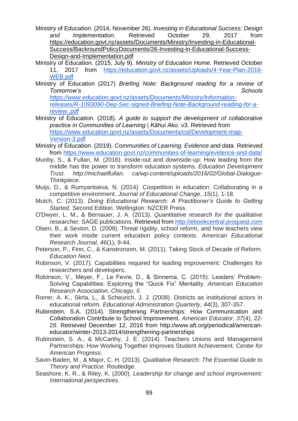- Ministry of Education. (2014, November 26). *Investing in Educational Success: Design and Implementation.* Retrieved October 29, 2017 from [https://education.govt.nz/assets/Documents/Ministry/Investing-in-Educational-](https://education.govt.nz/assets/Documents/Ministry/Investing-in-Educational-Success/BackroundPolicyDocuments/26-Investing-in-Educational-Success-Design-and-Implementation.pdf)[Success/BackroundPolicyDocuments/26-Investing-in-Educational-Success-](https://education.govt.nz/assets/Documents/Ministry/Investing-in-Educational-Success/BackroundPolicyDocuments/26-Investing-in-Educational-Success-Design-and-Implementation.pdf)[Design-and-Implementation.pdf](https://education.govt.nz/assets/Documents/Ministry/Investing-in-Educational-Success/BackroundPolicyDocuments/26-Investing-in-Educational-Success-Design-and-Implementation.pdf)
- Ministry of Education. (2015, July 9). *Ministry of Education Home.* Retrieved October 11, 2017 from [https://education.govt.nz/assets/Uploads/4-Year-Plan-2016-](https://education.govt.nz/assets/Uploads/4-Year-Plan-2016-WEB.pdf) [WEB.pdf](https://education.govt.nz/assets/Uploads/4-Year-Plan-2016-WEB.pdf)
- Ministry of Education (2017) *Briefing Note: Background reading for a review of Tomorrow's Schools*

*[https://www.education.govt.nz/assets/Documents/Ministry/Information](https://www.education.govt.nz/assets/Documents/Ministry/Information-releases/R-1093090-Dep-Sec-signed-Briefing-Note-Background-reading-for-a-review..pdf)[releases/R-1093090-Dep-Sec-signed-Briefing-Note-Background-reading-for-a](https://www.education.govt.nz/assets/Documents/Ministry/Information-releases/R-1093090-Dep-Sec-signed-Briefing-Note-Background-reading-for-a-review..pdf)[review..pdf](https://www.education.govt.nz/assets/Documents/Ministry/Information-releases/R-1093090-Dep-Sec-signed-Briefing-Note-Background-reading-for-a-review..pdf)*

- Ministry of Education. (2018). *A guide to support the development of collaborative practice in Communities of Learning | Kāhui Ako*. v3. Retrieved from [https://www.education.govt.nz/assets/Documents/col/Development-map-](https://www.education.govt.nz/assets/Documents/col/Development-map-Version-3.pdf)[Version-3.pdf](https://www.education.govt.nz/assets/Documents/col/Development-map-Version-3.pdf)
- Ministry of Education. (2019). *Communities of Learning. Evidence and data.* Retrieved from<https://www.education.govt.nz/communities-of-learning/evidence-and-data/>
- Munby, S., & Fullan, M. (2016). Inside-out and downside-up: How leading from the middle has the power to transform education systems. *Education Development Trust. http://michaelfullan. ca/wp-content/uploads/2016/02/Global-Dialogue-Thinkpiece*.
- Muijs, D., & Rumyantseva, N. (2014). Coopetition in education: Collaborating in a competitive environment. *Journal of Educational Change*, *15*(1), 1-18.
- Mutch, C. (2013). *Doing Educational Research: A Practitioner's Guide to Getting Started*. Second Edition. Wellington: NZCER Press.
- O'Dwyer, L. M., & Bernauer, J. A. (2013). *Quantitative research for the qualitative researcher*. SAGE publications. Retrieved from [http://ebookcentral.proquest.com](http://ebookcentral.proquest.com/)
- Olsen, B., & Sexton, D. (2009). Threat rigidity, school reform, and how teachers view their work inside current education policy contexts. *American Educational Research Journal*, *46*(1), 9-44.
- Peterson, P., Finn, C., & Kanstroroom, M. (2011). Taking Stock of Decade of Reform. *Education Next*.
- Robinson, V. (2017). Capabilities required for leading improvement: Challenges for researchers and developers.
- Robinson, V., Meyer, F., Le Fevre, D., & Sinnema, C. (2015). Leaders' Problem-Solving Capabilities: Exploring the "Quick Fix" Mentality. *American Education Research Association, Chicago, Il*.
- Rorrer, A. K., Skrla, L., & Scheurich, J. J. (2008). Districts as institutional actors in educational reform. *Educational Administration Quarterly*, *44*(3), 307-357.
- Rubinstein, S.A. (2014). Strengthening Partnerships: How Communication and Collaboration Contribute to School Improvement. *American Educator*, *37*(4), 22- 28. Retrieved December 12, 2016 from [http://www.aft.org/periodical/american](http://www.aft.org/periodical/american-educator/winter-2013-2014/strengthening-partnerships)[educator/winter-2013-2014/strengthening-partnerships](http://www.aft.org/periodical/american-educator/winter-2013-2014/strengthening-partnerships)
- Rubinstein, S. A., & McCarthy, J. E. (2014). Teachers Unions and Management Partnerships: How Working Together Improves Student Achievement. *Center for American Progress*.
- Savin-Baden, M., & Major, C. H. (2013). *Qualitative Research: The Essential Guide to Theory and Practice.* Routledge.
- Seashore, K. R., & Riley, K. (2000). *Leadership for change and school improvement: International perspectives*.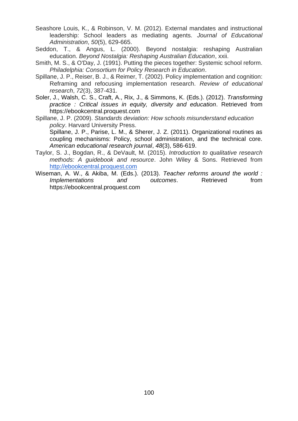- Seashore Louis, K., & Robinson, V. M. (2012). External mandates and instructional leadership: School leaders as mediating agents. *Journal of Educational Administration*, *50*(5), 629-665.
- Seddon, T., & Angus, L. (2000). Beyond nostalgia: reshaping Australian education. *Beyond Nostalgia: Reshaping Australian Education*, xxii.
- Smith, M. S., & O'Day, J. (1991). Putting the pieces together: Systemic school reform. *Philadelphia: Consortium for Policy Research in Education*.
- Spillane, J. P., Reiser, B. J., & Reimer, T. (2002). Policy implementation and cognition: Reframing and refocusing implementation research. *Review of educational research*, *72*(3), 387-431.
- Soler, J., Walsh, C. S., Craft, A., Rix, J., & Simmons, K. (Eds.). (2012). *Transforming practice : Critical issues in equity, diversity and education*. Retrieved from https://ebookcentral.proquest.com
- Spillane, J. P. (2009). *Standards deviation: How schools misunderstand education policy*. Harvard University Press.

Spillane, J. P., Parise, L. M., & Sherer, J. Z. (2011). Organizational routines as coupling mechanisms: Policy, school administration, and the technical core. *American educational research journal*, *48*(3), 586-619.

- Taylor, S. J., Bogdan, R., & DeVault, M. (2015). *Introduction to qualitative research methods: A guidebook and resource*. John Wiley & Sons. Retrieved from [http://ebookcentral.proquest.com](http://ebookcentral.proquest.com/)
- Wiseman, A. W., & Akiba, M. (Eds.). (2013). *Teacher reforms around the world : Implementations* and outcomes. Retrieved from https://ebookcentral.proquest.com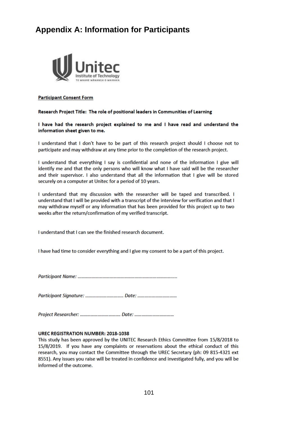# **Appendix A: Information for Participants**



#### **Participant Consent Form**

#### Research Project Title: The role of positional leaders in Communities of Learning

I have had the research project explained to me and I have read and understand the information sheet given to me.

I understand that I don't have to be part of this research project should I choose not to participate and may withdraw at any time prior to the completion of the research project.

I understand that everything I say is confidential and none of the information I give will identify me and that the only persons who will know what I have said will be the researcher and their supervisor. I also understand that all the information that I give will be stored securely on a computer at Unitec for a period of 10 years.

I understand that my discussion with the researcher will be taped and transcribed. I understand that I will be provided with a transcript of the interview for verification and that I may withdraw myself or any information that has been provided for this project up to two weeks after the return/confirmation of my verified transcript.

I understand that I can see the finished research document.

I have had time to consider everything and I give my consent to be a part of this project.

#### UREC REGISTRATION NUMBER: 2018-1038

This study has been approved by the UNITEC Research Ethics Committee from 15/8/2018 to 15/8/2019. If you have any complaints or reservations about the ethical conduct of this research, you may contact the Committee through the UREC Secretary (ph: 09 815-4321 ext 8551). Any issues you raise will be treated in confidence and investigated fully, and you will be informed of the outcome.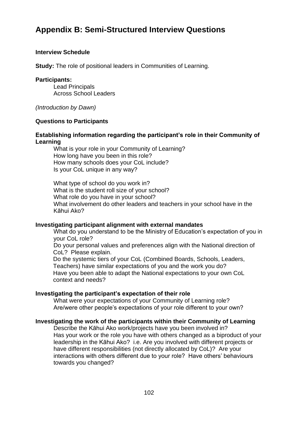# **Appendix B: Semi-Structured Interview Questions**

### **Interview Schedule**

**Study:** The role of positional leaders in Communities of Learning.

#### **Participants:**

Lead Principals Across School Leaders

*(Introduction by Dawn)*

### **Questions to Participants**

### **Establishing information regarding the participant's role in their Community of Learning**

What is your role in your Community of Learning? How long have you been in this role? How many schools does your CoL include? Is your CoL unique in any way?

What type of school do you work in? What is the student roll size of your school? What role do you have in your school? What involvement do other leaders and teachers in your school have in the Kāhui Ako?

### **Investigating participant alignment with external mandates**

What do you understand to be the Ministry of Education's expectation of you in your CoL role?

Do your personal values and preferences align with the National direction of CoL? Please explain.

Do the systemic tiers of your CoL (Combined Boards, Schools, Leaders, Teachers) have similar expectations of you and the work you do? Have you been able to adapt the National expectations to your own CoL context and needs?

### **Investigating the participant's expectation of their role**

What were your expectations of your Community of Learning role? Are/were other people's expectations of your role different to your own?

## **Investigating the work of the participants within their Community of Learning**

Describe the Kāhui Ako work/projects have you been involved in? Has your work or the role you have with others changed as a biproduct of your leadership in the Kāhui Ako? i.e. Are you involved with different projects or have different responsibilities (not directly allocated by CoL)? Are your interactions with others different due to your role? Have others' behaviours towards you changed?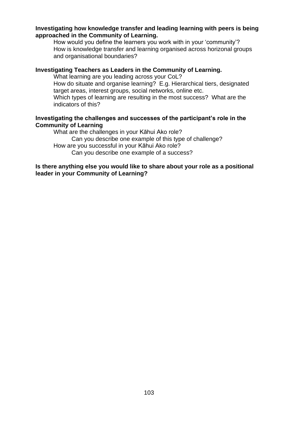## **Investigating how knowledge transfer and leading learning with peers is being approached in the Community of Learning.**

How would you define the learners you work with in your 'community'? How is knowledge transfer and learning organised across horizonal groups and organisational boundaries?

### **Investigating Teachers as Leaders in the Community of Learning.**

What learning are you leading across your CoL?

How do situate and organise learning? E.g. Hierarchical tiers, designated target areas, interest groups, social networks, online etc.

Which types of learning are resulting in the most success? What are the indicators of this?

## **Investigating the challenges and successes of the participant's role in the Community of Learning**

What are the challenges in your Kāhui Ako role? Can you describe one example of this type of challenge? How are you successful in your Kāhui Ako role? Can you describe one example of a success?

## **Is there anything else you would like to share about your role as a positional leader in your Community of Learning?**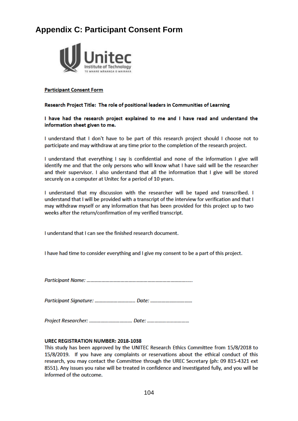# **Appendix C: Participant Consent Form**



#### **Participant Consent Form**

#### Research Project Title: The role of positional leaders in Communities of Learning

I have had the research project explained to me and I have read and understand the information sheet given to me.

I understand that I don't have to be part of this research project should I choose not to participate and may withdraw at any time prior to the completion of the research project.

I understand that everything I say is confidential and none of the information I give will identify me and that the only persons who will know what I have said will be the researcher and their supervisor. I also understand that all the information that I give will be stored securely on a computer at Unitec for a period of 10 years.

I understand that my discussion with the researcher will be taped and transcribed. I understand that I will be provided with a transcript of the interview for verification and that I may withdraw myself or any information that has been provided for this project up to two weeks after the return/confirmation of my verified transcript.

I understand that I can see the finished research document.

I have had time to consider everything and I give my consent to be a part of this project.

#### **UREC REGISTRATION NUMBER: 2018-1038**

This study has been approved by the UNITEC Research Ethics Committee from 15/8/2018 to 15/8/2019. If you have any complaints or reservations about the ethical conduct of this research, you may contact the Committee through the UREC Secretary (ph: 09 815-4321 ext 8551). Any issues you raise will be treated in confidence and investigated fully, and you will be informed of the outcome.